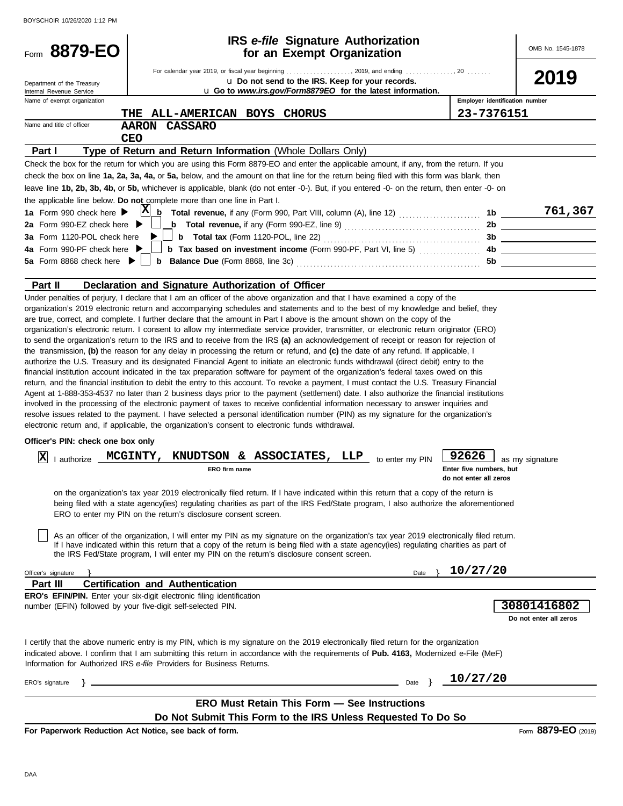| BOYSCHOIR 10/26/2020 1:12 PM                                    |                                                                                                                                                                                                                                                                                                                                                                                                                                                                                                                                                                                                                                                                                                                                                                                                                                                                                                                                                                                                                                                                                                                                                                                                                                                                                                                                                                                                                                                                                                                                                                                                                                                                                                                                                                                                                                                                                                                                                                                                                                                                             |                                                                        |                                       |
|-----------------------------------------------------------------|-----------------------------------------------------------------------------------------------------------------------------------------------------------------------------------------------------------------------------------------------------------------------------------------------------------------------------------------------------------------------------------------------------------------------------------------------------------------------------------------------------------------------------------------------------------------------------------------------------------------------------------------------------------------------------------------------------------------------------------------------------------------------------------------------------------------------------------------------------------------------------------------------------------------------------------------------------------------------------------------------------------------------------------------------------------------------------------------------------------------------------------------------------------------------------------------------------------------------------------------------------------------------------------------------------------------------------------------------------------------------------------------------------------------------------------------------------------------------------------------------------------------------------------------------------------------------------------------------------------------------------------------------------------------------------------------------------------------------------------------------------------------------------------------------------------------------------------------------------------------------------------------------------------------------------------------------------------------------------------------------------------------------------------------------------------------------------|------------------------------------------------------------------------|---------------------------------------|
| Form 8879-EO                                                    | <b>IRS</b> e-file Signature Authorization<br>for an Exempt Organization                                                                                                                                                                                                                                                                                                                                                                                                                                                                                                                                                                                                                                                                                                                                                                                                                                                                                                                                                                                                                                                                                                                                                                                                                                                                                                                                                                                                                                                                                                                                                                                                                                                                                                                                                                                                                                                                                                                                                                                                     |                                                                        | OMB No. 1545-1878                     |
|                                                                 | For calendar year 2019, or fiscal year beginning 2019, and ending 20                                                                                                                                                                                                                                                                                                                                                                                                                                                                                                                                                                                                                                                                                                                                                                                                                                                                                                                                                                                                                                                                                                                                                                                                                                                                                                                                                                                                                                                                                                                                                                                                                                                                                                                                                                                                                                                                                                                                                                                                        |                                                                        | 2019                                  |
| Department of the Treasury<br>Internal Revenue Service          | u Do not send to the IRS. Keep for your records.<br>u Go to www.irs.gov/Form8879EO for the latest information.                                                                                                                                                                                                                                                                                                                                                                                                                                                                                                                                                                                                                                                                                                                                                                                                                                                                                                                                                                                                                                                                                                                                                                                                                                                                                                                                                                                                                                                                                                                                                                                                                                                                                                                                                                                                                                                                                                                                                              |                                                                        |                                       |
| Name of exempt organization                                     |                                                                                                                                                                                                                                                                                                                                                                                                                                                                                                                                                                                                                                                                                                                                                                                                                                                                                                                                                                                                                                                                                                                                                                                                                                                                                                                                                                                                                                                                                                                                                                                                                                                                                                                                                                                                                                                                                                                                                                                                                                                                             | Employer identification number                                         |                                       |
|                                                                 | ALL-AMERICAN BOYS CHORUS<br>THE                                                                                                                                                                                                                                                                                                                                                                                                                                                                                                                                                                                                                                                                                                                                                                                                                                                                                                                                                                                                                                                                                                                                                                                                                                                                                                                                                                                                                                                                                                                                                                                                                                                                                                                                                                                                                                                                                                                                                                                                                                             | 23-7376151                                                             |                                       |
| Name and title of officer                                       | <b>CASSARO</b><br><b>AARON</b>                                                                                                                                                                                                                                                                                                                                                                                                                                                                                                                                                                                                                                                                                                                                                                                                                                                                                                                                                                                                                                                                                                                                                                                                                                                                                                                                                                                                                                                                                                                                                                                                                                                                                                                                                                                                                                                                                                                                                                                                                                              |                                                                        |                                       |
|                                                                 | <b>CEO</b>                                                                                                                                                                                                                                                                                                                                                                                                                                                                                                                                                                                                                                                                                                                                                                                                                                                                                                                                                                                                                                                                                                                                                                                                                                                                                                                                                                                                                                                                                                                                                                                                                                                                                                                                                                                                                                                                                                                                                                                                                                                                  |                                                                        |                                       |
| Part I                                                          | Type of Return and Return Information (Whole Dollars Only)                                                                                                                                                                                                                                                                                                                                                                                                                                                                                                                                                                                                                                                                                                                                                                                                                                                                                                                                                                                                                                                                                                                                                                                                                                                                                                                                                                                                                                                                                                                                                                                                                                                                                                                                                                                                                                                                                                                                                                                                                  |                                                                        |                                       |
|                                                                 | Check the box for the return for which you are using this Form 8879-EO and enter the applicable amount, if any, from the return. If you                                                                                                                                                                                                                                                                                                                                                                                                                                                                                                                                                                                                                                                                                                                                                                                                                                                                                                                                                                                                                                                                                                                                                                                                                                                                                                                                                                                                                                                                                                                                                                                                                                                                                                                                                                                                                                                                                                                                     |                                                                        |                                       |
|                                                                 | check the box on line 1a, 2a, 3a, 4a, or 5a, below, and the amount on that line for the return being filed with this form was blank, then                                                                                                                                                                                                                                                                                                                                                                                                                                                                                                                                                                                                                                                                                                                                                                                                                                                                                                                                                                                                                                                                                                                                                                                                                                                                                                                                                                                                                                                                                                                                                                                                                                                                                                                                                                                                                                                                                                                                   |                                                                        |                                       |
|                                                                 | leave line 1b, 2b, 3b, 4b, or 5b, whichever is applicable, blank (do not enter -0-). But, if you entered -0- on the return, then enter -0- on                                                                                                                                                                                                                                                                                                                                                                                                                                                                                                                                                                                                                                                                                                                                                                                                                                                                                                                                                                                                                                                                                                                                                                                                                                                                                                                                                                                                                                                                                                                                                                                                                                                                                                                                                                                                                                                                                                                               |                                                                        |                                       |
|                                                                 | the applicable line below. Do not complete more than one line in Part I.                                                                                                                                                                                                                                                                                                                                                                                                                                                                                                                                                                                                                                                                                                                                                                                                                                                                                                                                                                                                                                                                                                                                                                                                                                                                                                                                                                                                                                                                                                                                                                                                                                                                                                                                                                                                                                                                                                                                                                                                    |                                                                        |                                       |
| 1a Form 990 check here $\blacktriangleright$                    |                                                                                                                                                                                                                                                                                                                                                                                                                                                                                                                                                                                                                                                                                                                                                                                                                                                                                                                                                                                                                                                                                                                                                                                                                                                                                                                                                                                                                                                                                                                                                                                                                                                                                                                                                                                                                                                                                                                                                                                                                                                                             |                                                                        | 761,367                               |
| 2a Form 990-EZ check here $\blacktriangleright$                 |                                                                                                                                                                                                                                                                                                                                                                                                                                                                                                                                                                                                                                                                                                                                                                                                                                                                                                                                                                                                                                                                                                                                                                                                                                                                                                                                                                                                                                                                                                                                                                                                                                                                                                                                                                                                                                                                                                                                                                                                                                                                             |                                                                        |                                       |
| 3a Form 1120-POL check here<br>4a Form 990-PF check here ▶      |                                                                                                                                                                                                                                                                                                                                                                                                                                                                                                                                                                                                                                                                                                                                                                                                                                                                                                                                                                                                                                                                                                                                                                                                                                                                                                                                                                                                                                                                                                                                                                                                                                                                                                                                                                                                                                                                                                                                                                                                                                                                             |                                                                        |                                       |
| 5a Form 8868 check here $\blacktriangleright$                   |                                                                                                                                                                                                                                                                                                                                                                                                                                                                                                                                                                                                                                                                                                                                                                                                                                                                                                                                                                                                                                                                                                                                                                                                                                                                                                                                                                                                                                                                                                                                                                                                                                                                                                                                                                                                                                                                                                                                                                                                                                                                             |                                                                        |                                       |
|                                                                 |                                                                                                                                                                                                                                                                                                                                                                                                                                                                                                                                                                                                                                                                                                                                                                                                                                                                                                                                                                                                                                                                                                                                                                                                                                                                                                                                                                                                                                                                                                                                                                                                                                                                                                                                                                                                                                                                                                                                                                                                                                                                             |                                                                        |                                       |
| Part II                                                         | Declaration and Signature Authorization of Officer                                                                                                                                                                                                                                                                                                                                                                                                                                                                                                                                                                                                                                                                                                                                                                                                                                                                                                                                                                                                                                                                                                                                                                                                                                                                                                                                                                                                                                                                                                                                                                                                                                                                                                                                                                                                                                                                                                                                                                                                                          |                                                                        |                                       |
| Officer's PIN: check one box only<br> X <br>Officer's signature | to send the organization's return to the IRS and to receive from the IRS (a) an acknowledgement of receipt or reason for rejection of<br>the transmission, (b) the reason for any delay in processing the return or refund, and (c) the date of any refund. If applicable, I<br>authorize the U.S. Treasury and its designated Financial Agent to initiate an electronic funds withdrawal (direct debit) entry to the<br>financial institution account indicated in the tax preparation software for payment of the organization's federal taxes owed on this<br>return, and the financial institution to debit the entry to this account. To revoke a payment, I must contact the U.S. Treasury Financial<br>Agent at 1-888-353-4537 no later than 2 business days prior to the payment (settlement) date. I also authorize the financial institutions<br>involved in the processing of the electronic payment of taxes to receive confidential information necessary to answer inquiries and<br>resolve issues related to the payment. I have selected a personal identification number (PIN) as my signature for the organization's<br>electronic return and, if applicable, the organization's consent to electronic funds withdrawal.<br>I authorize MCGINTY, KNUDTSON & ASSOCIATES, LLP to enter my PIN<br>ERO firm name<br>on the organization's tax year 2019 electronically filed return. If I have indicated within this return that a copy of the return is<br>being filed with a state agency(ies) regulating charities as part of the IRS Fed/State program, I also authorize the aforementioned<br>ERO to enter my PIN on the return's disclosure consent screen.<br>As an officer of the organization, I will enter my PIN as my signature on the organization's tax year 2019 electronically filed return.<br>If I have indicated within this return that a copy of the return is being filed with a state agency(ies) regulating charities as part of<br>the IRS Fed/State program, I will enter my PIN on the return's disclosure consent screen.<br>Date | 92626<br>Enter five numbers, but<br>do not enter all zeros<br>10/27/20 | as my signature                       |
| Part III                                                        | <b>Certification and Authentication</b>                                                                                                                                                                                                                                                                                                                                                                                                                                                                                                                                                                                                                                                                                                                                                                                                                                                                                                                                                                                                                                                                                                                                                                                                                                                                                                                                                                                                                                                                                                                                                                                                                                                                                                                                                                                                                                                                                                                                                                                                                                     |                                                                        |                                       |
|                                                                 | <b>ERO's EFIN/PIN.</b> Enter your six-digit electronic filing identification<br>number (EFIN) followed by your five-digit self-selected PIN.                                                                                                                                                                                                                                                                                                                                                                                                                                                                                                                                                                                                                                                                                                                                                                                                                                                                                                                                                                                                                                                                                                                                                                                                                                                                                                                                                                                                                                                                                                                                                                                                                                                                                                                                                                                                                                                                                                                                |                                                                        | 30801416802<br>Do not enter all zeros |
|                                                                 | I certify that the above numeric entry is my PIN, which is my signature on the 2019 electronically filed return for the organization<br>indicated above. I confirm that I am submitting this return in accordance with the requirements of Pub. 4163, Modernized e-File (MeF)<br>Information for Authorized IRS e-file Providers for Business Returns.                                                                                                                                                                                                                                                                                                                                                                                                                                                                                                                                                                                                                                                                                                                                                                                                                                                                                                                                                                                                                                                                                                                                                                                                                                                                                                                                                                                                                                                                                                                                                                                                                                                                                                                      |                                                                        |                                       |
| ERO's signature<br>$\rightarrow$ $-$                            | Date }                                                                                                                                                                                                                                                                                                                                                                                                                                                                                                                                                                                                                                                                                                                                                                                                                                                                                                                                                                                                                                                                                                                                                                                                                                                                                                                                                                                                                                                                                                                                                                                                                                                                                                                                                                                                                                                                                                                                                                                                                                                                      | 10/27/20                                                               |                                       |
|                                                                 | <b>ERO Must Retain This Form - See Instructions</b>                                                                                                                                                                                                                                                                                                                                                                                                                                                                                                                                                                                                                                                                                                                                                                                                                                                                                                                                                                                                                                                                                                                                                                                                                                                                                                                                                                                                                                                                                                                                                                                                                                                                                                                                                                                                                                                                                                                                                                                                                         |                                                                        |                                       |
|                                                                 | Do Not Submit This Form to the IRS Unless Requested To Do So                                                                                                                                                                                                                                                                                                                                                                                                                                                                                                                                                                                                                                                                                                                                                                                                                                                                                                                                                                                                                                                                                                                                                                                                                                                                                                                                                                                                                                                                                                                                                                                                                                                                                                                                                                                                                                                                                                                                                                                                                |                                                                        |                                       |
|                                                                 | For Depertuarly Reduction, Act Notice, can beak of form                                                                                                                                                                                                                                                                                                                                                                                                                                                                                                                                                                                                                                                                                                                                                                                                                                                                                                                                                                                                                                                                                                                                                                                                                                                                                                                                                                                                                                                                                                                                                                                                                                                                                                                                                                                                                                                                                                                                                                                                                     |                                                                        | $9970-F0$                             |

**For Paperwork Reduction Act Notice, see back of form.**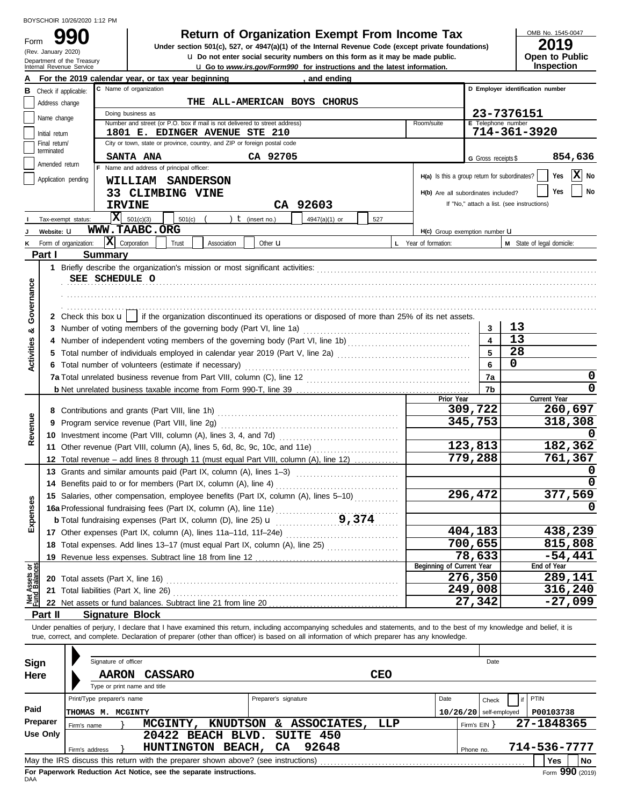Department of the Treasury<br>Internal Revenue Service

(Rev. January 2020)

Form

# **990 2019 Return of Organization Exempt From Income Tax**

**u** Go to *www.irs.gov/Form990* for instructions and the latest information. **u** Do not enter social security numbers on this form as it may be made public. **Under section 501(c), 527, or 4947(a)(1) of the Internal Revenue Code (except private foundations)** OMB No. 1545-0047

| 20 I Y                |
|-----------------------|
| <b>Open to Public</b> |
| <b>Inspection</b>     |

|                                |                             |                       | and ending<br>For the 2019 calendar year, or tax year beginning                                                                                                            |                                               |                          |                                            |  |  |
|--------------------------------|-----------------------------|-----------------------|----------------------------------------------------------------------------------------------------------------------------------------------------------------------------|-----------------------------------------------|--------------------------|--------------------------------------------|--|--|
| в                              |                             | Check if applicable:  | C Name of organization                                                                                                                                                     |                                               |                          | D Employer identification number           |  |  |
|                                | Address change              |                       | THE ALL-AMERICAN BOYS CHORUS                                                                                                                                               |                                               |                          |                                            |  |  |
|                                | Name change                 |                       | Doing business as                                                                                                                                                          |                                               | 23-7376151               |                                            |  |  |
|                                |                             |                       | Number and street (or P.O. box if mail is not delivered to street address)                                                                                                 | Room/suite                                    | E Telephone number       |                                            |  |  |
|                                | Initial return              |                       | 1801 E. EDINGER AVENUE STE 210                                                                                                                                             |                                               |                          | 714-361-3920                               |  |  |
|                                | Final return/<br>terminated |                       | City or town, state or province, country, and ZIP or foreign postal code                                                                                                   |                                               |                          |                                            |  |  |
|                                | Amended return              |                       | CA 92705<br><b>SANTA ANA</b>                                                                                                                                               |                                               | G Gross receipts \$      | 854,636                                    |  |  |
|                                |                             |                       | Name and address of principal officer:                                                                                                                                     | H(a) Is this a group return for subordinates? |                          | $ \mathbf{X} $ No<br>Yes                   |  |  |
|                                |                             | Application pending   | WILLIAM SANDERSON                                                                                                                                                          |                                               |                          |                                            |  |  |
|                                |                             |                       | 33 CLIMBING VINE                                                                                                                                                           | H(b) Are all subordinates included?           |                          | No<br>Yes                                  |  |  |
|                                |                             |                       | CA 92603<br><b>IRVINE</b>                                                                                                                                                  |                                               |                          | If "No," attach a list. (see instructions) |  |  |
|                                |                             | Tax-exempt status:    | $ \mathbf{X} $ 501(c)(3)<br>) $t$ (insert no.)<br>$501(c)$ (<br>4947(a)(1) or<br>527                                                                                       |                                               |                          |                                            |  |  |
|                                | Website: U                  |                       | WWW.TAABC.ORG                                                                                                                                                              | H(c) Group exemption number U                 |                          |                                            |  |  |
|                                |                             | Form of organization: | $ \mathbf{X} $ Corporation<br>Association<br>Other <b>u</b><br>Trust                                                                                                       | L Year of formation:                          |                          | M State of legal domicile:                 |  |  |
|                                | Part I                      |                       | <b>Summary</b>                                                                                                                                                             |                                               |                          |                                            |  |  |
|                                |                             |                       |                                                                                                                                                                            |                                               |                          |                                            |  |  |
|                                |                             |                       | SEE SCHEDULE O                                                                                                                                                             |                                               |                          |                                            |  |  |
|                                |                             |                       |                                                                                                                                                                            |                                               |                          |                                            |  |  |
| Governance                     |                             |                       |                                                                                                                                                                            |                                               |                          |                                            |  |  |
|                                |                             |                       | 2 Check this box $\mathbf{u}$   if the organization discontinued its operations or disposed of more than 25% of its net assets.                                            |                                               |                          |                                            |  |  |
| య                              |                             |                       | 3 Number of voting members of the governing body (Part VI, line 1a)                                                                                                        |                                               | 3                        | 13                                         |  |  |
|                                | 4                           |                       | Number of independent voting members of the governing body (Part VI, line 1b) [[[[[[[[[[[[[[[[[[[[[[[[[[[[[[[                                                              |                                               | $\blacktriangle$         | 13                                         |  |  |
|                                | 5                           |                       | Total number of individuals employed in calendar year 2019 (Part V, line 2a) [[[[[[[[[[[[[[[[[[[[[[[[[[[[[[[[                                                              |                                               | 5                        | 28                                         |  |  |
| <b>Activities</b>              |                             |                       | 6 Total number of volunteers (estimate if necessary)                                                                                                                       |                                               | 6                        | 0                                          |  |  |
|                                |                             |                       |                                                                                                                                                                            |                                               | 7a                       | 0                                          |  |  |
|                                |                             |                       |                                                                                                                                                                            |                                               | 7b                       | 0                                          |  |  |
|                                |                             |                       |                                                                                                                                                                            | Prior Year                                    |                          | Current Year                               |  |  |
|                                | 8                           |                       |                                                                                                                                                                            |                                               | 309,722                  | 260,697                                    |  |  |
|                                | 9                           |                       |                                                                                                                                                                            |                                               | 345,753                  | 318,308                                    |  |  |
| Revenue                        |                             |                       |                                                                                                                                                                            |                                               |                          |                                            |  |  |
|                                |                             |                       | 11 Other revenue (Part VIII, column (A), lines 5, 6d, 8c, 9c, 10c, and 11e)                                                                                                |                                               | 123,813                  | 182,362                                    |  |  |
|                                |                             |                       | 12 Total revenue - add lines 8 through 11 (must equal Part VIII, column (A), line 12)                                                                                      |                                               | 779,288                  | 761,367                                    |  |  |
|                                |                             |                       | 13 Grants and similar amounts paid (Part IX, column (A), lines 1-3)                                                                                                        |                                               |                          |                                            |  |  |
|                                | 14                          |                       |                                                                                                                                                                            |                                               |                          |                                            |  |  |
|                                |                             |                       | 15 Salaries, other compensation, employee benefits (Part IX, column (A), lines 5-10)                                                                                       |                                               | 296,472                  | 377,569                                    |  |  |
| xpenses                        |                             |                       | 15 Salaties, outer componenting fees (Part IX, column (A), line 11e)<br>16a Professional fundraising fees (Part IX, column (A), line 25) 11 9, 374                         |                                               |                          | O                                          |  |  |
|                                |                             |                       | .                                                                                                                                                                          |                                               |                          |                                            |  |  |
| ш                              |                             |                       | 17 Other expenses (Part IX, column (A), lines 11a-11d, 11f-24e)                                                                                                            |                                               | 404,183                  | 438,239                                    |  |  |
|                                |                             |                       | 18 Total expenses. Add lines 13-17 (must equal Part IX, column (A), line 25)                                                                                               |                                               | 700,655                  | 815,808                                    |  |  |
|                                |                             |                       | 19 Revenue less expenses. Subtract line 18 from line 12                                                                                                                    |                                               | 78,633                   | $-54,441$                                  |  |  |
|                                |                             |                       |                                                                                                                                                                            | Beginning of Current Year                     |                          | End of Year                                |  |  |
| Net Assets or<br>Fund Balances |                             |                       | 20 Total assets (Part X, line 16)                                                                                                                                          |                                               | 276,350                  | 289,141                                    |  |  |
|                                | 21                          |                       | Total liabilities (Part X, line 26)                                                                                                                                        |                                               | 249,008                  | 316,240                                    |  |  |
|                                |                             |                       | 22 Net assets or fund balances. Subtract line 21 from line 20                                                                                                              |                                               | 27,342                   | $-27,099$                                  |  |  |
|                                | Part II                     |                       | <b>Signature Block</b>                                                                                                                                                     |                                               |                          |                                            |  |  |
|                                |                             |                       | Under penalties of perjury, I declare that I have examined this return, including accompanying schedules and statements, and to the best of my knowledge and belief, it is |                                               |                          |                                            |  |  |
|                                |                             |                       | true, correct, and complete. Declaration of preparer (other than officer) is based on all information of which preparer has any knowledge.                                 |                                               |                          |                                            |  |  |
|                                |                             |                       |                                                                                                                                                                            |                                               |                          |                                            |  |  |
| Sign                           |                             |                       | Signature of officer                                                                                                                                                       |                                               | Date                     |                                            |  |  |
| Here                           |                             |                       | <b>CEO</b><br><b>AARON</b><br><b>CASSARO</b>                                                                                                                               |                                               |                          |                                            |  |  |
|                                |                             |                       | Type or print name and title                                                                                                                                               |                                               |                          |                                            |  |  |
|                                |                             |                       | Print/Type preparer's name<br>Preparer's signature                                                                                                                         | Date                                          | Check                    | <b>PTIN</b><br>if                          |  |  |
| Paid                           |                             |                       | <b>THOMAS M. MCGINTY</b>                                                                                                                                                   |                                               | $10/26/20$ self-employed | P00103738                                  |  |  |
|                                | Preparer                    | Firm's name           | KNUDTSON & ASSOCIATES,<br>MCGINTY,<br>LLP                                                                                                                                  |                                               | Firm's $EIN$ }           | 27-1848365                                 |  |  |
|                                | <b>Use Only</b>             |                       | 20422 BEACH BLVD.<br>SUITE 450                                                                                                                                             |                                               |                          |                                            |  |  |
|                                |                             | Firm's address        | 92648<br>HUNTINGTON BEACH,<br>CA                                                                                                                                           |                                               | Phone no.                | 714-536-7777                               |  |  |
|                                |                             |                       | May the IRS discuss this return with the preparer shown above? (see instructions)                                                                                          |                                               |                          | Yes<br><b>No</b>                           |  |  |

| Sign     |                            | Signature of officer |                                                                                   |               |                      |               |            |      | Date                     |      |              |           |
|----------|----------------------------|----------------------|-----------------------------------------------------------------------------------|---------------|----------------------|---------------|------------|------|--------------------------|------|--------------|-----------|
| Here     |                            | <b>AARON</b>         | CASSARO                                                                           |               |                      |               | <b>CEO</b> |      |                          |      |              |           |
|          |                            |                      | Type or print name and title                                                      |               |                      |               |            |      |                          |      |              |           |
|          | Print/Type preparer's name |                      |                                                                                   |               | Preparer's signature |               |            | Date | Check                    | if I | PTIN         |           |
| Paid     | <b>THOMAS M. MCGINTY</b>   |                      |                                                                                   |               |                      |               |            |      | $10/26/20$ self-employed |      | P00103738    |           |
| Preparer | Firm's name                |                      | MCGINTY,                                                                          | KNUDTSON      |                      | & ASSOCIATES, | LLP        |      | Firm's $EIN$             |      | 27-1848365   |           |
| Use Only |                            |                      | 20422 BEACH BLVD.                                                                 |               |                      | SUITE 450     |            |      |                          |      |              |           |
|          | Firm's address             |                      | <b>HUNTINGTON</b>                                                                 | <b>BEACH,</b> | CA                   | 92648         |            |      | Phone no.                |      | 714-536-7777 |           |
|          |                            |                      | May the IRS discuss this return with the preparer shown above? (see instructions) |               |                      |               |            |      |                          |      | <b>Yes</b>   | <b>No</b> |
|          |                            |                      | Fee Denomicals Dedication, Act Nation, non-the-concepts instrustions              |               |                      |               |            |      |                          |      |              | 0.00      |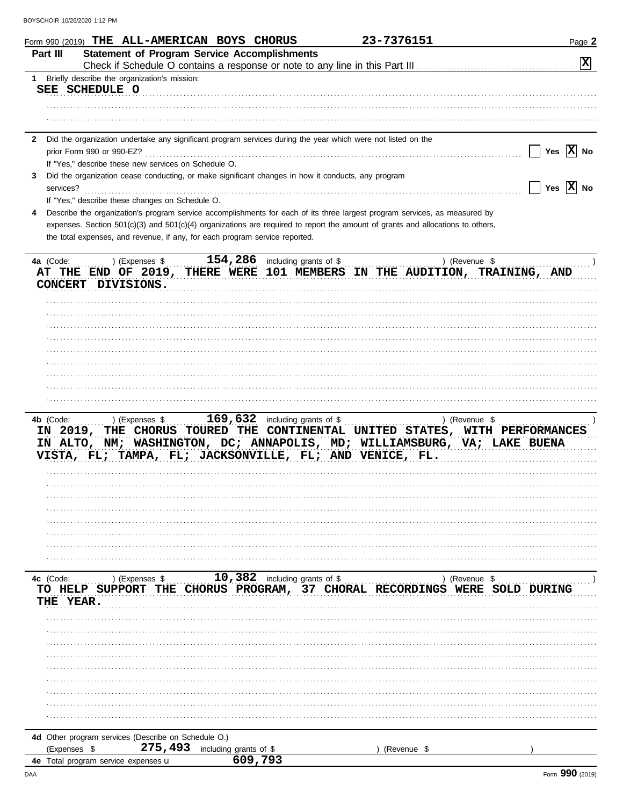| Form 990 (2019) THE ALL-AMERICAN BOYS CHORUS                                                                                    |                                                     | 23-7376151                                                         | Page 2                           |
|---------------------------------------------------------------------------------------------------------------------------------|-----------------------------------------------------|--------------------------------------------------------------------|----------------------------------|
| Part III                                                                                                                        | <b>Statement of Program Service Accomplishments</b> |                                                                    |                                  |
|                                                                                                                                 |                                                     |                                                                    | $ \mathbf{x} $                   |
| Briefly describe the organization's mission:<br>1<br>SEE SCHEDULE O                                                             |                                                     |                                                                    |                                  |
|                                                                                                                                 |                                                     |                                                                    |                                  |
|                                                                                                                                 |                                                     |                                                                    |                                  |
|                                                                                                                                 |                                                     |                                                                    |                                  |
| Did the organization undertake any significant program services during the year which were not listed on the<br>2               |                                                     |                                                                    |                                  |
| prior Form 990 or 990-EZ?                                                                                                       |                                                     |                                                                    | Yes $ X $ No                     |
| If "Yes," describe these new services on Schedule O.                                                                            |                                                     |                                                                    |                                  |
| Did the organization cease conducting, or make significant changes in how it conducts, any program<br>3                         |                                                     |                                                                    |                                  |
| services?<br>If "Yes," describe these changes on Schedule O.                                                                    |                                                     |                                                                    | $\vert$ Yes $\vert$ X $\vert$ No |
| Describe the organization's program service accomplishments for each of its three largest program services, as measured by<br>4 |                                                     |                                                                    |                                  |
| expenses. Section 501(c)(3) and 501(c)(4) organizations are required to report the amount of grants and allocations to others,  |                                                     |                                                                    |                                  |
| the total expenses, and revenue, if any, for each program service reported.                                                     |                                                     |                                                                    |                                  |
|                                                                                                                                 |                                                     |                                                                    |                                  |
| 4a (Code:<br>) (Expenses \$                                                                                                     | $\overline{154}$ , 286 including grants of \$       |                                                                    | ) (Revenue \$                    |
| AT THE END OF 2019, THERE WERE 101 MEMBERS IN THE AUDITION, TRAINING, AND                                                       |                                                     |                                                                    |                                  |
| CONCERT DIVISIONS.                                                                                                              |                                                     |                                                                    |                                  |
|                                                                                                                                 |                                                     |                                                                    |                                  |
|                                                                                                                                 |                                                     |                                                                    |                                  |
|                                                                                                                                 |                                                     |                                                                    |                                  |
|                                                                                                                                 |                                                     |                                                                    |                                  |
|                                                                                                                                 |                                                     |                                                                    |                                  |
|                                                                                                                                 |                                                     |                                                                    |                                  |
|                                                                                                                                 |                                                     |                                                                    |                                  |
|                                                                                                                                 |                                                     |                                                                    |                                  |
| 4b (Code:<br>) (Expenses \$<br>IN 2019,<br>IN ALTO, NM; WASHINGTON, DC; ANNAPOLIS, MD; WILLIAMSBURG, VA; LAKE BUENA             | 169,632 including grants of \$                      | THE CHORUS TOURED THE CONTINENTAL UNITED STATES, WITH PERFORMANCES | ) (Revenue \$                    |
| VISTA, FL; TAMPA, FL; JACKSONVILLE, FL; AND VENICE, FL.                                                                         |                                                     |                                                                    |                                  |
|                                                                                                                                 |                                                     |                                                                    |                                  |
|                                                                                                                                 |                                                     |                                                                    |                                  |
|                                                                                                                                 |                                                     |                                                                    |                                  |
|                                                                                                                                 |                                                     |                                                                    |                                  |
|                                                                                                                                 |                                                     |                                                                    |                                  |
|                                                                                                                                 |                                                     |                                                                    |                                  |
|                                                                                                                                 |                                                     |                                                                    |                                  |
|                                                                                                                                 |                                                     |                                                                    |                                  |
| ) (Expenses \$<br>4c (Code:<br>TO HELP SUPPORT<br>THE                                                                           | 10,382 including grants of $\sqrt[6]{\ }$           | CHORUS PROGRAM, 37 CHORAL RECORDINGS WERE SOLD                     | ) (Revenue \$<br><b>DURING</b>   |
| <b>THE YEAR.</b>                                                                                                                |                                                     |                                                                    |                                  |
|                                                                                                                                 |                                                     |                                                                    |                                  |
|                                                                                                                                 |                                                     |                                                                    |                                  |
|                                                                                                                                 |                                                     |                                                                    |                                  |
|                                                                                                                                 |                                                     |                                                                    |                                  |
|                                                                                                                                 |                                                     |                                                                    |                                  |
|                                                                                                                                 |                                                     |                                                                    |                                  |
|                                                                                                                                 |                                                     |                                                                    |                                  |
|                                                                                                                                 |                                                     |                                                                    |                                  |
|                                                                                                                                 |                                                     |                                                                    |                                  |
| 4d Other program services (Describe on Schedule O.)                                                                             |                                                     |                                                                    |                                  |
| 275,493<br>(Expenses \$                                                                                                         | including grants of \$                              | (Revenue \$                                                        |                                  |
| 4e Total program service expenses u                                                                                             | 609,793                                             |                                                                    |                                  |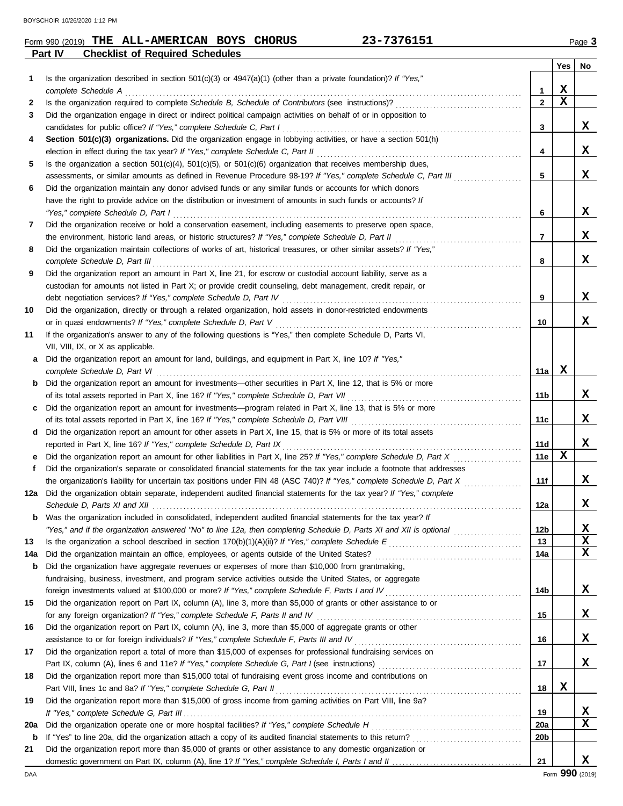|         | Form 990 (2019) THE ALL-AMERICAN BOYS CHORUS |  | 23-7376151 | ٽ Page |
|---------|----------------------------------------------|--|------------|--------|
| Part IV | <b>Checklist of Required Schedules</b>       |  |            |        |

|     |                                                                                                                                                                                                                                                   |              | Yes | No. |
|-----|---------------------------------------------------------------------------------------------------------------------------------------------------------------------------------------------------------------------------------------------------|--------------|-----|-----|
| 1   | Is the organization described in section $501(c)(3)$ or $4947(a)(1)$ (other than a private foundation)? If "Yes,"                                                                                                                                 |              |     |     |
|     | complete Schedule A example of the complete schedule A example the state of the state of the state of the state of the state of the state of the state of the state of the state of the state of the state of the state of the                    | 1            | X   |     |
| 2   |                                                                                                                                                                                                                                                   | $\mathbf{2}$ | X   |     |
| 3   | Did the organization engage in direct or indirect political campaign activities on behalf of or in opposition to                                                                                                                                  |              |     |     |
|     | candidates for public office? If "Yes," complete Schedule C, Part I                                                                                                                                                                               | 3            |     | X   |
| 4   | Section 501(c)(3) organizations. Did the organization engage in lobbying activities, or have a section 501(h)                                                                                                                                     |              |     |     |
|     |                                                                                                                                                                                                                                                   | 4            |     | X   |
| 5   | Is the organization a section $501(c)(4)$ , $501(c)(5)$ , or $501(c)(6)$ organization that receives membership dues,                                                                                                                              |              |     |     |
|     | assessments, or similar amounts as defined in Revenue Procedure 98-19? If "Yes," complete Schedule C, Part III                                                                                                                                    | 5            |     | X   |
| 6   | Did the organization maintain any donor advised funds or any similar funds or accounts for which donors                                                                                                                                           |              |     |     |
|     | have the right to provide advice on the distribution or investment of amounts in such funds or accounts? If                                                                                                                                       |              |     |     |
|     | "Yes," complete Schedule D, Part I encourance contract the contract of the Schedule D, Part I encourance and the street of the street of the street of the street of the street of the street of the street of the street of t                    | 6            |     | x   |
| 7   | Did the organization receive or hold a conservation easement, including easements to preserve open space,                                                                                                                                         |              |     |     |
|     |                                                                                                                                                                                                                                                   | 7            |     | x   |
| 8   | Did the organization maintain collections of works of art, historical treasures, or other similar assets? If "Yes,"                                                                                                                               |              |     |     |
|     | complete Schedule D, Part III et al. (2008) and the complete Schedule D, Part III et al. (2009) and the complete schedule D, Part III et al. (2009) and the complete schedule D, Part III et al. (2009) and the complete sched                    | 8            |     | X   |
| 9   | Did the organization report an amount in Part X, line 21, for escrow or custodial account liability, serve as a                                                                                                                                   |              |     |     |
|     | custodian for amounts not listed in Part X; or provide credit counseling, debt management, credit repair, or                                                                                                                                      |              |     |     |
|     |                                                                                                                                                                                                                                                   | 9            |     | X   |
| 10  | Did the organization, directly or through a related organization, hold assets in donor-restricted endowments                                                                                                                                      |              |     |     |
|     | or in quasi endowments? If "Yes," complete Schedule D, Part V                                                                                                                                                                                     | 10           |     | X   |
| 11  | If the organization's answer to any of the following questions is "Yes," then complete Schedule D, Parts VI,                                                                                                                                      |              |     |     |
|     | VII, VIII, IX, or X as applicable.                                                                                                                                                                                                                |              |     |     |
| a   | Did the organization report an amount for land, buildings, and equipment in Part X, line 10? If "Yes,"                                                                                                                                            |              |     |     |
|     |                                                                                                                                                                                                                                                   | 11a          | х   |     |
|     | <b>b</b> Did the organization report an amount for investments—other securities in Part X, line 12, that is 5% or more                                                                                                                            |              |     |     |
|     |                                                                                                                                                                                                                                                   | 11b          |     | X   |
| C   | Did the organization report an amount for investments—program related in Part X, line 13, that is 5% or more                                                                                                                                      |              |     |     |
|     |                                                                                                                                                                                                                                                   | 11c          |     | x   |
|     | d Did the organization report an amount for other assets in Part X, line 15, that is 5% or more of its total assets                                                                                                                               | 11d          |     | X   |
|     | reported in Part X, line 16? If "Yes," complete Schedule D, Part IX [11] Conserved in Part IX [11] Conserved in Part IX [11] Conserved in Part IX [11] Conserved in Part IX [11] Order In Part IX [11] Order In Part III Conse                    | 11e          | x   |     |
| е   |                                                                                                                                                                                                                                                   |              |     |     |
| f   | Did the organization's separate or consolidated financial statements for the tax year include a footnote that addresses<br>the organization's liability for uncertain tax positions under FIN 48 (ASC 740)? If "Yes," complete Schedule D, Part X | 11f          |     | x   |
| 12a | Did the organization obtain separate, independent audited financial statements for the tax year? If "Yes," complete                                                                                                                               |              |     |     |
|     |                                                                                                                                                                                                                                                   | 12a          |     | x   |
| b   | Was the organization included in consolidated, independent audited financial statements for the tax year? If                                                                                                                                      |              |     |     |
|     | "Yes," and if the organization answered "No" to line 12a, then completing Schedule D, Parts XI and XII is optional                                                                                                                                | 12b          |     | X   |
| 13  |                                                                                                                                                                                                                                                   | 13           |     | X   |
| 14a |                                                                                                                                                                                                                                                   | 14a          |     | X   |
| b   | Did the organization have aggregate revenues or expenses of more than \$10,000 from grantmaking,                                                                                                                                                  |              |     |     |
|     | fundraising, business, investment, and program service activities outside the United States, or aggregate                                                                                                                                         |              |     |     |
|     |                                                                                                                                                                                                                                                   | 14b          |     | x   |
| 15  | Did the organization report on Part IX, column (A), line 3, more than \$5,000 of grants or other assistance to or                                                                                                                                 |              |     |     |
|     |                                                                                                                                                                                                                                                   | 15           |     | X   |
| 16  | Did the organization report on Part IX, column (A), line 3, more than \$5,000 of aggregate grants or other                                                                                                                                        |              |     |     |
|     |                                                                                                                                                                                                                                                   | 16           |     | X   |
| 17  | Did the organization report a total of more than \$15,000 of expenses for professional fundraising services on                                                                                                                                    |              |     |     |
|     |                                                                                                                                                                                                                                                   | 17           |     | X   |
| 18  | Did the organization report more than \$15,000 total of fundraising event gross income and contributions on                                                                                                                                       |              |     |     |
|     | Part VIII, lines 1c and 8a? If "Yes," complete Schedule G, Part II [11] [12] [2] [2] [2] [2] [2] [3] [3] [3] [                                                                                                                                    | 18           | X   |     |
| 19  | Did the organization report more than \$15,000 of gross income from gaming activities on Part VIII, line 9a?                                                                                                                                      |              |     |     |
|     |                                                                                                                                                                                                                                                   | 19           |     | X   |
| 20a |                                                                                                                                                                                                                                                   | 20a          |     | x   |
| b   |                                                                                                                                                                                                                                                   | 20b          |     |     |
| 21  | Did the organization report more than \$5,000 of grants or other assistance to any domestic organization or                                                                                                                                       |              |     |     |
|     |                                                                                                                                                                                                                                                   | 21           |     | X   |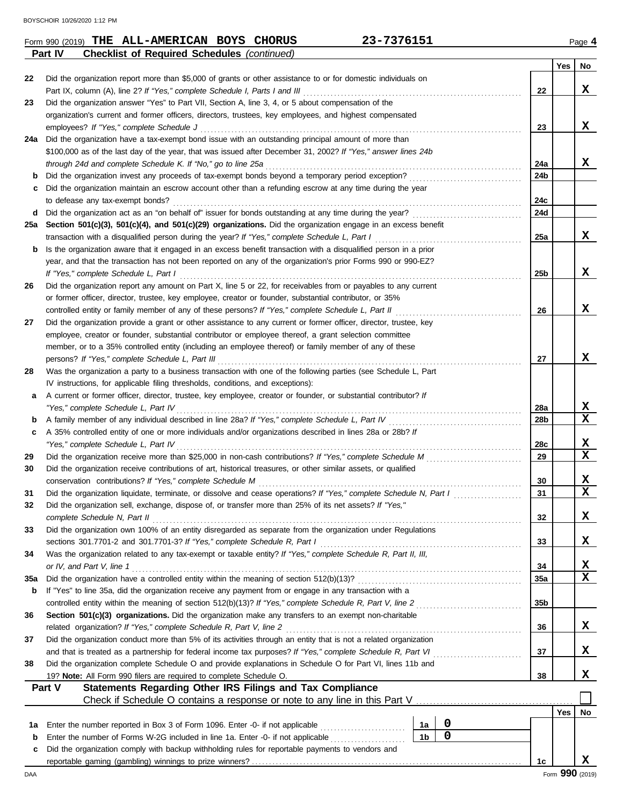**Part IV Checklist of Required Schedules** *(continued)*

| 22  | Did the organization report more than \$5,000 of grants or other assistance to or for domestic individuals on                                         |                 |     |                 |
|-----|-------------------------------------------------------------------------------------------------------------------------------------------------------|-----------------|-----|-----------------|
|     | Part IX, column (A), line 2? If "Yes," complete Schedule I, Parts I and III                                                                           | 22              |     | x               |
| 23  | Did the organization answer "Yes" to Part VII, Section A, line 3, 4, or 5 about compensation of the                                                   |                 |     |                 |
|     | organization's current and former officers, directors, trustees, key employees, and highest compensated                                               |                 |     |                 |
|     | employees? If "Yes," complete Schedule J                                                                                                              | 23              |     | x               |
| 24a | Did the organization have a tax-exempt bond issue with an outstanding principal amount of more than                                                   |                 |     |                 |
|     | \$100,000 as of the last day of the year, that was issued after December 31, 2002? If "Yes," answer lines 24b                                         |                 |     |                 |
|     | through 24d and complete Schedule K. If "No," go to line 25a                                                                                          | 24a             |     | x               |
| b   | Did the organization invest any proceeds of tax-exempt bonds beyond a temporary period exception?                                                     | 24 <sub>b</sub> |     |                 |
|     | Did the organization maintain an escrow account other than a refunding escrow at any time during the year                                             |                 |     |                 |
|     | to defease any tax-exempt bonds?                                                                                                                      | 24c             |     |                 |
| d   | Did the organization act as an "on behalf of" issuer for bonds outstanding at any time during the year?                                               | 24d             |     |                 |
| 25а | Section 501(c)(3), 501(c)(4), and 501(c)(29) organizations. Did the organization engage in an excess benefit                                          |                 |     | x               |
|     | transaction with a disqualified person during the year? If "Yes," complete Schedule L, Part I                                                         | 25a             |     |                 |
| b   | Is the organization aware that it engaged in an excess benefit transaction with a disqualified person in a prior                                      |                 |     |                 |
|     | year, and that the transaction has not been reported on any of the organization's prior Forms 990 or 990-EZ?<br>If "Yes," complete Schedule L, Part I |                 |     | X               |
|     | Did the organization report any amount on Part X, line 5 or 22, for receivables from or payables to any current                                       | 25b             |     |                 |
| 26  | or former officer, director, trustee, key employee, creator or founder, substantial contributor, or 35%                                               |                 |     |                 |
|     | controlled entity or family member of any of these persons? If "Yes," complete Schedule L, Part II                                                    | 26              |     | x               |
| 27  | Did the organization provide a grant or other assistance to any current or former officer, director, trustee, key                                     |                 |     |                 |
|     | employee, creator or founder, substantial contributor or employee thereof, a grant selection committee                                                |                 |     |                 |
|     | member, or to a 35% controlled entity (including an employee thereof) or family member of any of these                                                |                 |     |                 |
|     | persons? If "Yes," complete Schedule L, Part III                                                                                                      | 27              |     | x               |
| 28  | Was the organization a party to a business transaction with one of the following parties (see Schedule L, Part                                        |                 |     |                 |
|     | IV instructions, for applicable filing thresholds, conditions, and exceptions):                                                                       |                 |     |                 |
| а   | A current or former officer, director, trustee, key employee, creator or founder, or substantial contributor? If                                      |                 |     |                 |
|     | "Yes," complete Schedule L, Part IV                                                                                                                   | 28a             |     | X               |
| b   | A family member of any individual described in line 28a? If "Yes," complete Schedule L, Part IV                                                       | 28b             |     | $\mathbf x$     |
| c   | A 35% controlled entity of one or more individuals and/or organizations described in lines 28a or 28b? If                                             |                 |     |                 |
|     | "Yes," complete Schedule L, Part IV                                                                                                                   | 28c             |     | X               |
| 29  | Did the organization receive more than \$25,000 in non-cash contributions? If "Yes," complete Schedule M                                              | 29              |     | $\mathbf x$     |
| 30  | Did the organization receive contributions of art, historical treasures, or other similar assets, or qualified                                        |                 |     |                 |
|     | conservation contributions? If "Yes," complete Schedule M                                                                                             | 30              |     | X               |
| 31  | Did the organization liquidate, terminate, or dissolve and cease operations? If "Yes," complete Schedule N, Part I                                    | 31              |     | $\mathbf x$     |
| 32  | Did the organization sell, exchange, dispose of, or transfer more than 25% of its net assets? If "Yes,"                                               |                 |     |                 |
|     | complete Schedule N, Part II                                                                                                                          | 32              |     | X               |
| 33  | Did the organization own 100% of an entity disregarded as separate from the organization under Regulations                                            |                 |     |                 |
|     | sections 301.7701-2 and 301.7701-3? If "Yes," complete Schedule R, Part I                                                                             | 33              |     | X               |
| 34  | Was the organization related to any tax-exempt or taxable entity? If "Yes," complete Schedule R, Part II, III,                                        |                 |     |                 |
|     | or IV, and Part V, line 1                                                                                                                             | 34              |     | X               |
| 35a |                                                                                                                                                       | 35a             |     | X               |
| b   | If "Yes" to line 35a, did the organization receive any payment from or engage in any transaction with a                                               |                 |     |                 |
|     |                                                                                                                                                       | 35b             |     |                 |
| 36  | Section 501(c)(3) organizations. Did the organization make any transfers to an exempt non-charitable                                                  |                 |     |                 |
|     | related organization? If "Yes," complete Schedule R, Part V, line 2                                                                                   | 36              |     | X               |
| 37  | Did the organization conduct more than 5% of its activities through an entity that is not a related organization                                      |                 |     |                 |
|     |                                                                                                                                                       | 37              |     | X               |
| 38  | Did the organization complete Schedule O and provide explanations in Schedule O for Part VI, lines 11b and                                            |                 |     |                 |
|     | 19? Note: All Form 990 filers are required to complete Schedule O.                                                                                    | 38              |     | x               |
|     | Part V<br>Statements Regarding Other IRS Filings and Tax Compliance                                                                                   |                 |     |                 |
|     | Check if Schedule O contains a response or note to any line in this Part V                                                                            |                 |     |                 |
|     |                                                                                                                                                       |                 | Yes | No              |
| 1а  | 0<br>Enter the number reported in Box 3 of Form 1096. Enter -0- if not applicable<br>1a<br>$\mathbf 0$                                                |                 |     |                 |
| b   | 1 <sub>b</sub><br>Enter the number of Forms W-2G included in line 1a. Enter -0- if not applicable                                                     |                 |     |                 |
| c   | Did the organization comply with backup withholding rules for reportable payments to vendors and                                                      |                 |     |                 |
|     |                                                                                                                                                       | 1c              |     | X.              |
| DAA |                                                                                                                                                       |                 |     | Form 990 (2019) |

**Yes No**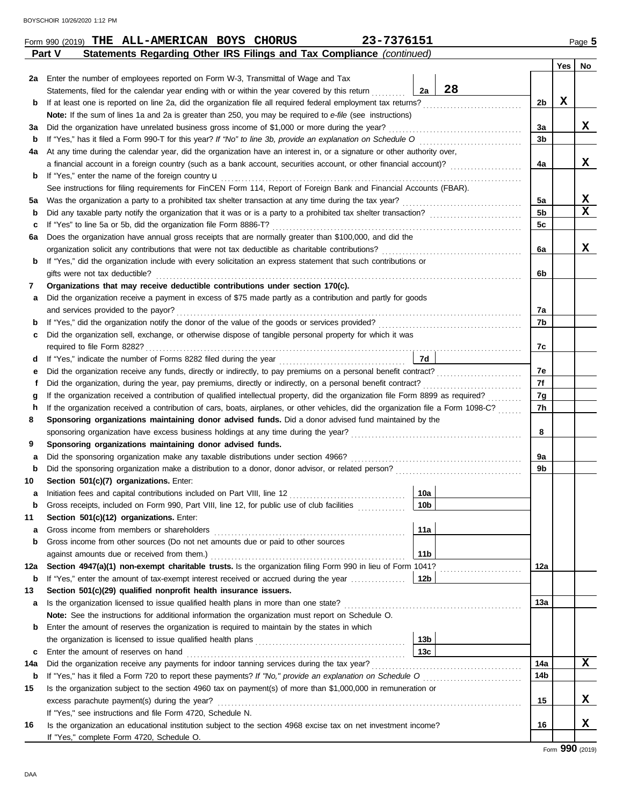|     | 23-7376151<br>Form 990 (2019) THE ALL-AMERICAN BOYS CHORUS                                                                                                                  |                 |          |         | Page 5 |
|-----|-----------------------------------------------------------------------------------------------------------------------------------------------------------------------------|-----------------|----------|---------|--------|
|     | Statements Regarding Other IRS Filings and Tax Compliance (continued)<br>Part V                                                                                             |                 |          |         |        |
|     |                                                                                                                                                                             |                 |          | Yes $ $ | No     |
| 2a  | Enter the number of employees reported on Form W-3, Transmittal of Wage and Tax                                                                                             |                 |          |         |        |
|     | Statements, filed for the calendar year ending with or within the year covered by this return                                                                               | 28<br>2a        |          |         |        |
| b   | If at least one is reported on line 2a, did the organization file all required federal employment tax returns?                                                              |                 | 2b       | х       |        |
|     | Note: If the sum of lines 1a and 2a is greater than 250, you may be required to e-file (see instructions)                                                                   |                 |          |         |        |
| за  | Did the organization have unrelated business gross income of \$1,000 or more during the year?                                                                               |                 | 3a       |         | x      |
| b   | If "Yes," has it filed a Form 990-T for this year? If "No" to line 3b, provide an explanation on Schedule O                                                                 |                 | 3b       |         |        |
| 4a  | At any time during the calendar year, did the organization have an interest in, or a signature or other authority over,                                                     |                 |          |         |        |
|     |                                                                                                                                                                             |                 | 4a       |         | X      |
| b   | If "Yes," enter the name of the foreign country u                                                                                                                           |                 |          |         |        |
|     | See instructions for filing requirements for FinCEN Form 114, Report of Foreign Bank and Financial Accounts (FBAR).                                                         |                 |          |         | X      |
| 5а  |                                                                                                                                                                             |                 | 5a<br>5b |         | X      |
| b   | Did any taxable party notify the organization that it was or is a party to a prohibited tax shelter transaction?                                                            |                 |          |         |        |
| c   | If "Yes" to line 5a or 5b, did the organization file Form 8886-T?<br>Does the organization have annual gross receipts that are normally greater than \$100,000, and did the |                 | 5c       |         |        |
| 6а  | organization solicit any contributions that were not tax deductible as charitable contributions?                                                                            |                 | 6а       |         | x      |
| b   | If "Yes," did the organization include with every solicitation an express statement that such contributions or                                                              |                 |          |         |        |
|     | gifts were not tax deductible?                                                                                                                                              |                 | 6b       |         |        |
| 7   | Organizations that may receive deductible contributions under section 170(c).                                                                                               |                 |          |         |        |
| а   | Did the organization receive a payment in excess of \$75 made partly as a contribution and partly for goods                                                                 |                 |          |         |        |
|     | and services provided to the payor?                                                                                                                                         |                 | 7a       |         |        |
| b   |                                                                                                                                                                             |                 | 7b       |         |        |
| c   | Did the organization sell, exchange, or otherwise dispose of tangible personal property for which it was                                                                    |                 |          |         |        |
|     |                                                                                                                                                                             |                 | 7c       |         |        |
| d   |                                                                                                                                                                             | 7d              |          |         |        |
| е   |                                                                                                                                                                             |                 | 7e       |         |        |
| f   | Did the organization, during the year, pay premiums, directly or indirectly, on a personal benefit contract?                                                                |                 | 7f       |         |        |
| g   | If the organization received a contribution of qualified intellectual property, did the organization file Form 8899 as required?                                            |                 | 7g       |         |        |
| h   | If the organization received a contribution of cars, boats, airplanes, or other vehicles, did the organization file a Form 1098-C?                                          |                 | 7h       |         |        |
| 8   | Sponsoring organizations maintaining donor advised funds. Did a donor advised fund maintained by the                                                                        |                 |          |         |        |
|     |                                                                                                                                                                             |                 | 8        |         |        |
| 9   | Sponsoring organizations maintaining donor advised funds.                                                                                                                   |                 |          |         |        |
| а   | Did the sponsoring organization make any taxable distributions under section 4966?                                                                                          |                 | 9а       |         |        |
| b   |                                                                                                                                                                             |                 | 9b       |         |        |
| 10  | Section 501(c)(7) organizations. Enter:                                                                                                                                     |                 |          |         |        |
|     | Initiation fees and capital contributions included on Part VIII, line 12                                                                                                    | 10a             |          |         |        |
| b   | Gross receipts, included on Form 990, Part VIII, line 12, for public use of club facilities                                                                                 | 10 <sub>b</sub> |          |         |        |
| 11  | Section 501(c)(12) organizations. Enter:                                                                                                                                    |                 |          |         |        |
| a   | Gross income from members or shareholders                                                                                                                                   | 11a             |          |         |        |
| b   | Gross income from other sources (Do not net amounts due or paid to other sources                                                                                            |                 |          |         |        |
|     |                                                                                                                                                                             | 11 <sub>b</sub> |          |         |        |
| 12a | Section 4947(a)(1) non-exempt charitable trusts. Is the organization filing Form 990 in lieu of Form 1041?                                                                  |                 | 12a      |         |        |
| b   | If "Yes," enter the amount of tax-exempt interest received or accrued during the year                                                                                       | 12b             |          |         |        |
| 13  | Section 501(c)(29) qualified nonprofit health insurance issuers.                                                                                                            |                 |          |         |        |
| а   | Is the organization licensed to issue qualified health plans in more than one state?                                                                                        |                 | 13а      |         |        |
|     | Note: See the instructions for additional information the organization must report on Schedule O.                                                                           |                 |          |         |        |
| b   | Enter the amount of reserves the organization is required to maintain by the states in which                                                                                |                 |          |         |        |
|     |                                                                                                                                                                             | 13 <sub>b</sub> |          |         |        |
| c   | Enter the amount of reserves on hand                                                                                                                                        | 13 <sub>c</sub> |          |         |        |
| 14a | Did the organization receive any payments for indoor tanning services during the tax year?                                                                                  |                 | 14a      |         | X      |
| b   |                                                                                                                                                                             |                 | 14b      |         |        |
| 15  | Is the organization subject to the section 4960 tax on payment(s) of more than \$1,000,000 in remuneration or                                                               |                 |          |         |        |
|     | excess parachute payment(s) during the year?                                                                                                                                |                 | 15       |         | x      |
|     | If "Yes," see instructions and file Form 4720, Schedule N.                                                                                                                  |                 |          |         |        |
| 16  | Is the organization an educational institution subject to the section 4968 excise tax on net investment income?                                                             |                 | 16       |         | X      |
|     | If "Yes," complete Form 4720, Schedule O.                                                                                                                                   |                 |          |         |        |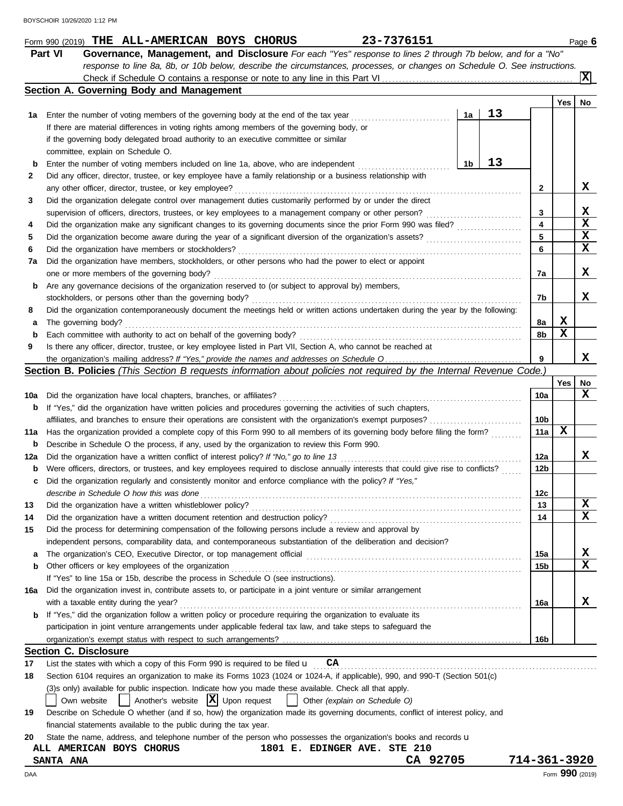|     | 23-7376151<br>Form 990 (2019) THE ALL-AMERICAN BOYS CHORUS                                                                                                                                                           |                 |     | Page 6          |
|-----|----------------------------------------------------------------------------------------------------------------------------------------------------------------------------------------------------------------------|-----------------|-----|-----------------|
|     | Governance, Management, and Disclosure For each "Yes" response to lines 2 through 7b below, and for a "No"<br><b>Part VI</b>                                                                                         |                 |     |                 |
|     | response to line 8a, 8b, or 10b below, describe the circumstances, processes, or changes on Schedule O. See instructions.                                                                                            |                 |     |                 |
|     |                                                                                                                                                                                                                      |                 |     | ΙxΙ             |
|     | Section A. Governing Body and Management                                                                                                                                                                             |                 |     |                 |
|     |                                                                                                                                                                                                                      |                 | Yes | No              |
| 1а  | 13<br>1a<br>Enter the number of voting members of the governing body at the end of the tax year                                                                                                                      |                 |     |                 |
|     | If there are material differences in voting rights among members of the governing body, or                                                                                                                           |                 |     |                 |
|     | if the governing body delegated broad authority to an executive committee or similar                                                                                                                                 |                 |     |                 |
|     | committee, explain on Schedule O.                                                                                                                                                                                    |                 |     |                 |
| b   | 13<br>1b<br>Enter the number of voting members included on line 1a, above, who are independent                                                                                                                       |                 |     |                 |
| 2   | Did any officer, director, trustee, or key employee have a family relationship or a business relationship with                                                                                                       |                 |     | X               |
|     | any other officer, director, trustee, or key employee?                                                                                                                                                               | 2               |     |                 |
| 3   | Did the organization delegate control over management duties customarily performed by or under the direct<br>supervision of officers, directors, trustees, or key employees to a management company or other person? | 3               |     | X               |
| 4   | Did the organization make any significant changes to its governing documents since the prior Form 990 was filed?                                                                                                     | 4               |     | X               |
| 5   |                                                                                                                                                                                                                      | 5               |     | X               |
| 6   | Did the organization have members or stockholders?                                                                                                                                                                   | 6               |     | X               |
| 7a  | Did the organization have members, stockholders, or other persons who had the power to elect or appoint                                                                                                              |                 |     |                 |
|     | one or more members of the governing body?                                                                                                                                                                           | 7a              |     | x               |
| b   | Are any governance decisions of the organization reserved to (or subject to approval by) members,                                                                                                                    |                 |     |                 |
|     | stockholders, or persons other than the governing body?                                                                                                                                                              | 7b              |     | x               |
| 8   | Did the organization contemporaneously document the meetings held or written actions undertaken during the year by the following:                                                                                    |                 |     |                 |
| а   | The governing body?                                                                                                                                                                                                  | 8a              | х   |                 |
| b   | Each committee with authority to act on behalf of the governing body?                                                                                                                                                | 8b              | x   |                 |
| 9   | Is there any officer, director, trustee, or key employee listed in Part VII, Section A, who cannot be reached at                                                                                                     |                 |     |                 |
|     |                                                                                                                                                                                                                      | 9               |     | x               |
|     | Section B. Policies (This Section B requests information about policies not required by the Internal Revenue Code.)                                                                                                  |                 |     |                 |
|     |                                                                                                                                                                                                                      |                 | Yes | No              |
| 10a | Did the organization have local chapters, branches, or affiliates?                                                                                                                                                   | 10a             |     | x               |
| b   | If "Yes," did the organization have written policies and procedures governing the activities of such chapters,                                                                                                       |                 |     |                 |
|     |                                                                                                                                                                                                                      | 10 <sub>b</sub> |     |                 |
| 11a | Has the organization provided a complete copy of this Form 990 to all members of its governing body before filing the form?                                                                                          | 11a             | X   |                 |
| b   | Describe in Schedule O the process, if any, used by the organization to review this Form 990.                                                                                                                        |                 |     |                 |
| 12a | Did the organization have a written conflict of interest policy? If "No," go to line 13                                                                                                                              | 12a             |     | x               |
| b   | Were officers, directors, or trustees, and key employees required to disclose annually interests that could give rise to conflicts?                                                                                  | 12b             |     |                 |
| c   | Did the organization regularly and consistently monitor and enforce compliance with the policy? If "Yes,"                                                                                                            |                 |     |                 |
|     | describe in Schedule O how this was done                                                                                                                                                                             | 12 <sub>c</sub> |     |                 |
| 13  | Did the organization have a written whistleblower policy?                                                                                                                                                            | 13              |     | $\mathbf x$     |
| 14  | Did the organization have a written document retention and destruction policy?                                                                                                                                       | 14              |     | x               |
| 15  | Did the process for determining compensation of the following persons include a review and approval by                                                                                                               |                 |     |                 |
|     | independent persons, comparability data, and contemporaneous substantiation of the deliberation and decision?                                                                                                        |                 |     |                 |
| a   |                                                                                                                                                                                                                      | 15a             |     | X<br>X          |
| b   | Other officers or key employees of the organization<br>If "Yes" to line 15a or 15b, describe the process in Schedule O (see instructions).                                                                           | 15b             |     |                 |
| 16a | Did the organization invest in, contribute assets to, or participate in a joint venture or similar arrangement                                                                                                       |                 |     |                 |
|     | with a taxable entity during the year?                                                                                                                                                                               | 16a             |     | X.              |
| b   | If "Yes," did the organization follow a written policy or procedure requiring the organization to evaluate its                                                                                                       |                 |     |                 |
|     | participation in joint venture arrangements under applicable federal tax law, and take steps to safeguard the                                                                                                        |                 |     |                 |
|     |                                                                                                                                                                                                                      | 16b             |     |                 |
|     | <b>Section C. Disclosure</b>                                                                                                                                                                                         |                 |     |                 |
| 17  | List the states with which a copy of this Form 990 is required to be filed $\mathbf{u}$ $\mathbf{CA}$                                                                                                                |                 |     |                 |
| 18  | Section 6104 requires an organization to make its Forms 1023 (1024 or 1024-A, if applicable), 990, and 990-T (Section 501(c)                                                                                         |                 |     |                 |
|     | (3)s only) available for public inspection. Indicate how you made these available. Check all that apply.                                                                                                             |                 |     |                 |
|     | Another's website $ X $ Upon request<br>Other (explain on Schedule O)<br>Own website                                                                                                                                 |                 |     |                 |
| 19  | Describe on Schedule O whether (and if so, how) the organization made its governing documents, conflict of interest policy, and                                                                                      |                 |     |                 |
|     | financial statements available to the public during the tax year.                                                                                                                                                    |                 |     |                 |
| 20  | State the name, address, and telephone number of the person who possesses the organization's books and records u                                                                                                     |                 |     |                 |
|     | 1801 E. EDINGER AVE. STE 210<br>ALL AMERICAN BOYS CHORUS                                                                                                                                                             |                 |     |                 |
|     | CA 92705<br><b>SANTA ANA</b>                                                                                                                                                                                         | 714-361-3920    |     |                 |
| DAA |                                                                                                                                                                                                                      |                 |     | Form 990 (2019) |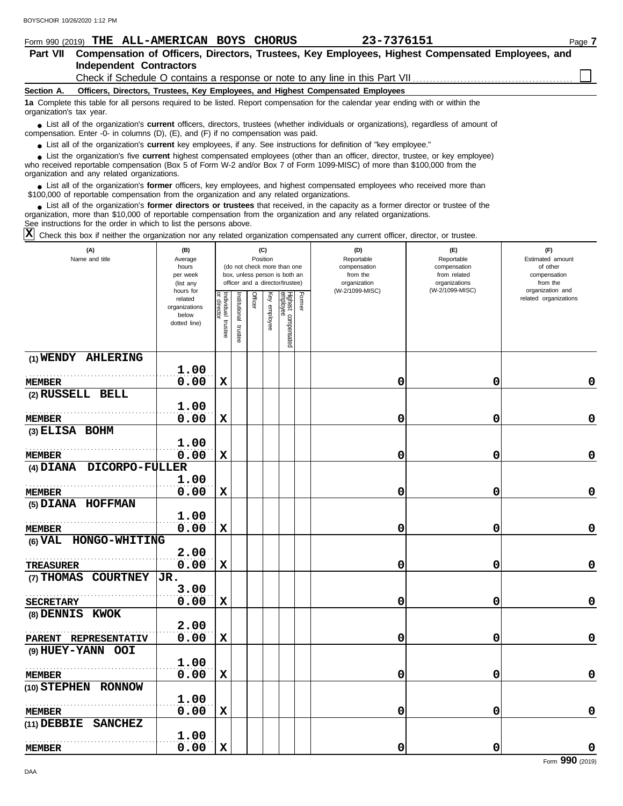| BOYSCHOIR 10/26/2020 1:12 PM                                                                                                                                                                                                                                                                                                |                        |                          |               |                |          |                                 |        |                                                                                                  |                                  |                              |        |
|-----------------------------------------------------------------------------------------------------------------------------------------------------------------------------------------------------------------------------------------------------------------------------------------------------------------------------|------------------------|--------------------------|---------------|----------------|----------|---------------------------------|--------|--------------------------------------------------------------------------------------------------|----------------------------------|------------------------------|--------|
| Form 990 (2019) THE ALL-AMERICAN BOYS CHORUS                                                                                                                                                                                                                                                                                |                        |                          |               |                |          |                                 |        | 23-7376151                                                                                       |                                  |                              | Page 7 |
| <b>Part VII</b>                                                                                                                                                                                                                                                                                                             |                        |                          |               |                |          |                                 |        | Compensation of Officers, Directors, Trustees, Key Employees, Highest Compensated Employees, and |                                  |                              |        |
| <b>Independent Contractors</b>                                                                                                                                                                                                                                                                                              |                        |                          |               |                |          |                                 |        |                                                                                                  |                                  |                              |        |
|                                                                                                                                                                                                                                                                                                                             |                        |                          |               |                |          |                                 |        | Check if Schedule O contains a response or note to any line in this Part VII                     |                                  |                              |        |
| Section A.                                                                                                                                                                                                                                                                                                                  |                        |                          |               |                |          |                                 |        | Officers, Directors, Trustees, Key Employees, and Highest Compensated Employees                  |                                  |                              |        |
| 1a Complete this table for all persons required to be listed. Report compensation for the calendar year ending with or within the<br>organization's tax year.                                                                                                                                                               |                        |                          |               |                |          |                                 |        |                                                                                                  |                                  |                              |        |
| • List all of the organization's <b>current</b> officers, directors, trustees (whether individuals or organizations), regardless of amount of<br>compensation. Enter -0- in columns (D), (E), and (F) if no compensation was paid.                                                                                          |                        |                          |               |                |          |                                 |        |                                                                                                  |                                  |                              |        |
| • List all of the organization's current key employees, if any. See instructions for definition of "key employee."                                                                                                                                                                                                          |                        |                          |               |                |          |                                 |        |                                                                                                  |                                  |                              |        |
| • List the organization's five current highest compensated employees (other than an officer, director, trustee, or key employee)<br>who received reportable compensation (Box 5 of Form W-2 and/or Box 7 of Form 1099-MISC) of more than \$100,000 from the<br>organization and any related organizations.                  |                        |                          |               |                |          |                                 |        |                                                                                                  |                                  |                              |        |
| • List all of the organization's <b>former</b> officers, key employees, and highest compensated employees who received more than<br>\$100,000 of reportable compensation from the organization and any related organizations.                                                                                               |                        |                          |               |                |          |                                 |        |                                                                                                  |                                  |                              |        |
| List all of the organization's former directors or trustees that received, in the capacity as a former director or trustee of the<br>organization, more than \$10,000 of reportable compensation from the organization and any related organizations.<br>See instructions for the order in which to list the persons above. |                        |                          |               |                |          |                                 |        |                                                                                                  |                                  |                              |        |
| Ιx<br>Check this box if neither the organization nor any related organization compensated any current officer, director, or trustee.                                                                                                                                                                                        |                        |                          |               |                |          |                                 |        |                                                                                                  |                                  |                              |        |
| (A)                                                                                                                                                                                                                                                                                                                         | (B)                    |                          |               |                | (C)      |                                 |        | (D)                                                                                              | (E)                              | (F)                          |        |
| Name and title                                                                                                                                                                                                                                                                                                              | Average                |                          |               |                | Position | (do not check more than one     |        | Reportable                                                                                       | Reportable                       | Estimated amount<br>of other |        |
|                                                                                                                                                                                                                                                                                                                             | hours<br>per week      |                          |               |                |          | box, unless person is both an   |        | compensation<br>from the                                                                         | compensation<br>from related     | compensation                 |        |
|                                                                                                                                                                                                                                                                                                                             | (list any<br>hours for |                          |               |                |          | officer and a director/trustee) |        | organization<br>(W-2/1099-MISC)                                                                  | organizations<br>(W-2/1099-MISC) | from the<br>organization and |        |
|                                                                                                                                                                                                                                                                                                                             | related                | Individual<br>Individual |               | <b>Officer</b> | Key      | Highest a                       | Former |                                                                                                  |                                  | related organizations        |        |
|                                                                                                                                                                                                                                                                                                                             | organizations          |                          | Institutional |                |          |                                 |        |                                                                                                  |                                  |                              |        |
|                                                                                                                                                                                                                                                                                                                             | below<br>dotted line)  |                          |               |                | employee |                                 |        |                                                                                                  |                                  |                              |        |
|                                                                                                                                                                                                                                                                                                                             |                        | trustee                  | trustee       |                |          | compensated                     |        |                                                                                                  |                                  |                              |        |
|                                                                                                                                                                                                                                                                                                                             |                        |                          |               |                |          |                                 |        |                                                                                                  |                                  |                              |        |
| (1) WENDY AHLERING                                                                                                                                                                                                                                                                                                          |                        |                          |               |                |          |                                 |        |                                                                                                  |                                  |                              |        |
|                                                                                                                                                                                                                                                                                                                             | 1.00                   |                          |               |                |          |                                 |        |                                                                                                  |                                  |                              |        |
| <b>MEMBER</b>                                                                                                                                                                                                                                                                                                               | 0.00                   | $\mathbf x$              |               |                |          |                                 |        | 0                                                                                                | 0                                |                              | 0      |
| (2) RUSSELL BELL                                                                                                                                                                                                                                                                                                            |                        |                          |               |                |          |                                 |        |                                                                                                  |                                  |                              |        |
|                                                                                                                                                                                                                                                                                                                             | 1.00                   |                          |               |                |          |                                 |        |                                                                                                  |                                  |                              |        |
| <b>MEMBER</b>                                                                                                                                                                                                                                                                                                               | 0.00                   | х                        |               |                |          |                                 |        | 0                                                                                                | 0                                |                              | 0      |
| (3) ELISA BOHM                                                                                                                                                                                                                                                                                                              |                        |                          |               |                |          |                                 |        |                                                                                                  |                                  |                              |        |
|                                                                                                                                                                                                                                                                                                                             | 1.00                   |                          |               |                |          |                                 |        |                                                                                                  |                                  |                              |        |
| MEMBER                                                                                                                                                                                                                                                                                                                      | 0.00                   | $\mathbf x$              |               |                |          |                                 |        | 0                                                                                                | 0                                |                              | 0      |
| (4) DIANA DICORPO-FULLER                                                                                                                                                                                                                                                                                                    |                        |                          |               |                |          |                                 |        |                                                                                                  |                                  |                              |        |
|                                                                                                                                                                                                                                                                                                                             | 1.00                   |                          |               |                |          |                                 |        |                                                                                                  |                                  |                              |        |
| <b>MEMBER</b>                                                                                                                                                                                                                                                                                                               | 0.00                   | X                        |               |                |          |                                 |        | 0                                                                                                | 0                                |                              | 0      |
| (5) DIANA HOFFMAN                                                                                                                                                                                                                                                                                                           |                        |                          |               |                |          |                                 |        |                                                                                                  |                                  |                              |        |
|                                                                                                                                                                                                                                                                                                                             | 1.00                   |                          |               |                |          |                                 |        |                                                                                                  |                                  |                              |        |
| <b>MEMBER</b>                                                                                                                                                                                                                                                                                                               | 0.00                   | $\mathbf x$              |               |                |          |                                 |        | 0                                                                                                | 0                                |                              | 0      |
| (6) VAL HONGO-WHITING                                                                                                                                                                                                                                                                                                       |                        |                          |               |                |          |                                 |        |                                                                                                  |                                  |                              |        |

**0.00 X 0 0 0**

**0.00 X 0 0 0**

**(9) HUEY-YANN OOI (10) STEPHEN RONNOW (11) DEBBIE SANCHEZ PARENT REPRESENTATIV** 0.00 . . . . . . . . . . . . . . . . . . . . . . . . . . . . . . . . . . . . . . . . . . . . . . . . . . . . . . .  $\overline{\text{ER}}$ . . . . . . . . . . . . . . . . . . . . . . . . . . . . . . . . . . . . . . . . . . . . . . . . . . . . . . . **2.00 0.00 X 0 0 0 MEMBER 1.00 0.00 X 0 0 0 MEMBER 1.00 0.00 X 0 0 0 MEMBER 1.00 0.00 X 0 0 0**

Form **990** (2019)

**(7) THOMAS COURTNEY JR.**

. . . . . . . . . . . . . . . . . . . . . . . . . . . . . . . . . . . . . . . . . . . . . . . . . . . . . . .

**2.00**

**3.00**

. . . . . . . . . . . . . . . . . . . . . . . . . . . . . . . . . . . . . . . . . . . . . . . . . . . . . . .

**(8) DENNIS KWOK**

**TREASURER**

**SECRETARY**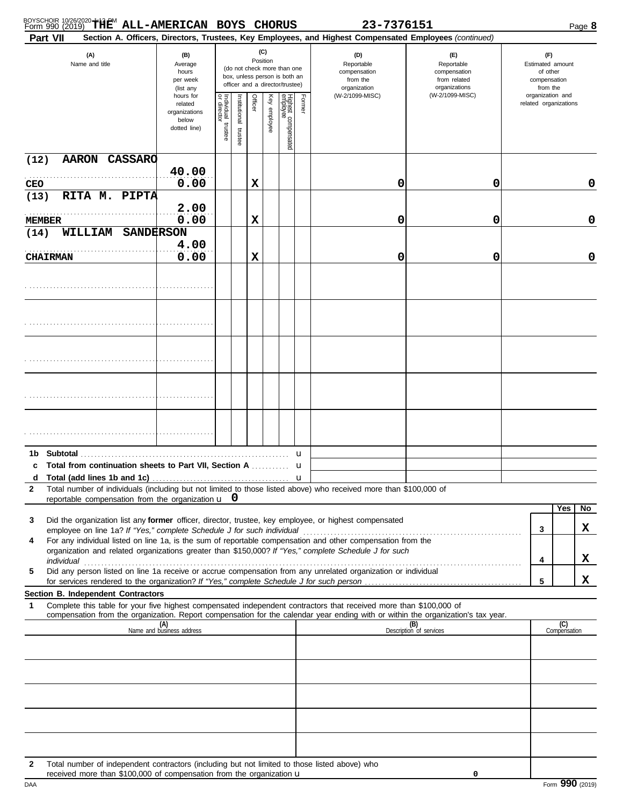| BOYSCHOIR 10/26/2020 THEM ALL-AMERICAN BOYS |  | CHORUS | 23-7376151 | $^$ oaqe $\bm{8}$ |
|---------------------------------------------|--|--------|------------|-------------------|

|                    | 0 000 <u>10</u> 0 10<br>Part VII                                                                                                                                                                                                                                                                                                                                                                                                                                                                                                       |                                                                |                                   |                          |          |              |                                                                                                 |        | Section A. Officers, Directors, Trustees, Key Employees, and Highest Compensated Employees (continued) |                                                                    |                                                                 | . ago e             |
|--------------------|----------------------------------------------------------------------------------------------------------------------------------------------------------------------------------------------------------------------------------------------------------------------------------------------------------------------------------------------------------------------------------------------------------------------------------------------------------------------------------------------------------------------------------------|----------------------------------------------------------------|-----------------------------------|--------------------------|----------|--------------|-------------------------------------------------------------------------------------------------|--------|--------------------------------------------------------------------------------------------------------|--------------------------------------------------------------------|-----------------------------------------------------------------|---------------------|
|                    | (A)<br>Name and title                                                                                                                                                                                                                                                                                                                                                                                                                                                                                                                  | (B)<br>Average<br>hours<br>per week<br>(list any               |                                   |                          | Position | (C)          | (do not check more than one<br>box, unless person is both an<br>officer and a director/trustee) |        | (D)<br>Reportable<br>compensation<br>from the<br>organization                                          | (E)<br>Reportable<br>compensation<br>from related<br>organizations | (F)<br>Estimated amount<br>of other<br>compensation<br>from the |                     |
|                    |                                                                                                                                                                                                                                                                                                                                                                                                                                                                                                                                        | hours for<br>related<br>organizations<br>below<br>dotted line) | Individual trustee<br>or director | Institutional<br>trustee | Officer  | Key employee | Highest compensated<br>employee                                                                 | Former | (W-2/1099-MISC)                                                                                        | (W-2/1099-MISC)                                                    | organization and<br>related organizations                       |                     |
| (12)<br><b>CEO</b> | <b>AARON CASSARO</b>                                                                                                                                                                                                                                                                                                                                                                                                                                                                                                                   | 40.00<br>0.00                                                  |                                   |                          | х        |              |                                                                                                 |        | 0                                                                                                      | 0                                                                  |                                                                 | 0                   |
| (13)               | RITA M. PIPTA<br><b>MEMBER</b>                                                                                                                                                                                                                                                                                                                                                                                                                                                                                                         | 2.00<br>0.00                                                   |                                   |                          | х        |              |                                                                                                 |        | 0                                                                                                      | 0                                                                  |                                                                 | 0                   |
| (14)               | WILLIAM SANDERSON<br><b>CHAIRMAN</b>                                                                                                                                                                                                                                                                                                                                                                                                                                                                                                   | 4.00<br>0.00                                                   |                                   |                          | х        |              |                                                                                                 |        | 0                                                                                                      | 0                                                                  |                                                                 | 0                   |
|                    |                                                                                                                                                                                                                                                                                                                                                                                                                                                                                                                                        |                                                                |                                   |                          |          |              |                                                                                                 |        |                                                                                                        |                                                                    |                                                                 |                     |
|                    |                                                                                                                                                                                                                                                                                                                                                                                                                                                                                                                                        |                                                                |                                   |                          |          |              |                                                                                                 |        |                                                                                                        |                                                                    |                                                                 |                     |
|                    |                                                                                                                                                                                                                                                                                                                                                                                                                                                                                                                                        |                                                                |                                   |                          |          |              |                                                                                                 |        |                                                                                                        |                                                                    |                                                                 |                     |
|                    |                                                                                                                                                                                                                                                                                                                                                                                                                                                                                                                                        |                                                                |                                   |                          |          |              |                                                                                                 |        |                                                                                                        |                                                                    |                                                                 |                     |
|                    |                                                                                                                                                                                                                                                                                                                                                                                                                                                                                                                                        |                                                                |                                   |                          |          |              |                                                                                                 |        |                                                                                                        |                                                                    |                                                                 |                     |
| 1b.<br>c<br>d<br>2 | Total from continuation sheets to Part VII, Section A  u<br>Total number of individuals (including but not limited to those listed above) who received more than \$100,000 of<br>reportable compensation from the organization $\mathbf{u}$ 0                                                                                                                                                                                                                                                                                          |                                                                |                                   |                          |          |              |                                                                                                 | u      |                                                                                                        |                                                                    |                                                                 |                     |
| 3<br>4<br>5        | Did the organization list any former officer, director, trustee, key employee, or highest compensated<br>employee on line 1a? If "Yes," complete Schedule J for such individual<br>For any individual listed on line 1a, is the sum of reportable compensation and other compensation from the<br>organization and related organizations greater than \$150,000? If "Yes," complete Schedule J for such<br>individual<br>Did any person listed on line 1a receive or accrue compensation from any unrelated organization or individual |                                                                |                                   |                          |          |              |                                                                                                 |        |                                                                                                        |                                                                    | 3<br>4                                                          | Yes<br>No<br>X<br>X |
|                    |                                                                                                                                                                                                                                                                                                                                                                                                                                                                                                                                        |                                                                |                                   |                          |          |              |                                                                                                 |        |                                                                                                        |                                                                    | 5                                                               | x                   |
| 1                  | Section B. Independent Contractors<br>Complete this table for your five highest compensated independent contractors that received more than \$100,000 of<br>compensation from the organization. Report compensation for the calendar year ending with or within the organization's tax year.                                                                                                                                                                                                                                           |                                                                |                                   |                          |          |              |                                                                                                 |        |                                                                                                        |                                                                    |                                                                 |                     |
|                    |                                                                                                                                                                                                                                                                                                                                                                                                                                                                                                                                        | (A)<br>Name and business address                               |                                   |                          |          |              |                                                                                                 |        |                                                                                                        | (B)<br>Description of services                                     |                                                                 | (C)<br>Compensation |
|                    |                                                                                                                                                                                                                                                                                                                                                                                                                                                                                                                                        |                                                                |                                   |                          |          |              |                                                                                                 |        |                                                                                                        |                                                                    |                                                                 |                     |
|                    |                                                                                                                                                                                                                                                                                                                                                                                                                                                                                                                                        |                                                                |                                   |                          |          |              |                                                                                                 |        |                                                                                                        |                                                                    |                                                                 |                     |
|                    |                                                                                                                                                                                                                                                                                                                                                                                                                                                                                                                                        |                                                                |                                   |                          |          |              |                                                                                                 |        |                                                                                                        |                                                                    |                                                                 |                     |
| 2                  | Total number of independent contractors (including but not limited to those listed above) who<br>received more than \$100,000 of compensation from the organization u                                                                                                                                                                                                                                                                                                                                                                  |                                                                |                                   |                          |          |              |                                                                                                 |        |                                                                                                        | 0                                                                  |                                                                 |                     |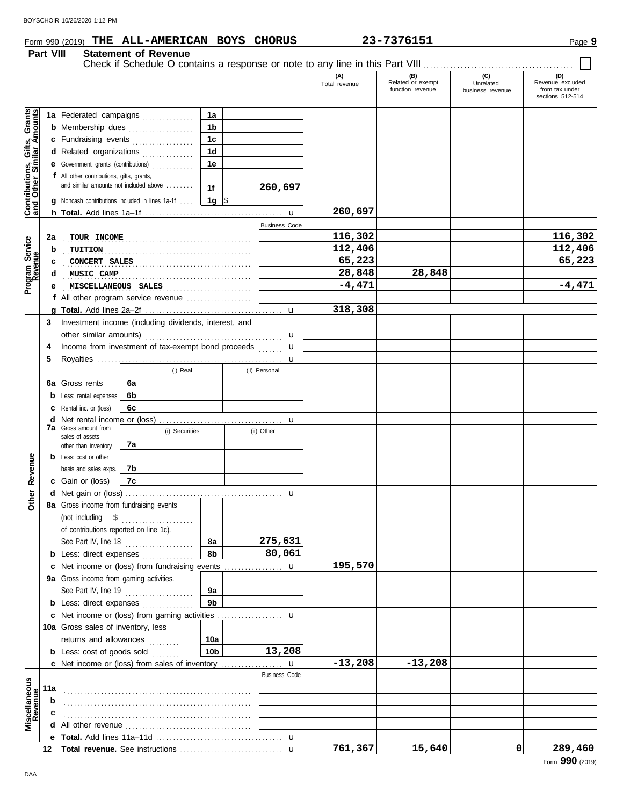# **Form 990 (2019) THE ALL-AMERICAN BOYS CHORUS** 23-7376151 Page 9

**Part VIII Statement of Revenue**

|                                                           |     |                                                       |    |                |                 |                      | (A)<br>Total revenue | (B)<br>Related or exempt<br>function revenue | (C)<br>Unrelated<br>business revenue | (D)<br>Revenue excluded<br>from tax under<br>sections 512-514 |
|-----------------------------------------------------------|-----|-------------------------------------------------------|----|----------------|-----------------|----------------------|----------------------|----------------------------------------------|--------------------------------------|---------------------------------------------------------------|
|                                                           |     | 1a Federated campaigns                                |    |                | 1a              |                      |                      |                                              |                                      |                                                               |
| Contributions, Gifts, Grants<br>and Other Similar Amounts |     | <b>b</b> Membership dues                              |    |                | 1 <sub>b</sub>  |                      |                      |                                              |                                      |                                                               |
|                                                           |     | c Fundraising events                                  |    |                | 1c              |                      |                      |                                              |                                      |                                                               |
|                                                           |     | d Related organizations                               |    |                | 1 <sub>d</sub>  |                      |                      |                                              |                                      |                                                               |
|                                                           |     | e Government grants (contributions)                   |    |                | 1e              |                      |                      |                                              |                                      |                                                               |
|                                                           |     | f All other contributions, gifts, grants,             |    |                |                 |                      |                      |                                              |                                      |                                                               |
|                                                           |     | and similar amounts not included above                |    |                | 1f              | 260,697              |                      |                                              |                                      |                                                               |
|                                                           | g   | Noncash contributions included in lines 1a-1f         |    |                | 1g $\sqrt{3}$   |                      |                      |                                              |                                      |                                                               |
|                                                           |     |                                                       |    |                |                 |                      | 260,697              |                                              |                                      |                                                               |
|                                                           |     |                                                       |    |                |                 | <b>Business Code</b> |                      |                                              |                                      |                                                               |
|                                                           | 2a  | TOUR INCOME                                           |    |                |                 |                      | 116,302              |                                              |                                      | 116,302                                                       |
|                                                           | b   | TUITION                                               |    |                |                 |                      | 112,406              |                                              |                                      | 112,406                                                       |
|                                                           | c   | CONCERT SALES                                         |    |                |                 |                      | 65,223               |                                              |                                      | 65,223                                                        |
| Program Service<br>Revenue                                |     | MUSIC CAMP                                            |    |                |                 |                      | 28,848               | 28,848                                       |                                      |                                                               |
|                                                           |     | MISCELLANEOUS SALES                                   |    |                |                 |                      | $-4,471$             |                                              |                                      | $-4,471$                                                      |
|                                                           |     | f All other program service revenue                   |    |                |                 |                      |                      |                                              |                                      |                                                               |
|                                                           |     |                                                       |    |                |                 | $\mathbf u$          | 318,308              |                                              |                                      |                                                               |
|                                                           | 3   | Investment income (including dividends, interest, and |    |                |                 |                      |                      |                                              |                                      |                                                               |
|                                                           |     | other similar amounts)                                |    |                |                 | u                    |                      |                                              |                                      |                                                               |
|                                                           | 4   | Income from investment of tax-exempt bond proceeds    |    |                |                 | $\mathbf u$          |                      |                                              |                                      |                                                               |
|                                                           | 5   |                                                       |    |                |                 | u                    |                      |                                              |                                      |                                                               |
|                                                           |     |                                                       |    | (i) Real       |                 | (ii) Personal        |                      |                                              |                                      |                                                               |
|                                                           |     | 6a Gross rents                                        | 6a |                |                 |                      |                      |                                              |                                      |                                                               |
|                                                           | b   | Less: rental expenses                                 | 6b |                |                 |                      |                      |                                              |                                      |                                                               |
|                                                           |     | Rental inc. or (loss)                                 | 6c |                |                 |                      |                      |                                              |                                      |                                                               |
|                                                           | d   | Net rental income or (loss)                           |    |                |                 | $\mathbf u$          |                      |                                              |                                      |                                                               |
|                                                           |     | <b>7a</b> Gross amount from<br>sales of assets        |    | (i) Securities |                 | (ii) Other           |                      |                                              |                                      |                                                               |
|                                                           |     | other than inventory                                  | 7а |                |                 |                      |                      |                                              |                                      |                                                               |
|                                                           |     | <b>b</b> Less: cost or other                          |    |                |                 |                      |                      |                                              |                                      |                                                               |
|                                                           |     | basis and sales exps.                                 | 7b |                |                 |                      |                      |                                              |                                      |                                                               |
| Revenue                                                   |     | c Gain or (loss)                                      | 7c |                |                 |                      |                      |                                              |                                      |                                                               |
| <b>Other</b>                                              |     |                                                       |    |                |                 | $\mathbf u$          |                      |                                              |                                      |                                                               |
|                                                           |     | 8a Gross income from fundraising events               |    |                |                 |                      |                      |                                              |                                      |                                                               |
|                                                           |     | (not including $$$                                    |    |                |                 |                      |                      |                                              |                                      |                                                               |
|                                                           |     | of contributions reported on line 1c).                |    |                |                 |                      |                      |                                              |                                      |                                                               |
|                                                           |     | See Part IV, line 18                                  |    |                | 8а              | 275,631              |                      |                                              |                                      |                                                               |
|                                                           |     | <b>b</b> Less: direct expenses                        |    |                | 8b              | 80,061               |                      |                                              |                                      |                                                               |
|                                                           |     | Net income or (loss) from fundraising events          |    |                |                 | u                    | 195,570              |                                              |                                      |                                                               |
|                                                           |     | 9a Gross income from gaming activities.               |    |                |                 |                      |                      |                                              |                                      |                                                               |
|                                                           |     | See Part IV, line 19                                  |    |                | 9а              |                      |                      |                                              |                                      |                                                               |
|                                                           |     | <b>b</b> Less: direct expenses                        |    |                | 9b              |                      |                      |                                              |                                      |                                                               |
|                                                           |     |                                                       |    |                |                 |                      |                      |                                              |                                      |                                                               |
|                                                           |     | 10a Gross sales of inventory, less                    |    |                |                 |                      |                      |                                              |                                      |                                                               |
|                                                           |     | returns and allowances                                |    |                | 10a             |                      |                      |                                              |                                      |                                                               |
|                                                           |     | <b>b</b> Less: cost of goods sold                     |    |                | 10 <sub>b</sub> | 13,208               |                      |                                              |                                      |                                                               |
|                                                           |     | <b>c</b> Net income or (loss) from sales of inventory |    |                |                 | $\mathbf u$          | $-13,208$            | $-13,208$                                    |                                      |                                                               |
|                                                           |     |                                                       |    |                |                 | <b>Business Code</b> |                      |                                              |                                      |                                                               |
|                                                           | 11a |                                                       |    |                |                 |                      |                      |                                              |                                      |                                                               |
|                                                           | b   |                                                       |    |                |                 |                      |                      |                                              |                                      |                                                               |
| Miscellaneous<br>Revenue                                  | С   |                                                       |    |                |                 |                      |                      |                                              |                                      |                                                               |
|                                                           |     |                                                       |    |                |                 |                      |                      |                                              |                                      |                                                               |
|                                                           |     |                                                       |    |                |                 |                      |                      |                                              |                                      |                                                               |
|                                                           |     |                                                       |    |                |                 | $\mathbf u$          | 761,367              | 15,640                                       | 0                                    | 289,460                                                       |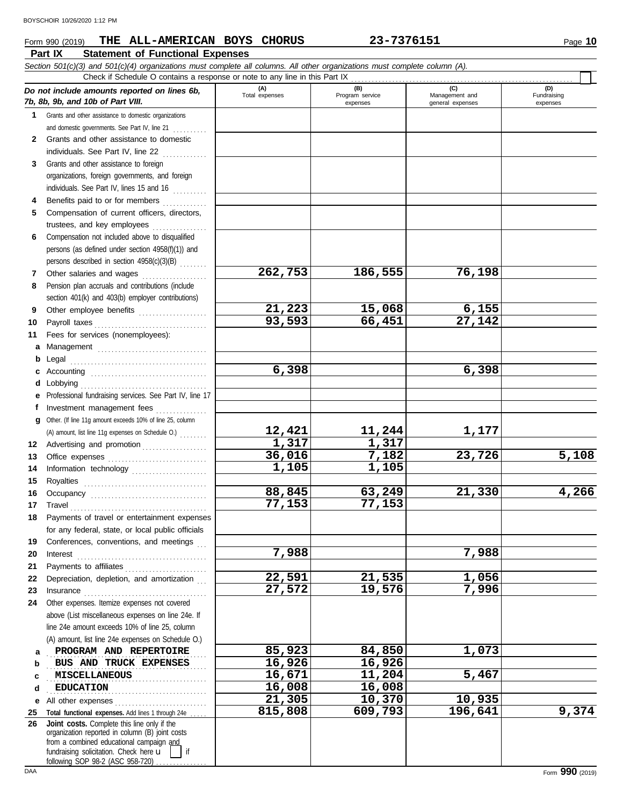## **Part IX Statement of Functional Expenses Form 990 (2019) THE ALL-AMERICAN BOYS CHORUS** 23-7376151 **1999 10** Page 10

|              | Section 501(c)(3) and 501(c)(4) organizations must complete all columns. All other organizations must complete column (A).<br>Check if Schedule O contains a response or note to any line in this Part IX                                                                                                                                                                                                                                                                                                                          |                       |                             |                                    |                         |
|--------------|------------------------------------------------------------------------------------------------------------------------------------------------------------------------------------------------------------------------------------------------------------------------------------------------------------------------------------------------------------------------------------------------------------------------------------------------------------------------------------------------------------------------------------|-----------------------|-----------------------------|------------------------------------|-------------------------|
|              |                                                                                                                                                                                                                                                                                                                                                                                                                                                                                                                                    |                       | (B)                         | (C)                                | (D)                     |
|              | Do not include amounts reported on lines 6b,<br>7b, 8b, 9b, and 10b of Part VIII.                                                                                                                                                                                                                                                                                                                                                                                                                                                  | (A)<br>Total expenses | Program service<br>expenses | Management and<br>general expenses | Fundraising<br>expenses |
| 1            | Grants and other assistance to domestic organizations                                                                                                                                                                                                                                                                                                                                                                                                                                                                              |                       |                             |                                    |                         |
|              | and domestic governments. See Part IV, line 21                                                                                                                                                                                                                                                                                                                                                                                                                                                                                     |                       |                             |                                    |                         |
| $\mathbf{2}$ | Grants and other assistance to domestic                                                                                                                                                                                                                                                                                                                                                                                                                                                                                            |                       |                             |                                    |                         |
|              | individuals. See Part IV, line 22                                                                                                                                                                                                                                                                                                                                                                                                                                                                                                  |                       |                             |                                    |                         |
| 3            | Grants and other assistance to foreign                                                                                                                                                                                                                                                                                                                                                                                                                                                                                             |                       |                             |                                    |                         |
|              | organizations, foreign governments, and foreign                                                                                                                                                                                                                                                                                                                                                                                                                                                                                    |                       |                             |                                    |                         |
|              | individuals. See Part IV, lines 15 and 16                                                                                                                                                                                                                                                                                                                                                                                                                                                                                          |                       |                             |                                    |                         |
| 4            | Benefits paid to or for members                                                                                                                                                                                                                                                                                                                                                                                                                                                                                                    |                       |                             |                                    |                         |
| 5            | Compensation of current officers, directors,                                                                                                                                                                                                                                                                                                                                                                                                                                                                                       |                       |                             |                                    |                         |
|              | trustees, and key employees                                                                                                                                                                                                                                                                                                                                                                                                                                                                                                        |                       |                             |                                    |                         |
| 6            | Compensation not included above to disqualified                                                                                                                                                                                                                                                                                                                                                                                                                                                                                    |                       |                             |                                    |                         |
|              | persons (as defined under section 4958(f)(1)) and                                                                                                                                                                                                                                                                                                                                                                                                                                                                                  |                       |                             |                                    |                         |
|              | persons described in section 4958(c)(3)(B)                                                                                                                                                                                                                                                                                                                                                                                                                                                                                         |                       |                             |                                    |                         |
| 7            | Other salaries and wages                                                                                                                                                                                                                                                                                                                                                                                                                                                                                                           | 262,753               | 186,555                     | 76,198                             |                         |
| 8            | Pension plan accruals and contributions (include                                                                                                                                                                                                                                                                                                                                                                                                                                                                                   |                       |                             |                                    |                         |
|              | section 401(k) and 403(b) employer contributions)                                                                                                                                                                                                                                                                                                                                                                                                                                                                                  |                       |                             |                                    |                         |
| 9            | Other employee benefits                                                                                                                                                                                                                                                                                                                                                                                                                                                                                                            | 21,223                | 15,068                      | 6,155                              |                         |
| 10           | Payroll taxes                                                                                                                                                                                                                                                                                                                                                                                                                                                                                                                      | 93,593                | 66,451                      | 27,142                             |                         |
| 11           | Fees for services (nonemployees):                                                                                                                                                                                                                                                                                                                                                                                                                                                                                                  |                       |                             |                                    |                         |
| а            |                                                                                                                                                                                                                                                                                                                                                                                                                                                                                                                                    |                       |                             |                                    |                         |
| b            |                                                                                                                                                                                                                                                                                                                                                                                                                                                                                                                                    |                       |                             |                                    |                         |
| c            |                                                                                                                                                                                                                                                                                                                                                                                                                                                                                                                                    | 6,398                 |                             | 6,398                              |                         |
| d            | Lobbying                                                                                                                                                                                                                                                                                                                                                                                                                                                                                                                           |                       |                             |                                    |                         |
| е            | Professional fundraising services. See Part IV, line 17                                                                                                                                                                                                                                                                                                                                                                                                                                                                            |                       |                             |                                    |                         |
| Ť.           | Investment management fees                                                                                                                                                                                                                                                                                                                                                                                                                                                                                                         |                       |                             |                                    |                         |
| g            | Other. (If line 11g amount exceeds 10% of line 25, column                                                                                                                                                                                                                                                                                                                                                                                                                                                                          |                       |                             |                                    |                         |
|              | (A) amount, list line 11g expenses on Schedule O.)                                                                                                                                                                                                                                                                                                                                                                                                                                                                                 | 12,421                | 11,244                      | 1,177                              |                         |
| 12           | Advertising and promotion                                                                                                                                                                                                                                                                                                                                                                                                                                                                                                          | 1,317                 | 1,317                       |                                    |                         |
| 13           |                                                                                                                                                                                                                                                                                                                                                                                                                                                                                                                                    | 36,016                | 7,182                       | 23,726                             | 5,108                   |
| 14           | Information technology                                                                                                                                                                                                                                                                                                                                                                                                                                                                                                             | 1,105                 | 1,105                       |                                    |                         |
| 15           |                                                                                                                                                                                                                                                                                                                                                                                                                                                                                                                                    |                       |                             |                                    |                         |
| 16           |                                                                                                                                                                                                                                                                                                                                                                                                                                                                                                                                    | 88,845<br>77,153      | 63,249<br>77,153            | 21,330                             | 4,266                   |
| 17           | $\begin{minipage}[c]{0.9\linewidth} \textbf{ Travel} \end{minipage}[ \begin{minipage}[c]{0.9\linewidth} \textbf{True} \end{minipage}[ \begin{minipage}[c]{0.9\linewidth} \textbf{True} \end{minipage}[ \begin{minipage}[c]{0.9\linewidth} \textbf{True} \end{minipage}[ \begin{minipage}[c]{0.9\linewidth} \textbf{True} \end{minipage}[ \begin{minipage}[c]{0.9\linewidth} \textbf{True} \end{minipage}[ \begin{minipage}[c]{0.9\linewidth} \textbf{True} \end{minipage}[ \begin{minipage}[c]{0.9\linewidth} \textbf{True} \end{$ |                       |                             |                                    |                         |
| 18           | Payments of travel or entertainment expenses                                                                                                                                                                                                                                                                                                                                                                                                                                                                                       |                       |                             |                                    |                         |
|              | for any federal, state, or local public officials<br>Conferences, conventions, and meetings                                                                                                                                                                                                                                                                                                                                                                                                                                        |                       |                             |                                    |                         |
| 19<br>20     |                                                                                                                                                                                                                                                                                                                                                                                                                                                                                                                                    | 7,988                 |                             | 7,988                              |                         |
| 21           | $\textbf{Interest} \hspace{0.05in} \ldots \hspace{0.05in} \ldots \hspace{0.05in} \ldots \hspace{0.05in} \ldots \hspace{0.05in} \ldots \hspace{0.05in} \ldots \hspace{0.05in} \ldots \hspace{0.05in} \ldots \hspace{0.05in} \ldots \hspace{0.05in} \ldots \hspace{0.05in} \ldots$<br>Payments to affiliates                                                                                                                                                                                                                         |                       |                             |                                    |                         |
| 22           | Depreciation, depletion, and amortization                                                                                                                                                                                                                                                                                                                                                                                                                                                                                          | 22,591                | 21,535                      | 1,056                              |                         |
| 23           |                                                                                                                                                                                                                                                                                                                                                                                                                                                                                                                                    | 27,572                | 19,576                      | 7,996                              |                         |
| 24           | Other expenses. Itemize expenses not covered                                                                                                                                                                                                                                                                                                                                                                                                                                                                                       |                       |                             |                                    |                         |
|              | above (List miscellaneous expenses on line 24e. If                                                                                                                                                                                                                                                                                                                                                                                                                                                                                 |                       |                             |                                    |                         |
|              | line 24e amount exceeds 10% of line 25, column                                                                                                                                                                                                                                                                                                                                                                                                                                                                                     |                       |                             |                                    |                         |
|              | (A) amount, list line 24e expenses on Schedule O.)                                                                                                                                                                                                                                                                                                                                                                                                                                                                                 |                       |                             |                                    |                         |
| a            | PROGRAM AND REPERTOIRE                                                                                                                                                                                                                                                                                                                                                                                                                                                                                                             | 85,923                | 84,850                      | 1,073                              |                         |
| b            | BUS AND TRUCK EXPENSES                                                                                                                                                                                                                                                                                                                                                                                                                                                                                                             | 16,926                | 16,926                      |                                    |                         |
| c            | <b>MISCELLANEOUS</b>                                                                                                                                                                                                                                                                                                                                                                                                                                                                                                               | 16,671                | 11,204                      | 5,467                              |                         |
| d            | <b>EDUCATION</b>                                                                                                                                                                                                                                                                                                                                                                                                                                                                                                                   | 16,008                | 16,008                      |                                    |                         |
| е            | All other expenses                                                                                                                                                                                                                                                                                                                                                                                                                                                                                                                 | 21,305                | 10,370                      | 10,935                             |                         |
| 25           | Total functional expenses. Add lines 1 through 24e                                                                                                                                                                                                                                                                                                                                                                                                                                                                                 | 815,808               | 609,793                     | 196,641                            | 9,374                   |
| 26           | Joint costs. Complete this line only if the                                                                                                                                                                                                                                                                                                                                                                                                                                                                                        |                       |                             |                                    |                         |
|              | organization reported in column (B) joint costs<br>from a combined educational campaign and                                                                                                                                                                                                                                                                                                                                                                                                                                        |                       |                             |                                    |                         |
|              | fundraising solicitation. Check here u<br>if                                                                                                                                                                                                                                                                                                                                                                                                                                                                                       |                       |                             |                                    |                         |
|              | following SOP 98-2 (ASC 958-720)                                                                                                                                                                                                                                                                                                                                                                                                                                                                                                   |                       |                             |                                    |                         |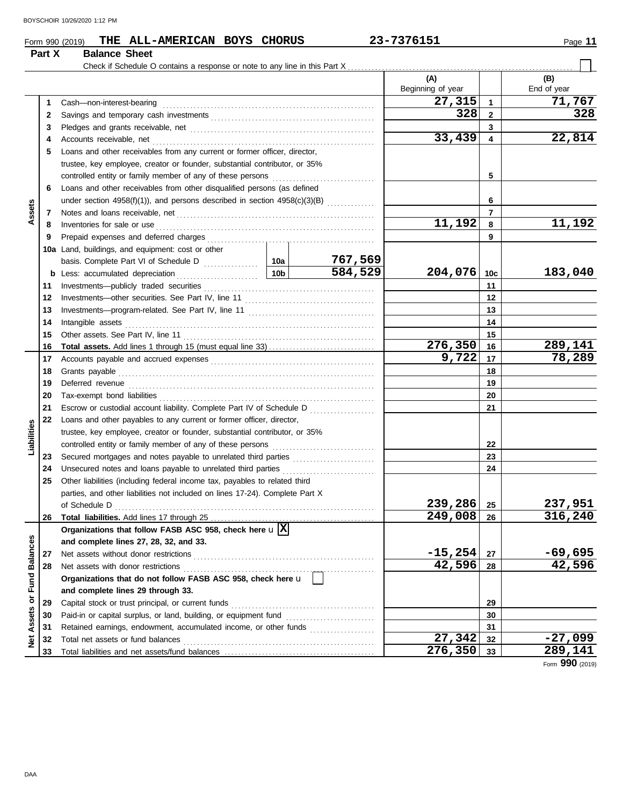| BOYSCHOIR 10/26/2020 1:12 PM |  |  |
|------------------------------|--|--|
|                              |  |  |

## **Form 990 (2019) THE ALL-AMERICAN BOYS CHORUS** 23-7376151 **1999 11** Page 11

### Check if Schedule O contains a response or note to any line in this Part X. **(A) (B)** Beginning of year | | End of year **27,315 71,767** Cash—non-interest-bearing . . . . . . . . . . . . . . . . . . . . . . . . . . . . . . . . . . . . . . . . . . . . . . . . . . . . . . . . . . . . . . **1 1** Savings and temporary cash investments . . . . . . . . . . . . . . . . . . . . . . . . . . . . . . . . . . . . . . . . . . . . . . . . **328 328 2 2 3 3** Pledges and grants receivable, net . . . . . . . . . . . . . . . . . . . . . . . . . . . . . . . . . . . . . . . . . . . . . . . . . . . . . . **33,439 22,814 4 4** Accounts receivable, net . . . . . . . . . . . . . . . . . . . . . . . . . . . . . . . . . . . . . . . . . . . . . . . . . . . . . . . . . . . . . . . . . **5** Loans and other receivables from any current or former officer, director, trustee, key employee, creator or founder, substantial contributor, or 35% controlled entity or family member of any of these persons . . . . . . . . . . . . . . . . . . . . . . . . . . . . . . **5 6** Loans and other receivables from other disqualified persons (as defined **6** under section 4958(f)(1)), and persons described in section  $4958(c)(3)(B)$  ............. **Assets 7 7** Notes and loans receivable, net . . . . . . . . . . . . . . . . . . . . . . . . . . . . . . . . . . . . . . . . . . . . . . . . . . . . . . . . . . **11,192 11,192 8 8** Inventories for sale or use . . . . . . . . . . . . . . . . . . . . . . . . . . . . . . . . . . . . . . . . . . . . . . . . . . . . . . . . . . . . . . . . Prepaid expenses and deferred charges . . . . . . . . . . . . . . . . . . . . . . . . . . . . . . . . . . . . . . . . . . . . . . . . . **9 9 10a** Land, buildings, and equipment: cost or other basis. Complete Part VI of Schedule D ................ **767,569 10a 584,529 204,076 183,040 10b 10c b** Less: accumulated depreciation . . . . . . . . . . . . . . . . . . . . . . . . Investments—publicly traded securities . . . . . . . . . . . . . . . . . . . . . . . . . . . . . . . . . . . . . . . . . . . . . . . . . . **11 11** Investments—other securities. See Part IV, line 11 . . . . . . . . . . . . . . . . . . . . . . . . . . . . . . . . . . . . . . **12 12** Investments—program-related. See Part IV, line 11 . . . . . . . . . . . . . . . . . . . . . . . . . . . . . . . . . . . . . **13 13 14** Intangible assets . . . . . . . . . . . . . . . . . . . . . . . . . . . . . . . . . . . . . . . . . . . . . . . . . . . . . . . . . . . . . . . . . . . . . . . . . **14** Other assets. See Part IV, line 11 . . . . . . . . . . . . . . . . . . . . . . . . . . . . . . . . . . . . . . . . . . . . . . . . . . . . . . . . **15 15 276,350 289,141 Total assets.** Add lines 1 through 15 (must equal line 33) . . . . . . . . . . . . . . . . . . . . . . . . . . . . . . . **16 16 9,722 78,289 17** Accounts payable and accrued expenses . . . . . . . . . . . . . . . . . . . . . . . . . . . . . . . . . . . . . . . . . . . . . . . . **17 18** Grants payable . . . . . . . . . . . . . . . . . . . . . . . . . . . . . . . . . . . . . . . . . . . . . . . . . . . . . . . . . . . . . . . . . . . . . . . . . . . **18 19** Deferred revenue . . . . . . . . . . . . . . . . . . . . . . . . . . . . . . . . . . . . . . . . . . . . . . . . . . . . . . . . . . . . . . . . . . . . . . . . **19** Tax-exempt bond liabilities . . . . . . . . . . . . . . . . . . . . . . . . . . . . . . . . . . . . . . . . . . . . . . . . . . . . . . . . . . . . . . . **20 20 21** Escrow or custodial account liability. Complete Part IV of Schedule D ................... **21 22** Loans and other payables to any current or former officer, director, **Liabilities** trustee, key employee, creator or founder, substantial contributor, or 35% controlled entity or family member of any of these persons . . . . . . . . . . . . . . . . . . . . . . . . . . . . . . **22** Secured mortgages and notes payable to unrelated third parties ........................ **23 23** Unsecured notes and loans payable to unrelated third parties . . . . . . . . . . . . . . . . . . . . . . . . . . . **24 24 25** Other liabilities (including federal income tax, payables to related third parties, and other liabilities not included on lines 17-24). Complete Part X **239,286 237,951** of Schedule D . . . . . . . . . . . . . . . . . . . . . . . . . . . . . . . . . . . . . . . . . . . . . . . . . . . . . . . . . . . . . . . . . . . . . . . . . . . . **25 249,008 316,240 26** Total liabilities. Add lines 17 through 25. **26 Organizations that follow FASB ASC 958, check here** u **X** Net Assets or Fund Balances **Net Assets or Fund Balances and complete lines 27, 28, 32, and 33. -15,254 -69,695 27** Net assets without donor restrictions . . . . . . . . . . . . . . . . . . . . . . . . . . . . . . . . . . . . . . . . . . . . . . . . . . . . . **27** Net assets with donor restrictions . . . . . . . . . . . . . . . . . . . . . . . . . . . . . . . . . . . . . . . . . . . . . . . . . . . . . . . . **42,596 42,596 28 28 Organizations that do not follow FASB ASC 958, check here** u **and complete lines 29 through 33.** Capital stock or trust principal, or current funds . . . . . . . . . . . . . . . . . . . . . . . . . . . . . . . . . . . . . . . . . . **29 29** Paid-in or capital surplus, or land, building, or equipment fund ........................... **30 30 31** Retained earnings, endowment, accumulated income, or other funds .................... **31 27,342 -27,099** Total net assets or fund balances . . . . . . . . . . . . . . . . . . . . . . . . . . . . . . . . . . . . . . . . . . . . . . . . . . . . . . . . **32 32 276,350 289,141 33 33** Total liabilities and net assets/fund balances .................................

Form **990** (2019)

|        | ONU 990 (2019) <b>IUE VULL-L</b> |  |
|--------|----------------------------------|--|
| Part X | <b>Balance Sheet</b>             |  |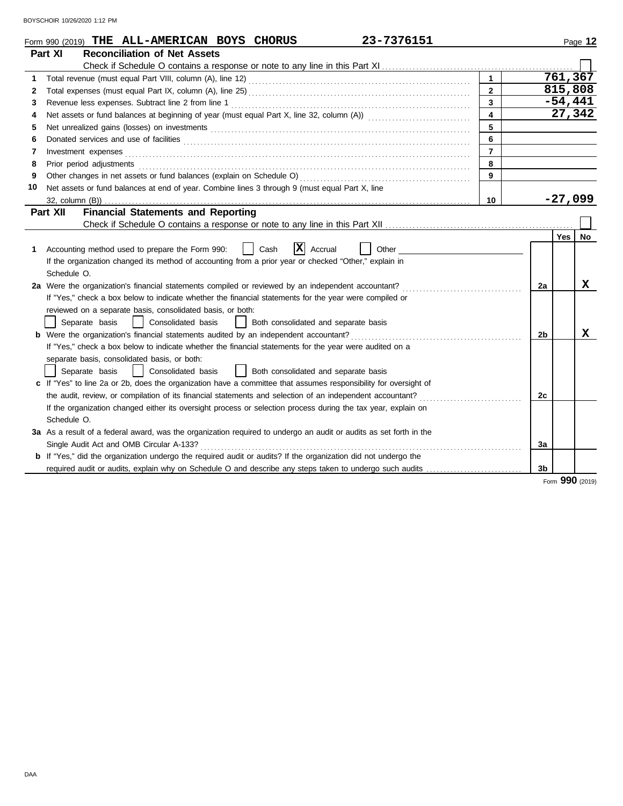|    | 23-7376151<br>Form 990 (2019) THE ALL-AMERICAN BOYS CHORUS                                                                                                                                                                          |                |    |     | Page 12   |
|----|-------------------------------------------------------------------------------------------------------------------------------------------------------------------------------------------------------------------------------------|----------------|----|-----|-----------|
|    | Part XI<br><b>Reconciliation of Net Assets</b>                                                                                                                                                                                      |                |    |     |           |
|    |                                                                                                                                                                                                                                     |                |    |     |           |
| 1  |                                                                                                                                                                                                                                     | $\mathbf{1}$   |    |     | 761, 367  |
| 2  |                                                                                                                                                                                                                                     | $\overline{2}$ |    |     | 815,808   |
| 3  | Revenue less expenses. Subtract line 2 from line 1                                                                                                                                                                                  | 3              |    |     | $-54,441$ |
| 4  |                                                                                                                                                                                                                                     | 4              |    |     | 27,342    |
| 5  |                                                                                                                                                                                                                                     | 5              |    |     |           |
| 6  |                                                                                                                                                                                                                                     | 6              |    |     |           |
| 7  | Investment expenses                                                                                                                                                                                                                 | $\overline{7}$ |    |     |           |
| 8  | Prior period adjustments <b>construction and construction</b> and and adjustments of the construction of the construction of the construction of the construction of the construction of the construction of the construction of th | 8              |    |     |           |
| 9  |                                                                                                                                                                                                                                     | 9              |    |     |           |
| 10 | Net assets or fund balances at end of year. Combine lines 3 through 9 (must equal Part X, line                                                                                                                                      |                |    |     |           |
|    |                                                                                                                                                                                                                                     | 10             |    |     | $-27,099$ |
|    | Part XII<br><b>Financial Statements and Reporting</b>                                                                                                                                                                               |                |    |     |           |
|    |                                                                                                                                                                                                                                     |                |    |     |           |
|    |                                                                                                                                                                                                                                     |                |    | Yes | No        |
| 1  | X <br>Accounting method used to prepare the Form 990:<br>Cash<br>Accrual<br>Other                                                                                                                                                   |                |    |     |           |
|    | If the organization changed its method of accounting from a prior year or checked "Other," explain in                                                                                                                               |                |    |     |           |
|    | Schedule O.                                                                                                                                                                                                                         |                |    |     |           |
|    | 2a Were the organization's financial statements compiled or reviewed by an independent accountant?                                                                                                                                  |                | 2a |     | x         |
|    | If "Yes," check a box below to indicate whether the financial statements for the year were compiled or                                                                                                                              |                |    |     |           |
|    | reviewed on a separate basis, consolidated basis, or both:                                                                                                                                                                          |                |    |     |           |
|    | Separate basis<br>Consolidated basis<br>Both consolidated and separate basis                                                                                                                                                        |                |    |     |           |
|    |                                                                                                                                                                                                                                     |                | 2b |     | x         |
|    | If "Yes," check a box below to indicate whether the financial statements for the year were audited on a                                                                                                                             |                |    |     |           |
|    | separate basis, consolidated basis, or both:                                                                                                                                                                                        |                |    |     |           |
|    | Separate basis<br>Consolidated basis<br>Both consolidated and separate basis                                                                                                                                                        |                |    |     |           |
|    | c If "Yes" to line 2a or 2b, does the organization have a committee that assumes responsibility for oversight of                                                                                                                    |                |    |     |           |
|    | the audit, review, or compilation of its financial statements and selection of an independent accountant?                                                                                                                           |                | 2c |     |           |
|    | If the organization changed either its oversight process or selection process during the tax year, explain on                                                                                                                       |                |    |     |           |
|    | Schedule O.                                                                                                                                                                                                                         |                |    |     |           |
|    | 3a As a result of a federal award, was the organization required to undergo an audit or audits as set forth in the                                                                                                                  |                |    |     |           |
|    | Single Audit Act and OMB Circular A-133?                                                                                                                                                                                            |                | 3a |     |           |
|    | <b>b</b> If "Yes," did the organization undergo the required audit or audits? If the organization did not undergo the                                                                                                               |                |    |     |           |
|    | required audit or audits, explain why on Schedule O and describe any steps taken to undergo such audits                                                                                                                             |                | 3b |     |           |

Form **990** (2019)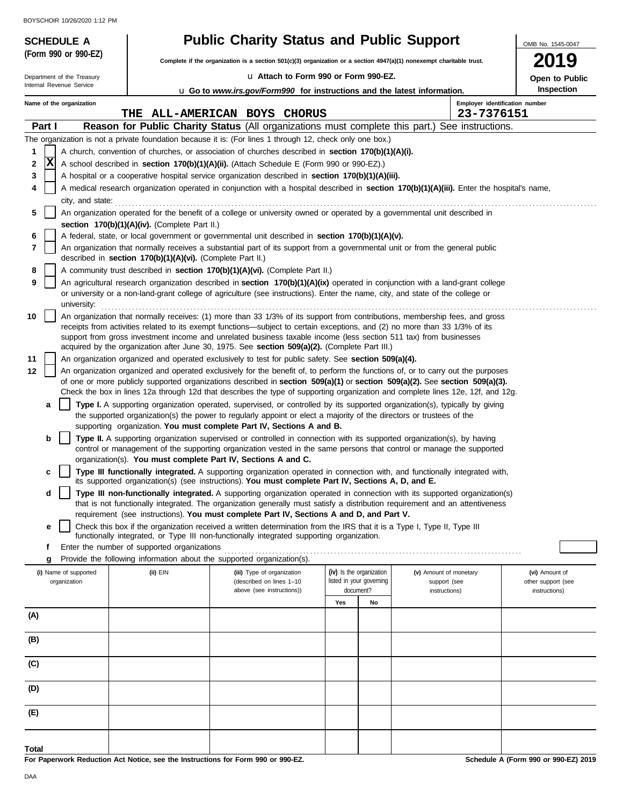|        | BOYSCHOIR 10/26/2020 1:12 PM |                                                            |                                                                                                                                                                                                                                                                |     |                                       |                                |                                     |
|--------|------------------------------|------------------------------------------------------------|----------------------------------------------------------------------------------------------------------------------------------------------------------------------------------------------------------------------------------------------------------------|-----|---------------------------------------|--------------------------------|-------------------------------------|
|        | <b>SCHEDULE A</b>            |                                                            | <b>Public Charity Status and Public Support</b>                                                                                                                                                                                                                |     |                                       |                                | OMB No. 1545-0047                   |
|        | (Form 990 or 990-EZ)         |                                                            | Complete if the organization is a section 501(c)(3) organization or a section $4947(a)(1)$ nonexempt charitable trust.                                                                                                                                         |     |                                       |                                |                                     |
|        | Department of the Treasury   |                                                            | u Attach to Form 990 or Form 990-EZ.                                                                                                                                                                                                                           |     |                                       |                                | Open to Public                      |
|        | Internal Revenue Service     |                                                            | <b>u</b> Go to <i>www.irs.gov/Form990</i> for instructions and the latest information.                                                                                                                                                                         |     |                                       |                                | Inspection                          |
|        | Name of the organization     |                                                            |                                                                                                                                                                                                                                                                |     |                                       | Employer identification number |                                     |
|        |                              |                                                            | THE ALL-AMERICAN BOYS CHORUS                                                                                                                                                                                                                                   |     |                                       | 23-7376151                     |                                     |
| Part I |                              |                                                            | Reason for Public Charity Status (All organizations must complete this part.) See instructions.                                                                                                                                                                |     |                                       |                                |                                     |
| 1      |                              |                                                            | The organization is not a private foundation because it is: (For lines 1 through 12, check only one box.)<br>A church, convention of churches, or association of churches described in <b>section 170(b)(1)(A)(i).</b>                                         |     |                                       |                                |                                     |
| 2      | $\mathbf x$                  |                                                            | A school described in section 170(b)(1)(A)(ii). (Attach Schedule E (Form 990 or 990-EZ).)                                                                                                                                                                      |     |                                       |                                |                                     |
| 3      |                              |                                                            | A hospital or a cooperative hospital service organization described in section 170(b)(1)(A)(iii).                                                                                                                                                              |     |                                       |                                |                                     |
| 4      |                              |                                                            | A medical research organization operated in conjunction with a hospital described in section 170(b)(1)(A)(iii). Enter the hospital's name,                                                                                                                     |     |                                       |                                |                                     |
| 5      |                              |                                                            | city, and state: example and state:<br>An organization operated for the benefit of a college or university owned or operated by a governmental unit described in                                                                                               |     |                                       |                                |                                     |
|        |                              | section 170(b)(1)(A)(iv). (Complete Part II.)              |                                                                                                                                                                                                                                                                |     |                                       |                                |                                     |
| 6<br>7 |                              |                                                            | A federal, state, or local government or governmental unit described in section 170(b)(1)(A)(v).<br>An organization that normally receives a substantial part of its support from a governmental unit or from the general public                               |     |                                       |                                |                                     |
|        |                              | described in section 170(b)(1)(A)(vi). (Complete Part II.) |                                                                                                                                                                                                                                                                |     |                                       |                                |                                     |
| 8      |                              |                                                            | A community trust described in section 170(b)(1)(A)(vi). (Complete Part II.)                                                                                                                                                                                   |     |                                       |                                |                                     |
| 9      |                              |                                                            | An agricultural research organization described in section 170(b)(1)(A)(ix) operated in conjunction with a land-grant college                                                                                                                                  |     |                                       |                                |                                     |
|        | university:                  |                                                            | or university or a non-land-grant college of agriculture (see instructions). Enter the name, city, and state of the college or                                                                                                                                 |     |                                       |                                |                                     |
| 10     |                              |                                                            | An organization that normally receives: (1) more than 33 1/3% of its support from contributions, membership fees, and gross                                                                                                                                    |     |                                       |                                |                                     |
|        |                              |                                                            | receipts from activities related to its exempt functions—subject to certain exceptions, and (2) no more than 33 1/3% of its                                                                                                                                    |     |                                       |                                |                                     |
|        |                              |                                                            | support from gross investment income and unrelated business taxable income (less section 511 tax) from businesses<br>acquired by the organization after June 30, 1975. See section 509(a)(2). (Complete Part III.)                                             |     |                                       |                                |                                     |
| 11     |                              |                                                            | An organization organized and operated exclusively to test for public safety. See section 509(a)(4).                                                                                                                                                           |     |                                       |                                |                                     |
| 12     |                              |                                                            | An organization organized and operated exclusively for the benefit of, to perform the functions of, or to carry out the purposes                                                                                                                               |     |                                       |                                |                                     |
|        |                              |                                                            | of one or more publicly supported organizations described in section 509(a)(1) or section 509(a)(2). See section 509(a)(3).<br>Check the box in lines 12a through 12d that describes the type of supporting organization and complete lines 12e, 12f, and 12g. |     |                                       |                                |                                     |
|        | a                            |                                                            | Type I. A supporting organization operated, supervised, or controlled by its supported organization(s), typically by giving                                                                                                                                    |     |                                       |                                |                                     |
|        |                              |                                                            | the supported organization(s) the power to regularly appoint or elect a majority of the directors or trustees of the                                                                                                                                           |     |                                       |                                |                                     |
|        |                              |                                                            | supporting organization. You must complete Part IV, Sections A and B.                                                                                                                                                                                          |     |                                       |                                |                                     |
|        | b                            |                                                            | Type II. A supporting organization supervised or controlled in connection with its supported organization(s), by having<br>control or management of the supporting organization vested in the same persons that control or manage the supported                |     |                                       |                                |                                     |
|        |                              |                                                            | organization(s). You must complete Part IV, Sections A and C.                                                                                                                                                                                                  |     |                                       |                                |                                     |
|        | c                            |                                                            | Type III functionally integrated. A supporting organization operated in connection with, and functionally integrated with,                                                                                                                                     |     |                                       |                                |                                     |
|        |                              |                                                            | its supported organization(s) (see instructions). You must complete Part IV, Sections A, D, and E.                                                                                                                                                             |     |                                       |                                |                                     |
|        | d                            |                                                            | Type III non-functionally integrated. A supporting organization operated in connection with its supported organization(s)<br>that is not functionally integrated. The organization generally must satisfy a distribution requirement and an attentiveness      |     |                                       |                                |                                     |
|        |                              |                                                            | requirement (see instructions). You must complete Part IV, Sections A and D, and Part V.                                                                                                                                                                       |     |                                       |                                |                                     |
|        | е                            |                                                            | Check this box if the organization received a written determination from the IRS that it is a Type I, Type II, Type III                                                                                                                                        |     |                                       |                                |                                     |
| f      |                              | Enter the number of supported organizations                | functionally integrated, or Type III non-functionally integrated supporting organization.                                                                                                                                                                      |     |                                       |                                |                                     |
|        | g                            |                                                            | Provide the following information about the supported organization(s).                                                                                                                                                                                         |     |                                       |                                |                                     |
|        | (i) Name of supported        | (ii) EIN                                                   | (iii) Type of organization                                                                                                                                                                                                                                     |     | (iv) Is the organization              | (v) Amount of monetary         | (vi) Amount of                      |
|        | organization                 |                                                            | (described on lines 1-10<br>above (see instructions))                                                                                                                                                                                                          |     | listed in your governing<br>document? | support (see<br>instructions)  | other support (see<br>instructions) |
|        |                              |                                                            |                                                                                                                                                                                                                                                                | Yes | No                                    |                                |                                     |
| (A)    |                              |                                                            |                                                                                                                                                                                                                                                                |     |                                       |                                |                                     |
| (B)    |                              |                                                            |                                                                                                                                                                                                                                                                |     |                                       |                                |                                     |
|        |                              |                                                            |                                                                                                                                                                                                                                                                |     |                                       |                                |                                     |
| (C)    |                              |                                                            |                                                                                                                                                                                                                                                                |     |                                       |                                |                                     |
| (D)    |                              |                                                            |                                                                                                                                                                                                                                                                |     |                                       |                                |                                     |
|        |                              |                                                            |                                                                                                                                                                                                                                                                |     |                                       |                                |                                     |
| (E)    |                              |                                                            |                                                                                                                                                                                                                                                                |     |                                       |                                |                                     |
|        |                              |                                                            |                                                                                                                                                                                                                                                                |     |                                       |                                |                                     |

**For Paperwork Reduction Act Notice, see the Instructions for Form 990 or 990-EZ.**

**Schedule A (Form 990 or 990-EZ) 2019**

**Total**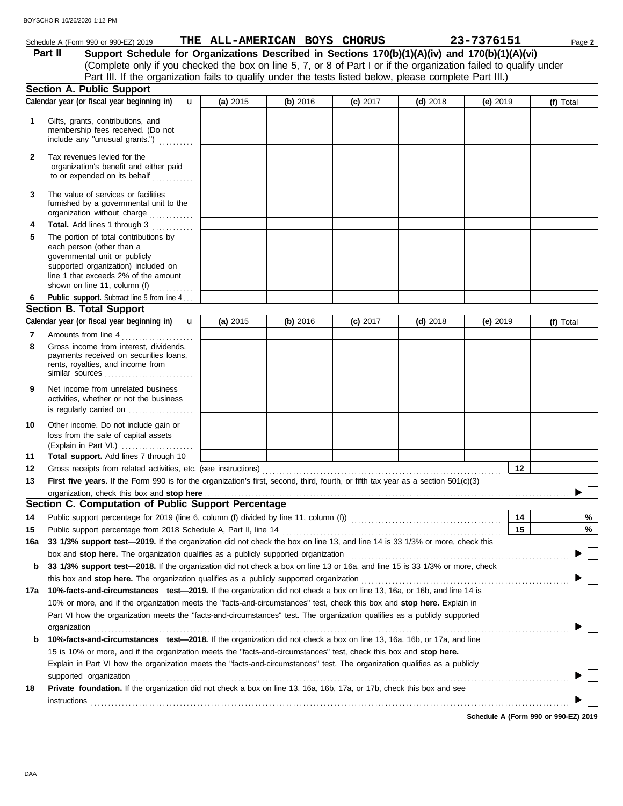### **Section A. Public Support** membership fees received. (Do not Gifts, grants, contributions, and **Schedule A (Form 990 or 990-EZ) 2019 THE ALL-AMERICAN BOYS CHORUS** 23-7376151 Page 2 **1 (a)** 2015 **(b)** 2016 **(c)** 2017 **(d)** 2018 **(e)** 2019 (Complete only if you checked the box on line 5, 7, or 8 of Part I or if the organization failed to qualify under Part II Support Schedule for Organizations Described in Sections 170(b)(1)(A)(iv) and 170(b)(1)(A)(vi) **Calendar year (or fiscal year beginning in) <b>u** (a) 2015 (b) 2016 (c) 2017 (d) 2018 (e) 2019 (f) Total Part III. If the organization fails to qualify under the tests listed below, please complete Part III.) u

|     | instructions                                                                                                                                                                                                                                                                                                                                            |          |          |            |                                                    |            | Calculate A (Fague 000 as 000 F7) 0046 |
|-----|---------------------------------------------------------------------------------------------------------------------------------------------------------------------------------------------------------------------------------------------------------------------------------------------------------------------------------------------------------|----------|----------|------------|----------------------------------------------------|------------|----------------------------------------|
|     |                                                                                                                                                                                                                                                                                                                                                         |          |          |            |                                                    |            |                                        |
| 18  | supported organization contains a construction of the contact of the contact of the contact or contact or contact or contact or contact or contact or contact or contact or contact or contact or contact or contact or contac<br>Private foundation. If the organization did not check a box on line 13, 16a, 16b, 17a, or 17b, check this box and see |          |          |            |                                                    |            |                                        |
|     | Explain in Part VI how the organization meets the "facts-and-circumstances" test. The organization qualifies as a publicly                                                                                                                                                                                                                              |          |          |            |                                                    |            |                                        |
|     | 15 is 10% or more, and if the organization meets the "facts-and-circumstances" test, check this box and stop here.                                                                                                                                                                                                                                      |          |          |            |                                                    |            |                                        |
| b   | 10%-facts-and-circumstances test-2018. If the organization did not check a box on line 13, 16a, 16b, or 17a, and line                                                                                                                                                                                                                                   |          |          |            |                                                    |            |                                        |
|     | organization                                                                                                                                                                                                                                                                                                                                            |          |          |            |                                                    |            |                                        |
|     | Part VI how the organization meets the "facts-and-circumstances" test. The organization qualifies as a publicly supported                                                                                                                                                                                                                               |          |          |            |                                                    |            |                                        |
|     | 10% or more, and if the organization meets the "facts-and-circumstances" test, check this box and stop here. Explain in                                                                                                                                                                                                                                 |          |          |            |                                                    |            |                                        |
|     | 17a 10%-facts-and-circumstances test-2019. If the organization did not check a box on line 13, 16a, or 16b, and line 14 is                                                                                                                                                                                                                              |          |          |            |                                                    |            |                                        |
|     |                                                                                                                                                                                                                                                                                                                                                         |          |          |            |                                                    |            | $\Box$                                 |
| b   | 33 1/3% support test—2018. If the organization did not check a box on line 13 or 16a, and line 15 is 33 1/3% or more, check                                                                                                                                                                                                                             |          |          |            |                                                    |            |                                        |
|     | box and stop here. The organization qualifies as a publicly supported organization [11] content content content content content of the state of the state of the state or and stop here. The organization content of the state                                                                                                                          |          |          |            |                                                    |            |                                        |
| 16a | 33 1/3% support test-2019. If the organization did not check the box on line 13, and line 14 is 33 1/3% or more, check this                                                                                                                                                                                                                             |          |          |            |                                                    |            |                                        |
| 15  |                                                                                                                                                                                                                                                                                                                                                         |          |          |            |                                                    | 15         | %                                      |
| 14  |                                                                                                                                                                                                                                                                                                                                                         |          |          |            |                                                    | 14         | %                                      |
|     | Section C. Computation of Public Support Percentage                                                                                                                                                                                                                                                                                                     |          |          |            | <u> 1980 - Johann Barn, amerikansk politiker (</u> |            |                                        |
|     |                                                                                                                                                                                                                                                                                                                                                         |          |          |            |                                                    |            |                                        |
| 13  | First five years. If the Form 990 is for the organization's first, second, third, fourth, or fifth tax year as a section 501(c)(3)                                                                                                                                                                                                                      |          |          |            |                                                    |            |                                        |
| 12  | Gross receipts from related activities, etc. (see instructions)                                                                                                                                                                                                                                                                                         |          |          |            |                                                    | 12         |                                        |
| 11  | Total support. Add lines 7 through 10                                                                                                                                                                                                                                                                                                                   |          |          |            |                                                    |            |                                        |
|     | loss from the sale of capital assets                                                                                                                                                                                                                                                                                                                    |          |          |            |                                                    |            |                                        |
| 10  | Other income. Do not include gain or                                                                                                                                                                                                                                                                                                                    |          |          |            |                                                    |            |                                        |
|     |                                                                                                                                                                                                                                                                                                                                                         |          |          |            |                                                    |            |                                        |
| 9   | Net income from unrelated business<br>activities, whether or not the business                                                                                                                                                                                                                                                                           |          |          |            |                                                    |            |                                        |
|     |                                                                                                                                                                                                                                                                                                                                                         |          |          |            |                                                    |            |                                        |
|     | rents, royalties, and income from<br>similar sources                                                                                                                                                                                                                                                                                                    |          |          |            |                                                    |            |                                        |
|     | payments received on securities loans,                                                                                                                                                                                                                                                                                                                  |          |          |            |                                                    |            |                                        |
| 8   | Gross income from interest, dividends,                                                                                                                                                                                                                                                                                                                  |          |          |            |                                                    |            |                                        |
| 7   | Amounts from line 4                                                                                                                                                                                                                                                                                                                                     |          |          |            |                                                    |            |                                        |
|     | Calendar year (or fiscal year beginning in)<br>$\mathbf{u}$                                                                                                                                                                                                                                                                                             | (a) 2015 | (b) 2016 | $(c)$ 2017 | $(d)$ 2018                                         | (e) $2019$ | (f) Total                              |
|     | <b>Section B. Total Support</b>                                                                                                                                                                                                                                                                                                                         |          |          |            |                                                    |            |                                        |
| 6   | Public support. Subtract line 5 from line 4                                                                                                                                                                                                                                                                                                             |          |          |            |                                                    |            |                                        |
|     | governmental unit or publicly<br>supported organization) included on<br>line 1 that exceeds 2% of the amount<br>shown on line 11, column (f)                                                                                                                                                                                                            |          |          |            |                                                    |            |                                        |
| 5   | The portion of total contributions by<br>each person (other than a                                                                                                                                                                                                                                                                                      |          |          |            |                                                    |            |                                        |
| 4   | Total. Add lines 1 through 3<br><u> 1999 - Johann Stoff</u>                                                                                                                                                                                                                                                                                             |          |          |            |                                                    |            |                                        |
| 3   | The value of services or facilities<br>furnished by a governmental unit to the<br>organization without charge                                                                                                                                                                                                                                           |          |          |            |                                                    |            |                                        |
| 2   | Tax revenues levied for the<br>organization's benefit and either paid<br>to or expended on its behalf                                                                                                                                                                                                                                                   |          |          |            |                                                    |            |                                        |
|     | Gills, grants, continuutoris, and<br>membership fees received. (Do not<br>include any "unusual grants.")                                                                                                                                                                                                                                                |          |          |            |                                                    |            |                                        |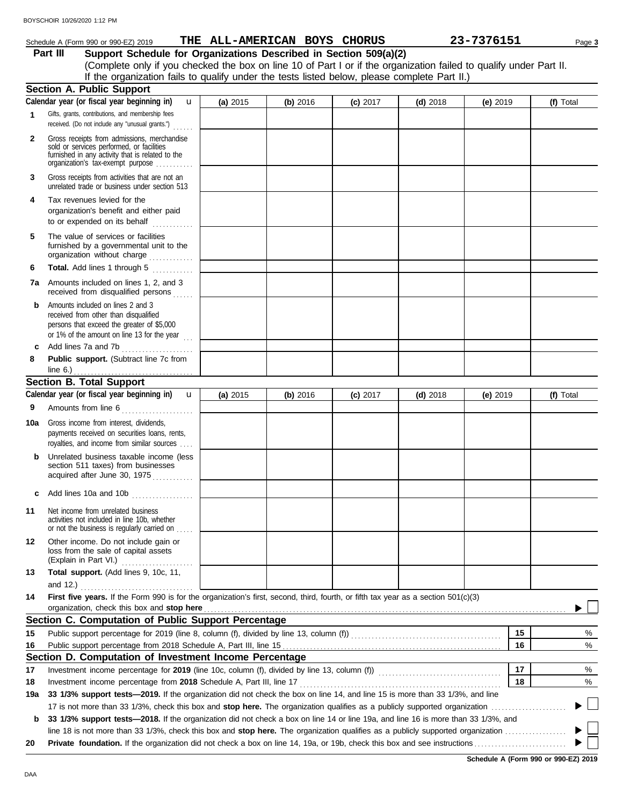## **Schedule A (Form 990 or 990-EZ) 2019 THE ALL-AMERICAN BOYS CHORUS** 23-7376151 Page 3

**Part III Support Schedule for Organizations Described in Section 509(a)(2)** (Complete only if you checked the box on line 10 of Part I or if the organization failed to qualify under Part II. If the organization fails to qualify under the tests listed below, please complete Part II.)

|                 | <b>Section A. Public Support</b>                                                                                                                                                  |          |          |            |            |            |              |
|-----------------|-----------------------------------------------------------------------------------------------------------------------------------------------------------------------------------|----------|----------|------------|------------|------------|--------------|
|                 | Calendar year (or fiscal year beginning in)<br>$\mathbf{u}$                                                                                                                       | (a) 2015 | (b) 2016 | $(c)$ 2017 | $(d)$ 2018 | (e) $2019$ | (f) Total    |
| 1               | Gifts, grants, contributions, and membership fees<br>received. (Do not include any "unusual grants.")<br>.                                                                        |          |          |            |            |            |              |
| $\mathbf{2}$    | Gross receipts from admissions, merchandise<br>sold or services performed, or facilities<br>furnished in any activity that is related to the<br>organization's tax-exempt purpose |          |          |            |            |            |              |
| 3               | Gross receipts from activities that are not an<br>unrelated trade or business under section 513                                                                                   |          |          |            |            |            |              |
| 4               | Tax revenues levied for the<br>organization's benefit and either paid<br>to or expended on its behalf                                                                             |          |          |            |            |            |              |
| 5               | The value of services or facilities<br>furnished by a governmental unit to the<br>organization without charge                                                                     |          |          |            |            |            |              |
| 6               | Total. Add lines 1 through 5                                                                                                                                                      |          |          |            |            |            |              |
| 7а              | Amounts included on lines 1, 2, and 3<br>received from disqualified persons                                                                                                       |          |          |            |            |            |              |
| b               | Amounts included on lines 2 and 3<br>received from other than disqualified<br>persons that exceed the greater of \$5,000<br>or 1% of the amount on line 13 for the year $\ldots$  |          |          |            |            |            |              |
| c               | Add lines 7a and 7b<br>.                                                                                                                                                          |          |          |            |            |            |              |
| 8               | Public support. (Subtract line 7c from                                                                                                                                            |          |          |            |            |            |              |
|                 | line $6.$ )                                                                                                                                                                       |          |          |            |            |            |              |
|                 | <b>Section B. Total Support</b><br>Calendar year (or fiscal year beginning in)                                                                                                    |          |          |            |            |            |              |
|                 | $\mathbf{u}$                                                                                                                                                                      | (a) 2015 | (b) 2016 | $(c)$ 2017 | $(d)$ 2018 | (e) 2019   | (f) Total    |
| 9               | Amounts from line 6                                                                                                                                                               |          |          |            |            |            |              |
| 10a             | Gross income from interest, dividends,<br>payments received on securities loans, rents,<br>royalties, and income from similar sources                                             |          |          |            |            |            |              |
| b               | Unrelated business taxable income (less<br>section 511 taxes) from businesses<br>acquired after June 30, 1975                                                                     |          |          |            |            |            |              |
| C               | Add lines 10a and 10b                                                                                                                                                             |          |          |            |            |            |              |
| 11              | Net income from unrelated business<br>activities not included in line 10b, whether<br>or not the business is regularly carried on                                                 |          |          |            |            |            |              |
| 12 <sub>2</sub> | Other income. Do not include gain or<br>loss from the sale of capital assets<br>(Explain in Part VI.)                                                                             |          |          |            |            |            |              |
| 13              | Total support. (Add lines 9, 10c, 11,                                                                                                                                             |          |          |            |            |            |              |
|                 | and 12.)                                                                                                                                                                          |          |          |            |            |            |              |
| 14              | First five years. If the Form 990 is for the organization's first, second, third, fourth, or fifth tax year as a section 501(c)(3)                                                |          |          |            |            |            |              |
|                 | organization, check this box and stop here                                                                                                                                        |          |          |            |            |            |              |
|                 | Section C. Computation of Public Support Percentage                                                                                                                               |          |          |            |            |            |              |
| 15              | Public support percentage for 2019 (line 8, column (f), divided by line 13, column (f)) [[[[[[[[[[[[[[[[[[[[[                                                                     |          |          |            |            | 15         | %            |
| 16              |                                                                                                                                                                                   |          |          |            |            | 16         | $\%$         |
|                 | Section D. Computation of Investment Income Percentage                                                                                                                            |          |          |            |            |            |              |
| 17              | Investment income percentage for 2019 (line 10c, column (f), divided by line 13, column (f)) [[[[[[[[[[[[[[[[[                                                                    |          |          |            |            | 17         | %            |
| 18              | Investment income percentage from 2018 Schedule A, Part III, line 17                                                                                                              |          |          |            |            | 18         | %            |
| 19a             | 33 1/3% support tests-2019. If the organization did not check the box on line 14, and line 15 is more than 33 1/3%, and line                                                      |          |          |            |            |            | $\mathsf{L}$ |
|                 | 17 is not more than 33 1/3%, check this box and stop here. The organization qualifies as a publicly supported organization <i>[[[[[[[[[[[[[[[]]</i> ]]]                           |          |          |            |            |            |              |
| b               | 33 1/3% support tests-2018. If the organization did not check a box on line 14 or line 19a, and line 16 is more than 33 1/3%, and                                                 |          |          |            |            |            |              |
|                 |                                                                                                                                                                                   |          |          |            |            |            |              |
| 20              |                                                                                                                                                                                   |          |          |            |            |            |              |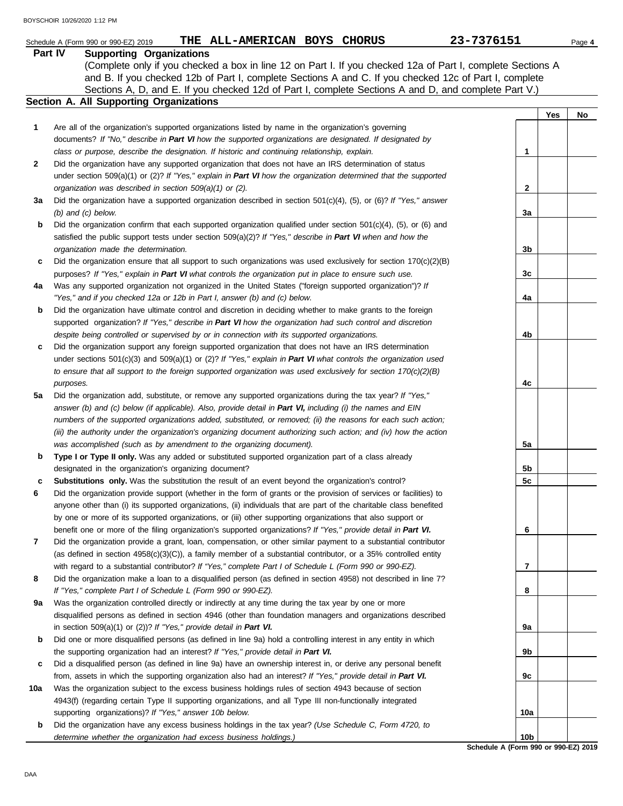|              | 23-7376151<br>THE ALL-AMERICAN BOYS CHORUS<br>Schedule A (Form 990 or 990-EZ) 2019                                  |                 |     | Page 4 |
|--------------|---------------------------------------------------------------------------------------------------------------------|-----------------|-----|--------|
|              | Part IV<br><b>Supporting Organizations</b>                                                                          |                 |     |        |
|              | (Complete only if you checked a box in line 12 on Part I. If you checked 12a of Part I, complete Sections A         |                 |     |        |
|              | and B. If you checked 12b of Part I, complete Sections A and C. If you checked 12c of Part I, complete              |                 |     |        |
|              | Sections A, D, and E. If you checked 12d of Part I, complete Sections A and D, and complete Part V.)                |                 |     |        |
|              | Section A. All Supporting Organizations                                                                             |                 |     |        |
|              |                                                                                                                     |                 | Yes | No     |
| 1            | Are all of the organization's supported organizations listed by name in the organization's governing                |                 |     |        |
|              | documents? If "No," describe in Part VI how the supported organizations are designated. If designated by            |                 |     |        |
|              | class or purpose, describe the designation. If historic and continuing relationship, explain.                       | 1               |     |        |
| $\mathbf{2}$ | Did the organization have any supported organization that does not have an IRS determination of status              |                 |     |        |
|              | under section 509(a)(1) or (2)? If "Yes," explain in Part VI how the organization determined that the supported     |                 |     |        |
|              | organization was described in section 509(a)(1) or (2).                                                             | 2               |     |        |
| За           | Did the organization have a supported organization described in section $501(c)(4)$ , (5), or (6)? If "Yes," answer |                 |     |        |
|              | $(b)$ and $(c)$ below.                                                                                              | За              |     |        |
|              |                                                                                                                     |                 |     |        |
| b            | Did the organization confirm that each supported organization qualified under section 501(c)(4), (5), or (6) and    |                 |     |        |
|              | satisfied the public support tests under section 509(a)(2)? If "Yes," describe in Part VI when and how the          |                 |     |        |
|              | organization made the determination.                                                                                | 3 <sub>b</sub>  |     |        |
| c            | Did the organization ensure that all support to such organizations was used exclusively for section $170(c)(2)(B)$  |                 |     |        |
|              | purposes? If "Yes," explain in Part VI what controls the organization put in place to ensure such use.              | 3c              |     |        |
| 4a           | Was any supported organization not organized in the United States ("foreign supported organization")? If            |                 |     |        |
|              | "Yes," and if you checked 12a or 12b in Part I, answer (b) and (c) below.                                           | 4a              |     |        |
| b            | Did the organization have ultimate control and discretion in deciding whether to make grants to the foreign         |                 |     |        |
|              | supported organization? If "Yes," describe in Part VI how the organization had such control and discretion          |                 |     |        |
|              | despite being controlled or supervised by or in connection with its supported organizations.                        | 4b              |     |        |
| c            | Did the organization support any foreign supported organization that does not have an IRS determination             |                 |     |        |
|              | under sections $501(c)(3)$ and $509(a)(1)$ or (2)? If "Yes," explain in Part VI what controls the organization used |                 |     |        |
|              | to ensure that all support to the foreign supported organization was used exclusively for section $170(c)(2)(B)$    |                 |     |        |
|              | purposes.                                                                                                           | 4c              |     |        |
| 5a           | Did the organization add, substitute, or remove any supported organizations during the tax year? If "Yes,"          |                 |     |        |
|              | answer (b) and (c) below (if applicable). Also, provide detail in Part VI, including (i) the names and EIN          |                 |     |        |
|              | numbers of the supported organizations added, substituted, or removed; (ii) the reasons for each such action;       |                 |     |        |
|              | (iii) the authority under the organization's organizing document authorizing such action; and (iv) how the action   |                 |     |        |
|              | was accomplished (such as by amendment to the organizing document).                                                 | 5а              |     |        |
| b            | Type I or Type II only. Was any added or substituted supported organization part of a class already                 |                 |     |        |
|              | designated in the organization's organizing document?                                                               | 5 <sub>b</sub>  |     |        |
| c            | <b>Substitutions only.</b> Was the substitution the result of an event beyond the organization's control?           | 5c              |     |        |
|              | Did the organization provide support (whether in the form of grants or the provision of services or facilities) to  |                 |     |        |
|              | anyone other than (i) its supported organizations, (ii) individuals that are part of the charitable class benefited |                 |     |        |
|              | by one or more of its supported organizations, or (iii) other supporting organizations that also support or         |                 |     |        |
|              | benefit one or more of the filing organization's supported organizations? If "Yes," provide detail in Part VI.      | 6               |     |        |
| 7            | Did the organization provide a grant, loan, compensation, or other similar payment to a substantial contributor     |                 |     |        |
|              | (as defined in section $4958(c)(3)(C)$ ), a family member of a substantial contributor, or a 35% controlled entity  |                 |     |        |
|              | with regard to a substantial contributor? If "Yes," complete Part I of Schedule L (Form 990 or 990-EZ).             | 7               |     |        |
| 8            | Did the organization make a loan to a disqualified person (as defined in section 4958) not described in line 7?     |                 |     |        |
|              | If "Yes," complete Part I of Schedule L (Form 990 or 990-EZ).                                                       | 8               |     |        |
| 9a           | Was the organization controlled directly or indirectly at any time during the tax year by one or more               |                 |     |        |
|              | disqualified persons as defined in section 4946 (other than foundation managers and organizations described         |                 |     |        |
|              | in section $509(a)(1)$ or $(2)$ ? If "Yes," provide detail in Part VI.                                              | 9a              |     |        |
| b            | Did one or more disqualified persons (as defined in line 9a) hold a controlling interest in any entity in which     |                 |     |        |
|              | the supporting organization had an interest? If "Yes," provide detail in Part VI.                                   | 9b              |     |        |
| c            | Did a disqualified person (as defined in line 9a) have an ownership interest in, or derive any personal benefit     |                 |     |        |
|              | from, assets in which the supporting organization also had an interest? If "Yes," provide detail in Part VI.        | 9с              |     |        |
| 10a          | Was the organization subject to the excess business holdings rules of section 4943 because of section               |                 |     |        |
|              | 4943(f) (regarding certain Type II supporting organizations, and all Type III non-functionally integrated           |                 |     |        |
|              | supporting organizations)? If "Yes," answer 10b below.                                                              | 10a             |     |        |
| b            | Did the organization have any excess business holdings in the tax year? (Use Schedule C, Form 4720, to              |                 |     |        |
|              | determine whether the organization had excess business holdings.)                                                   | 10 <sub>b</sub> |     |        |
|              |                                                                                                                     |                 |     |        |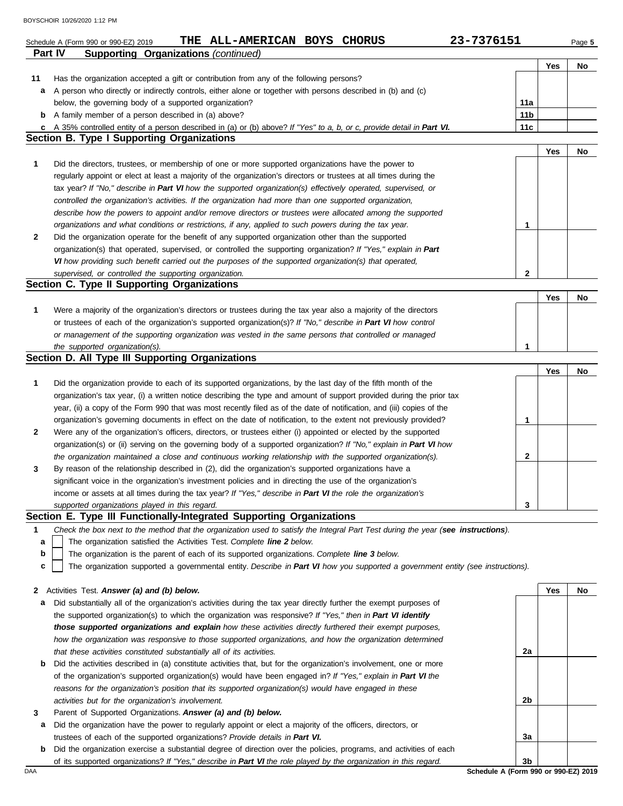|                | 23-7376151<br>THE ALL-AMERICAN BOYS CHORUS<br>Schedule A (Form 990 or 990-EZ) 2019                                                |                 |     | Page 5 |
|----------------|-----------------------------------------------------------------------------------------------------------------------------------|-----------------|-----|--------|
| <b>Part IV</b> | <b>Supporting Organizations (continued)</b>                                                                                       |                 |     |        |
|                |                                                                                                                                   |                 | Yes | No     |
| 11             | Has the organization accepted a gift or contribution from any of the following persons?                                           |                 |     |        |
| a              | A person who directly or indirectly controls, either alone or together with persons described in (b) and (c)                      |                 |     |        |
|                | below, the governing body of a supported organization?                                                                            | 11a             |     |        |
| b              | A family member of a person described in (a) above?                                                                               | 11 <sub>b</sub> |     |        |
|                | c A 35% controlled entity of a person described in (a) or (b) above? If "Yes" to a, b, or c, provide detail in Part VI.           | 11c             |     |        |
|                | <b>Section B. Type I Supporting Organizations</b>                                                                                 |                 |     |        |
|                |                                                                                                                                   |                 | Yes | No     |
| 1              | Did the directors, trustees, or membership of one or more supported organizations have the power to                               |                 |     |        |
|                | regularly appoint or elect at least a majority of the organization's directors or trustees at all times during the                |                 |     |        |
|                | tax year? If "No," describe in Part VI how the supported organization(s) effectively operated, supervised, or                     |                 |     |        |
|                | controlled the organization's activities. If the organization had more than one supported organization,                           |                 |     |        |
|                | describe how the powers to appoint and/or remove directors or trustees were allocated among the supported                         |                 |     |        |
|                | organizations and what conditions or restrictions, if any, applied to such powers during the tax year.                            | 1               |     |        |
| $\mathbf{2}$   | Did the organization operate for the benefit of any supported organization other than the supported                               |                 |     |        |
|                | organization(s) that operated, supervised, or controlled the supporting organization? If "Yes," explain in Part                   |                 |     |        |
|                | VI how providing such benefit carried out the purposes of the supported organization(s) that operated,                            |                 |     |        |
|                | supervised, or controlled the supporting organization.                                                                            | $\mathbf{2}$    |     |        |
|                | Section C. Type II Supporting Organizations                                                                                       |                 |     |        |
|                |                                                                                                                                   |                 | Yes | No     |
| 1              | Were a majority of the organization's directors or trustees during the tax year also a majority of the directors                  |                 |     |        |
|                | or trustees of each of the organization's supported organization(s)? If "No," describe in Part VI how control                     |                 |     |        |
|                | or management of the supporting organization was vested in the same persons that controlled or managed                            |                 |     |        |
|                | the supported organization(s).<br>Section D. All Type III Supporting Organizations                                                | 1               |     |        |
|                |                                                                                                                                   |                 | Yes | No     |
| 1              | Did the organization provide to each of its supported organizations, by the last day of the fifth month of the                    |                 |     |        |
|                | organization's tax year, (i) a written notice describing the type and amount of support provided during the prior tax             |                 |     |        |
|                | year, (ii) a copy of the Form 990 that was most recently filed as of the date of notification, and (iii) copies of the            |                 |     |        |
|                | organization's governing documents in effect on the date of notification, to the extent not previously provided?                  | 1               |     |        |
| 2              | Were any of the organization's officers, directors, or trustees either (i) appointed or elected by the supported                  |                 |     |        |
|                | organization(s) or (ii) serving on the governing body of a supported organization? If "No," explain in Part VI how                |                 |     |        |
|                | the organization maintained a close and continuous working relationship with the supported organization(s).                       | 2               |     |        |
| 3              | By reason of the relationship described in (2), did the organization's supported organizations have a                             |                 |     |        |
|                | significant voice in the organization's investment policies and in directing the use of the organization's                        |                 |     |        |
|                | income or assets at all times during the tax year? If "Yes," describe in Part VI the role the organization's                      |                 |     |        |
|                | supported organizations played in this regard.                                                                                    | 3               |     |        |
|                | Section E. Type III Functionally-Integrated Supporting Organizations                                                              |                 |     |        |
| 1              | Check the box next to the method that the organization used to satisfy the Integral Part Test during the year (see instructions). |                 |     |        |
| а              | The organization satisfied the Activities Test. Complete line 2 below.                                                            |                 |     |        |
| b              | The organization is the parent of each of its supported organizations. Complete line 3 below.                                     |                 |     |        |
| c              | The organization supported a governmental entity. Describe in Part VI how you supported a government entity (see instructions).   |                 |     |        |
|                |                                                                                                                                   |                 |     |        |
| 2              | Activities Test. Answer (a) and (b) below.                                                                                        |                 | Yes | No     |
| а              | Did substantially all of the organization's activities during the tax year directly further the exempt purposes of                |                 |     |        |
|                | the supported organization(s) to which the organization was responsive? If "Yes," then in Part VI identify                        |                 |     |        |
|                | those supported organizations and explain how these activities directly furthered their exempt purposes,                          |                 |     |        |
|                | how the organization was responsive to those supported organizations, and how the organization determined                         |                 |     |        |
|                | that these activities constituted substantially all of its activities.                                                            | 2a              |     |        |
| b              | Did the activities described in (a) constitute activities that, but for the organization's involvement, one or more               |                 |     |        |
|                | of the organization's supported organization(s) would have been engaged in? If "Yes," explain in Part VI the                      |                 |     |        |
|                | reasons for the organization's position that its supported organization(s) would have engaged in these                            |                 |     |        |
|                | activities but for the organization's involvement.                                                                                | 2b              |     |        |
| 3              | Parent of Supported Organizations. Answer (a) and (b) below.                                                                      |                 |     |        |
| а              | Did the organization have the power to regularly appoint or elect a majority of the officers, directors, or                       |                 |     |        |
|                | trustees of each of the supported organizations? Provide details in Part VI.                                                      | За              |     |        |
| b              | Did the organization exercise a substantial degree of direction over the policies, programs, and activities of each               |                 |     |        |
|                | of its supported organizations? If "Yes," describe in Part VI the role played by the organization in this regard.                 | 3b              |     |        |
| DAA            | Schedule A (Form 990 or 990-EZ) 2019                                                                                              |                 |     |        |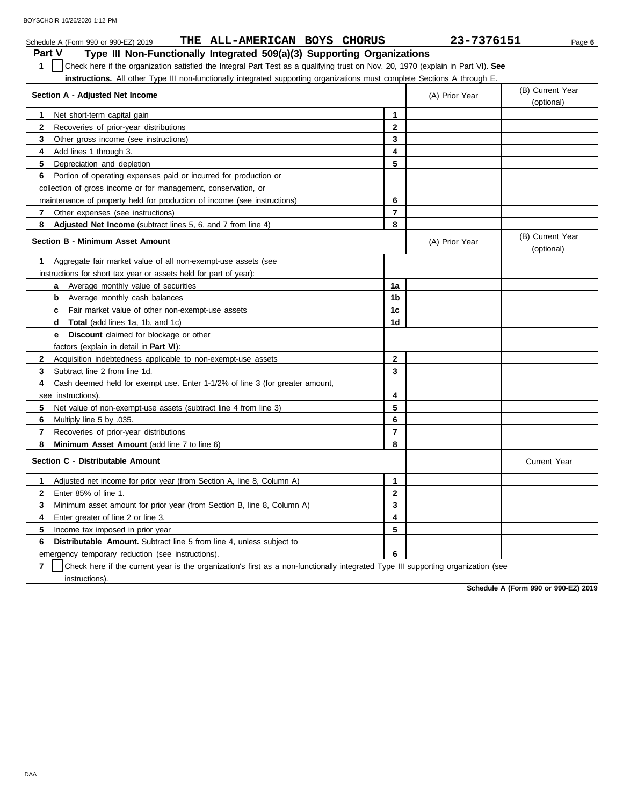|                | THE ALL-AMERICAN BOYS CHORUS<br>Schedule A (Form 990 or 990-EZ) 2019                                                             |                | 23-7376151     | Page 6                         |
|----------------|----------------------------------------------------------------------------------------------------------------------------------|----------------|----------------|--------------------------------|
| Part V         | Type III Non-Functionally Integrated 509(a)(3) Supporting Organizations                                                          |                |                |                                |
| 1              | Check here if the organization satisfied the Integral Part Test as a qualifying trust on Nov. 20, 1970 (explain in Part VI). See |                |                |                                |
|                | instructions. All other Type III non-functionally integrated supporting organizations must complete Sections A through E.        |                |                |                                |
|                | Section A - Adjusted Net Income                                                                                                  |                | (A) Prior Year | (B) Current Year               |
|                |                                                                                                                                  |                |                | (optional)                     |
| 1              | Net short-term capital gain                                                                                                      | 1              |                |                                |
| $\mathbf{2}$   | Recoveries of prior-year distributions                                                                                           | $\mathbf{2}$   |                |                                |
| 3              | Other gross income (see instructions)                                                                                            | 3              |                |                                |
| 4              | Add lines 1 through 3.                                                                                                           | 4              |                |                                |
| 5              | Depreciation and depletion                                                                                                       | 5              |                |                                |
| 6              | Portion of operating expenses paid or incurred for production or                                                                 |                |                |                                |
|                | collection of gross income or for management, conservation, or                                                                   |                |                |                                |
|                | maintenance of property held for production of income (see instructions)                                                         | 6              |                |                                |
| 7.             | Other expenses (see instructions)                                                                                                | 7              |                |                                |
| 8              | <b>Adjusted Net Income</b> (subtract lines 5, 6, and 7 from line 4)                                                              | 8              |                |                                |
|                | <b>Section B - Minimum Asset Amount</b>                                                                                          |                | (A) Prior Year | (B) Current Year<br>(optional) |
| 1              | Aggregate fair market value of all non-exempt-use assets (see                                                                    |                |                |                                |
|                | instructions for short tax year or assets held for part of year):                                                                |                |                |                                |
|                | Average monthly value of securities<br>a                                                                                         | 1a             |                |                                |
|                | Average monthly cash balances<br>b                                                                                               | 1b             |                |                                |
|                | <b>c</b> Fair market value of other non-exempt-use assets                                                                        | 1c             |                |                                |
|                | <b>Total</b> (add lines 1a, 1b, and 1c)<br>d                                                                                     | 1d             |                |                                |
|                | <b>Discount</b> claimed for blockage or other<br>e                                                                               |                |                |                                |
|                | factors (explain in detail in <b>Part VI)</b> :                                                                                  |                |                |                                |
| $\mathbf{2}$   | Acquisition indebtedness applicable to non-exempt-use assets                                                                     | $\mathbf{2}$   |                |                                |
| 3              | Subtract line 2 from line 1d.                                                                                                    | 3              |                |                                |
| 4              | Cash deemed held for exempt use. Enter 1-1/2% of line 3 (for greater amount,                                                     |                |                |                                |
|                | see instructions).                                                                                                               | 4              |                |                                |
| 5              | Net value of non-exempt-use assets (subtract line 4 from line 3)                                                                 | 5              |                |                                |
| 6              | Multiply line 5 by .035.                                                                                                         | 6              |                |                                |
| $\overline{7}$ | Recoveries of prior-year distributions                                                                                           | $\overline{7}$ |                |                                |
| 8              | Minimum Asset Amount (add line 7 to line 6)                                                                                      | 8              |                |                                |
|                | Section C - Distributable Amount                                                                                                 |                |                | <b>Current Year</b>            |
| 1              | Adjusted net income for prior year (from Section A, line 8, Column A)                                                            | $\mathbf{1}$   |                |                                |
| $\mathbf{2}$   | Enter 85% of line 1.                                                                                                             | $\mathbf{2}$   |                |                                |
| 3              | Minimum asset amount for prior year (from Section B, line 8, Column A)                                                           | 3              |                |                                |
| 4              | Enter greater of line 2 or line 3.                                                                                               | 4              |                |                                |
| 5              | Income tax imposed in prior year                                                                                                 | 5              |                |                                |
| 6              | <b>Distributable Amount.</b> Subtract line 5 from line 4, unless subject to                                                      |                |                |                                |
|                | emergency temporary reduction (see instructions).                                                                                | 6              |                |                                |

**7** instructions). Check here if the current year is the organization's first as a non-functionally integrated Type III supporting organization (see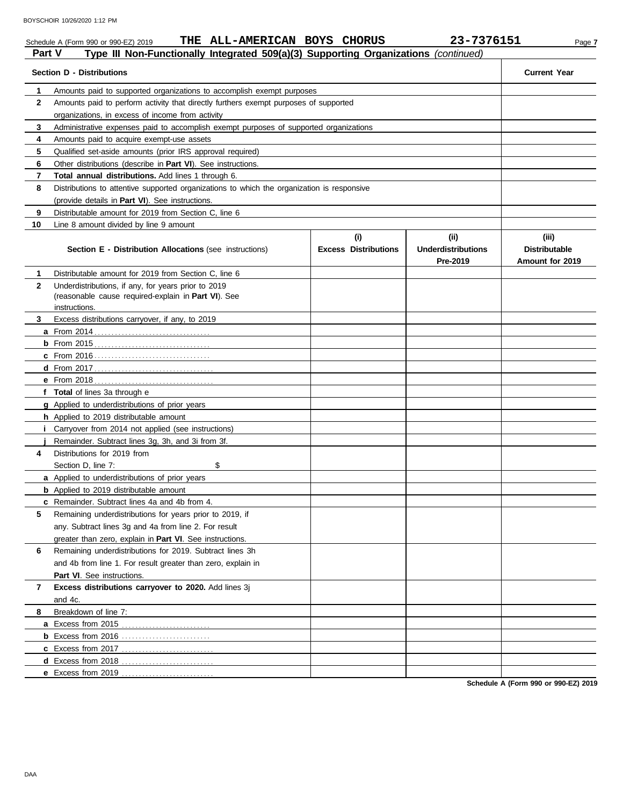### Schedule A (Form 990 or 990-EZ) 2019 **THE ALL-AMERICAN BOYS CHORUS** 23-7376151 Page 7 **Part V Type III Non-Functionally Integrated 509(a)(3) Supporting Organizations** *(continued)* **Section D - Distributions Current Year 1 2 3 4 5 6 7 8 9 10** Amounts paid to supported organizations to accomplish exempt purposes Amounts paid to perform activity that directly furthers exempt purposes of supported organizations, in excess of income from activity Administrative expenses paid to accomplish exempt purposes of supported organizations Amounts paid to acquire exempt-use assets Qualified set-aside amounts (prior IRS approval required) Other distributions (describe in **Part VI**). See instructions. **Total annual distributions.** Add lines 1 through 6. Distributions to attentive supported organizations to which the organization is responsive (provide details in **Part VI**). See instructions. Distributable amount for 2019 from Section C, line 6 Line 8 amount divided by line 9 amount **Section E - Distribution Allocations** (see instructions) **Excess Distributions (i) (ii) Underdistributions Pre-2019 (iii) Distributable Amount for 2019 8 7 6 5 4 3 2 1 a** From 2014 . . . . . . . . . . . . . . . . . . . . . . . . . . . . . . . . . . **b** From 2015 . . . . . . . . . . . . . . . . . . . . . . . . . . . . . . . . . . **c** From 2016 . . . . . . . . . . . . . . . . . . . . . . . . . . . . . . . . . . **d** From 2017 . . . . . . . . . . . . . . . . . . . . . . . . . . . . . . . . . . . **e** From 2018 . . . . . . . . . . . . . . . . . . . . . . . . . . . . . . . . . . . **f Total** of lines 3a through e **g** Applied to underdistributions of prior years **h** Applied to 2019 distributable amount **i** Carryover from 2014 not applied (see instructions) **j** Remainder. Subtract lines 3g, 3h, and 3i from 3f. **a** Applied to underdistributions of prior years **b** Applied to 2019 distributable amount **c** Remainder. Subtract lines 4a and 4b from 4. **a** Excess from 2015 . . . . . . . . . . . . . . . . . . . . . . . . . . Distributable amount for 2019 from Section C, line 6 Underdistributions, if any, for years prior to 2019 (reasonable cause required-explain in **Part VI**). See Excess distributions carryover, if any, to 2019 Distributions for 2019 from Section D, line 7: \$ Remaining underdistributions for years prior to 2019, if any. Subtract lines 3g and 4a from line 2. For result greater than zero, explain in **Part VI**. See instructions. Remaining underdistributions for 2019. Subtract lines 3h and 4b from line 1. For result greater than zero, explain in Part VI. See instructions. **Excess distributions carryover to 2020.** Add lines 3j and 4c. Breakdown of line 7: instructions.

**Schedule A (Form 990 or 990-EZ) 2019**

**b** Excess from 2016 . . . . . . . . . . . . . . . . . . . . . . . . . . **c** Excess from 2017 . . . . . . . . . . . . . . . . . . . . . . . . . . . **d** Excess from 2018 . . . . . . . . . . . . . . . . . . . . . . . . . . . **e** Excess from 2019 . . . . . . . . . . . . . . . . . . . . . . . . . . .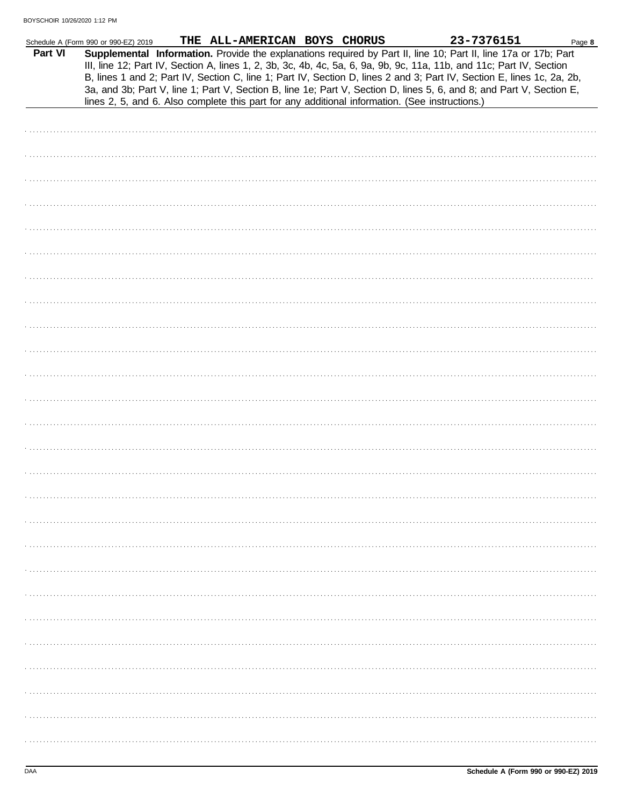| Part VI | Schedule A (Form 990 or 990-EZ) 2019 | THE ALL-AMERICAN BOYS CHORUS                                                                   |  | 23-7376151<br>Supplemental Information. Provide the explanations required by Part II, line 10; Part II, line 17a or 17b; Part<br>III, line 12; Part IV, Section A, lines 1, 2, 3b, 3c, 4b, 4c, 5a, 6, 9a, 9b, 9c, 11a, 11b, and 11c; Part IV, Section | Page 8 |
|---------|--------------------------------------|------------------------------------------------------------------------------------------------|--|-------------------------------------------------------------------------------------------------------------------------------------------------------------------------------------------------------------------------------------------------------|--------|
|         |                                      | lines 2, 5, and 6. Also complete this part for any additional information. (See instructions.) |  | B, lines 1 and 2; Part IV, Section C, line 1; Part IV, Section D, lines 2 and 3; Part IV, Section E, lines 1c, 2a, 2b,<br>3a, and 3b; Part V, line 1; Part V, Section B, line 1e; Part V, Section D, lines 5, 6, and 8; and Part V, Section E,        |        |
|         |                                      |                                                                                                |  |                                                                                                                                                                                                                                                       |        |
|         |                                      |                                                                                                |  |                                                                                                                                                                                                                                                       |        |
|         |                                      |                                                                                                |  |                                                                                                                                                                                                                                                       |        |
|         |                                      |                                                                                                |  |                                                                                                                                                                                                                                                       |        |
|         |                                      |                                                                                                |  |                                                                                                                                                                                                                                                       |        |
|         |                                      |                                                                                                |  |                                                                                                                                                                                                                                                       |        |
|         |                                      |                                                                                                |  |                                                                                                                                                                                                                                                       |        |
|         |                                      |                                                                                                |  |                                                                                                                                                                                                                                                       |        |
|         |                                      |                                                                                                |  |                                                                                                                                                                                                                                                       |        |
|         |                                      |                                                                                                |  |                                                                                                                                                                                                                                                       |        |
|         |                                      |                                                                                                |  |                                                                                                                                                                                                                                                       |        |
|         |                                      |                                                                                                |  |                                                                                                                                                                                                                                                       |        |
|         |                                      |                                                                                                |  |                                                                                                                                                                                                                                                       |        |
|         |                                      |                                                                                                |  |                                                                                                                                                                                                                                                       |        |
|         |                                      |                                                                                                |  |                                                                                                                                                                                                                                                       |        |
|         |                                      |                                                                                                |  |                                                                                                                                                                                                                                                       |        |
|         |                                      |                                                                                                |  |                                                                                                                                                                                                                                                       |        |
|         |                                      |                                                                                                |  |                                                                                                                                                                                                                                                       |        |
|         |                                      |                                                                                                |  |                                                                                                                                                                                                                                                       |        |
|         |                                      |                                                                                                |  |                                                                                                                                                                                                                                                       |        |
|         |                                      |                                                                                                |  |                                                                                                                                                                                                                                                       |        |
|         |                                      |                                                                                                |  |                                                                                                                                                                                                                                                       |        |
|         |                                      |                                                                                                |  |                                                                                                                                                                                                                                                       |        |
|         |                                      |                                                                                                |  |                                                                                                                                                                                                                                                       |        |
|         |                                      |                                                                                                |  |                                                                                                                                                                                                                                                       |        |
|         |                                      |                                                                                                |  |                                                                                                                                                                                                                                                       |        |
|         |                                      |                                                                                                |  |                                                                                                                                                                                                                                                       |        |
|         |                                      |                                                                                                |  |                                                                                                                                                                                                                                                       |        |
|         |                                      |                                                                                                |  |                                                                                                                                                                                                                                                       |        |
|         |                                      |                                                                                                |  |                                                                                                                                                                                                                                                       |        |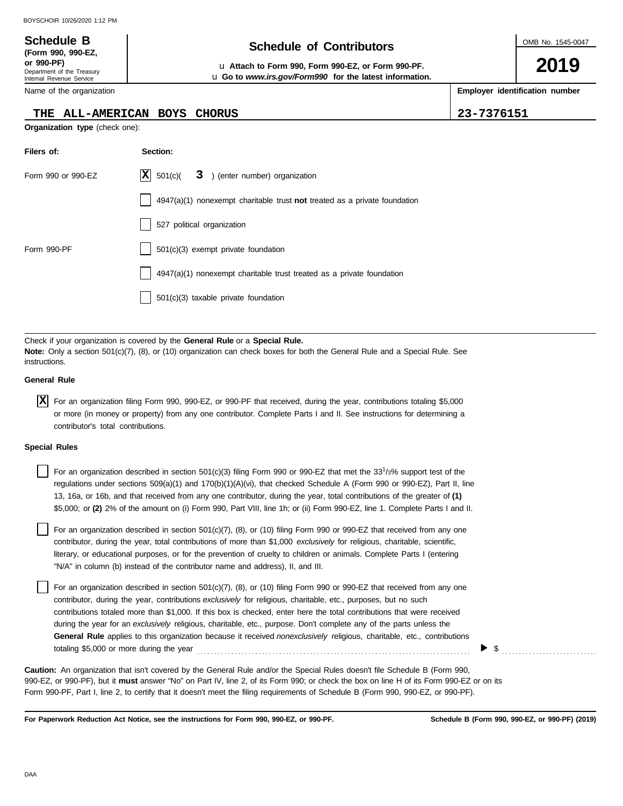**or 990-PF)** u **Attach to Form 990, Form 990-EZ, or Form 990-PF.** u **Go to** *www.irs.gov/Form990* **for the latest information.** OMB No. 1545-0047

**2019**

**Employer identification number**

| THE                                       | <b>ALL-AMERICAN BOYS</b><br><b>CHORUS</b>                                                                                                                                                                                                                                                                                                                                                                                                                                                                                                                                                                                                                          | 23-7376151 |
|-------------------------------------------|--------------------------------------------------------------------------------------------------------------------------------------------------------------------------------------------------------------------------------------------------------------------------------------------------------------------------------------------------------------------------------------------------------------------------------------------------------------------------------------------------------------------------------------------------------------------------------------------------------------------------------------------------------------------|------------|
| Organization type (check one):            |                                                                                                                                                                                                                                                                                                                                                                                                                                                                                                                                                                                                                                                                    |            |
| Filers of:                                | Section:                                                                                                                                                                                                                                                                                                                                                                                                                                                                                                                                                                                                                                                           |            |
| Form 990 or 990-EZ                        | $ {\bf X} $<br>501(c)<br>) (enter number) organization<br>3                                                                                                                                                                                                                                                                                                                                                                                                                                                                                                                                                                                                        |            |
|                                           | $4947(a)(1)$ nonexempt charitable trust not treated as a private foundation                                                                                                                                                                                                                                                                                                                                                                                                                                                                                                                                                                                        |            |
|                                           | 527 political organization                                                                                                                                                                                                                                                                                                                                                                                                                                                                                                                                                                                                                                         |            |
| Form 990-PF                               | 501(c)(3) exempt private foundation                                                                                                                                                                                                                                                                                                                                                                                                                                                                                                                                                                                                                                |            |
|                                           | 4947(a)(1) nonexempt charitable trust treated as a private foundation                                                                                                                                                                                                                                                                                                                                                                                                                                                                                                                                                                                              |            |
|                                           | 501(c)(3) taxable private foundation                                                                                                                                                                                                                                                                                                                                                                                                                                                                                                                                                                                                                               |            |
|                                           |                                                                                                                                                                                                                                                                                                                                                                                                                                                                                                                                                                                                                                                                    |            |
| instructions.                             | Check if your organization is covered by the General Rule or a Special Rule.<br>Note: Only a section 501(c)(7), (8), or (10) organization can check boxes for both the General Rule and a Special Rule. See                                                                                                                                                                                                                                                                                                                                                                                                                                                        |            |
| <b>General Rule</b>                       |                                                                                                                                                                                                                                                                                                                                                                                                                                                                                                                                                                                                                                                                    |            |
| ΙXΙ<br>contributor's total contributions. | For an organization filing Form 990, 990-EZ, or 990-PF that received, during the year, contributions totaling \$5,000<br>or more (in money or property) from any one contributor. Complete Parts I and II. See instructions for determining a                                                                                                                                                                                                                                                                                                                                                                                                                      |            |
| <b>Special Rules</b>                      |                                                                                                                                                                                                                                                                                                                                                                                                                                                                                                                                                                                                                                                                    |            |
|                                           | For an organization described in section 501(c)(3) filing Form 990 or 990-EZ that met the 33 <sup>1</sup> /3% support test of the<br>regulations under sections 509(a)(1) and 170(b)(1)(A)(vi), that checked Schedule A (Form 990 or 990-EZ), Part II, line<br>13, 16a, or 16b, and that received from any one contributor, during the year, total contributions of the greater of (1)<br>\$5,000; or (2) 2% of the amount on (i) Form 990, Part VIII, line 1h; or (ii) Form 990-EZ, line 1. Complete Parts I and II.                                                                                                                                              |            |
|                                           | For an organization described in section $501(c)(7)$ , (8), or (10) filing Form 990 or 990-EZ that received from any one<br>contributor, during the year, total contributions of more than \$1,000 exclusively for religious, charitable, scientific,<br>literary, or educational purposes, or for the prevention of cruelty to children or animals. Complete Parts I (entering<br>"N/A" in column (b) instead of the contributor name and address), II, and III.                                                                                                                                                                                                  |            |
|                                           | For an organization described in section $501(c)(7)$ , (8), or (10) filing Form 990 or 990-EZ that received from any one<br>contributor, during the year, contributions exclusively for religious, charitable, etc., purposes, but no such<br>contributions totaled more than \$1,000. If this box is checked, enter here the total contributions that were received<br>during the year for an exclusively religious, charitable, etc., purpose. Don't complete any of the parts unless the<br>General Rule applies to this organization because it received nonexclusively religious, charitable, etc., contributions<br>totaling \$5,000 or more during the year | \$         |
|                                           | <b>Caution:</b> An organization that isn't covered by the General Rule and/or the Special Rules doesn't file Schedule B (Form 990,<br>990-EZ, or 990-PF), but it <b>must</b> answer "No" on Part IV, line 2, of its Form 990; or check the box on line H of its Form 990-EZ or on its<br>Form 990-PF, Part I, line 2, to certify that it doesn't meet the filing requirements of Schedule B (Form 990, 990-EZ, or 990-PF).                                                                                                                                                                                                                                         |            |

**For Paperwork Reduction Act Notice, see the instructions for Form 990, 990-EZ, or 990-PF.**

Department of the Treasury Internal Revenue Service **Schedule B Schedule B Schedule B Schedule Schedule Schedule SC Contributors (Form 990, 990-EZ,**

Name of the organization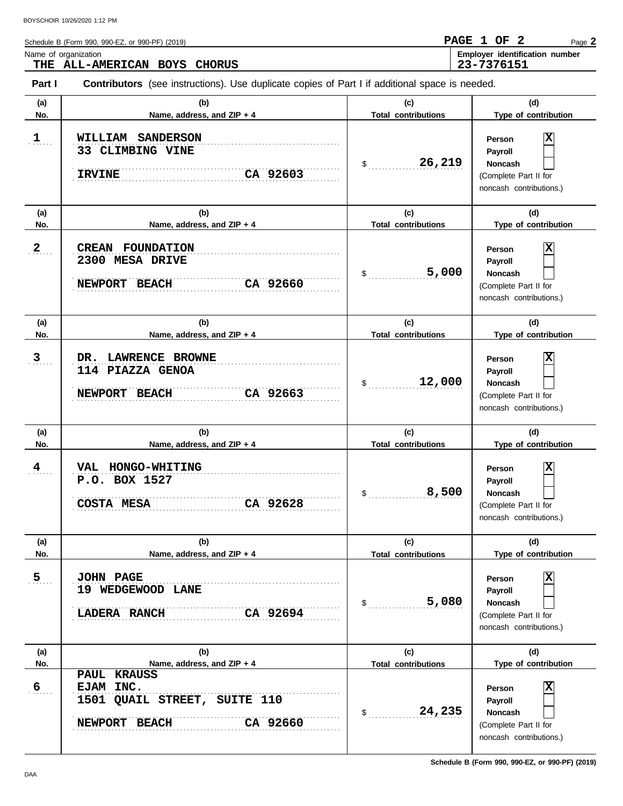|            | Schedule B (Form 990, 990-EZ, or 990-PF) (2019)                                                       |                                   | PAGE 1 OF 2<br>Page 2                        |  |  |  |  |  |
|------------|-------------------------------------------------------------------------------------------------------|-----------------------------------|----------------------------------------------|--|--|--|--|--|
|            | Name of organization<br>THE ALL-AMERICAN BOYS CHORUS                                                  |                                   | Employer identification number<br>23-7376151 |  |  |  |  |  |
| Part I     | <b>Contributors</b> (see instructions). Use duplicate copies of Part I if additional space is needed. |                                   |                                              |  |  |  |  |  |
| (a)<br>No. | (b)<br>Name, address, and $ZIP + 4$                                                                   | (c)<br><b>Total contributions</b> | (d)<br>Type of contribution                  |  |  |  |  |  |

| $\mathbf{1}$   | <b>WILLIAM</b><br><b>SANDERSON</b><br>33 CLIMBING VINE<br>CA 92603<br><b>IRVINE</b>               | 26,219<br>\$                                          | X<br>Person<br>Payroll<br>Noncash<br>(Complete Part II for<br>noncash contributions.)                         |
|----------------|---------------------------------------------------------------------------------------------------|-------------------------------------------------------|---------------------------------------------------------------------------------------------------------------|
| (a)<br>No.     | (b)<br>Name, address, and ZIP + 4                                                                 | (c)<br><b>Total contributions</b>                     | (d)<br>Type of contribution                                                                                   |
| $\mathbf{2}$   | <b>CREAN FOUNDATION</b><br>2300 MESA DRIVE<br>CA 92660<br>NEWPORT BEACH                           | 5,000<br>$\frac{1}{2}$                                | X<br>Person<br>Payroll<br>Noncash<br>(Complete Part II for<br>noncash contributions.)                         |
| (a)<br>No.     | (b)<br>Name, address, and ZIP + 4                                                                 | (c)<br><b>Total contributions</b>                     | (d)<br>Type of contribution                                                                                   |
| $\overline{3}$ | LAWRENCE BROWNE<br>DR.<br>114 PIAZZA GENOA<br>CA 92663<br>NEWPORT BEACH                           | 12,000<br>$\mathfrak s$                               | X<br>Person<br>Payroll<br>Noncash<br>(Complete Part II for<br>noncash contributions.)                         |
| (a)            | (b)                                                                                               | (c)                                                   | (d)                                                                                                           |
| No.<br>4       | Name, address, and ZIP + 4<br>VAL HONGO-WHITING<br>P.O. BOX 1527<br>CA 92628<br><b>COSTA MESA</b> | <b>Total contributions</b><br>8,500<br>$\mathfrak s$  | Type of contribution<br>Х<br>Person<br>Payroll<br>Noncash<br>(Complete Part II for<br>noncash contributions.) |
| (a)<br>No.     | (b)<br>Name, address, and ZIP + 4                                                                 | (c)<br><b>Total contributions</b>                     | (d)<br>Type of contribution                                                                                   |
| 5<br>27.       | <b>JOHN PAGE</b><br>19 WEDGEWOOD LANE<br>CA 92694<br><b>LADERA RANCH</b>                          | 5,080<br>\$                                           | 図<br>Person<br>Payroll<br><b>Noncash</b><br>(Complete Part II for<br>noncash contributions.)                  |
| (a)<br>No.     | (b)<br>Name, address, and ZIP + 4                                                                 | (c)                                                   | (d)<br>Type of contribution                                                                                   |
| 6              | PAUL KRAUSS<br>EJAM INC.<br>1501 QUAIL STREET, SUITE 110<br>CA 92660<br>NEWPORT BEACH             | <b>Total contributions</b><br>24,235<br>$\mathsf{\$}$ | x<br>Person<br>Payroll<br><b>Noncash</b><br>(Complete Part II for<br>noncash contributions.)                  |

**Schedule B (Form 990, 990-EZ, or 990-PF) (2019)**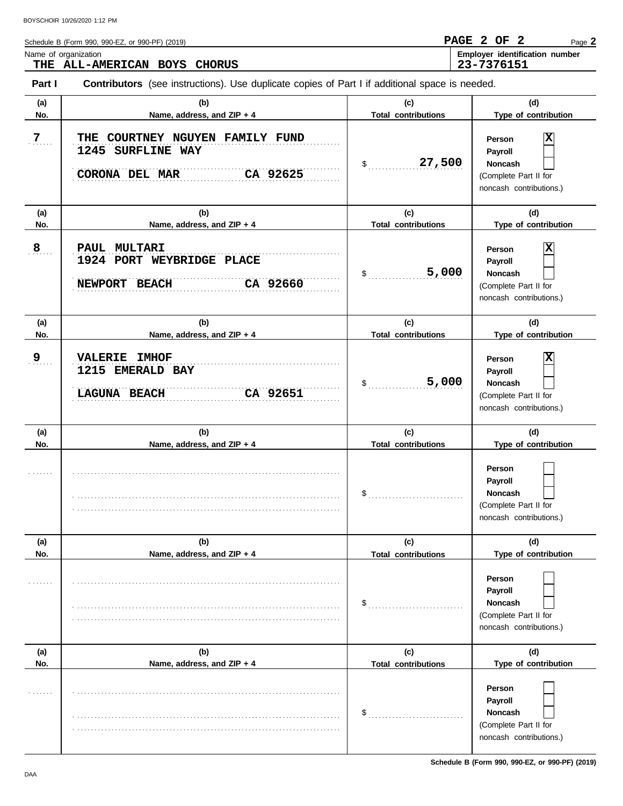| Schedule B (Form 990, 990-EZ, or 990-PF) (2019)                                                                 | PAGE 2 OF 2 |  | Page 2                                |
|-----------------------------------------------------------------------------------------------------------------|-------------|--|---------------------------------------|
| Name of organization<br>THE ALL-AMERICAN BOYS CHORUS                                                            | 23-7376151  |  | <b>Employer identification number</b> |
| <b>Contributors</b> (see instructions). Use duplicate copies of Part I if additional space is needed.<br>Part I |             |  |                                       |

| (a)            | (b)                                                                                     | (c)                               | (d)                                                                                     |
|----------------|-----------------------------------------------------------------------------------------|-----------------------------------|-----------------------------------------------------------------------------------------|
| No.            | Name, address, and ZIP + 4                                                              | <b>Total contributions</b>        | Type of contribution                                                                    |
| $\overline{7}$ | THE COURTNEY NGUYEN FAMILY FUND<br>1245 SURFLINE WAY<br>CA 92625<br>CORONA DEL MAR      | 27,500<br>\$                      | х<br>Person<br>Payroll<br>Noncash<br>(Complete Part II for<br>noncash contributions.)   |
| (a)            | (b)                                                                                     | (c)                               | (d)                                                                                     |
| No.            | Name, address, and ZIP + 4                                                              | <b>Total contributions</b>        | Type of contribution                                                                    |
| $\mathbf{8}$   | PAUL MULTARI<br>1924 PORT WEYBRIDGE PLACE<br><b>NEWPORT</b><br>CA 92660<br><b>BEACH</b> | 5,000<br>\$                       | ΙX<br>Person<br>Payroll<br>Noncash<br>(Complete Part II for<br>noncash contributions.)  |
| (a)            | (b)                                                                                     | (c)                               | (d)                                                                                     |
| No.            | Name, address, and ZIP + 4                                                              | <b>Total contributions</b>        | Type of contribution                                                                    |
| 9 <sub>1</sub> | <b>VALERIE IMHOF</b><br>1215 EMERALD BAY<br>CA 92651<br><b>LAGUNA BEACH</b>             | 5,000<br>\$                       | х<br>Person<br>Payroll<br>Noncash<br>(Complete Part II for<br>noncash contributions.)   |
| (a)<br>No.     | (b)<br>Name, address, and ZIP + 4                                                       | (c)<br><b>Total contributions</b> | (d)<br>Type of contribution                                                             |
|                |                                                                                         | \$                                | Person<br>Payroll<br>Noncash<br>(Complete Part II for<br>noncash contributions.)        |
| (a)            | (b)                                                                                     | (c)                               | (d)                                                                                     |
| No.            | Name, address, and ZIP + 4                                                              | Total contributions               | Type of contribution                                                                    |
|                |                                                                                         | \$                                | Person<br>Payroll<br><b>Noncash</b><br>(Complete Part II for<br>noncash contributions.) |
| (a)            | (b)                                                                                     | (c)                               | (d)                                                                                     |
| No.            | Name, address, and ZIP + 4                                                              | <b>Total contributions</b>        | Type of contribution                                                                    |
|                |                                                                                         | \$                                | Person<br>Payroll<br><b>Noncash</b><br>(Complete Part II for<br>noncash contributions.) |

**Schedule B (Form 990, 990-EZ, or 990-PF) (2019)**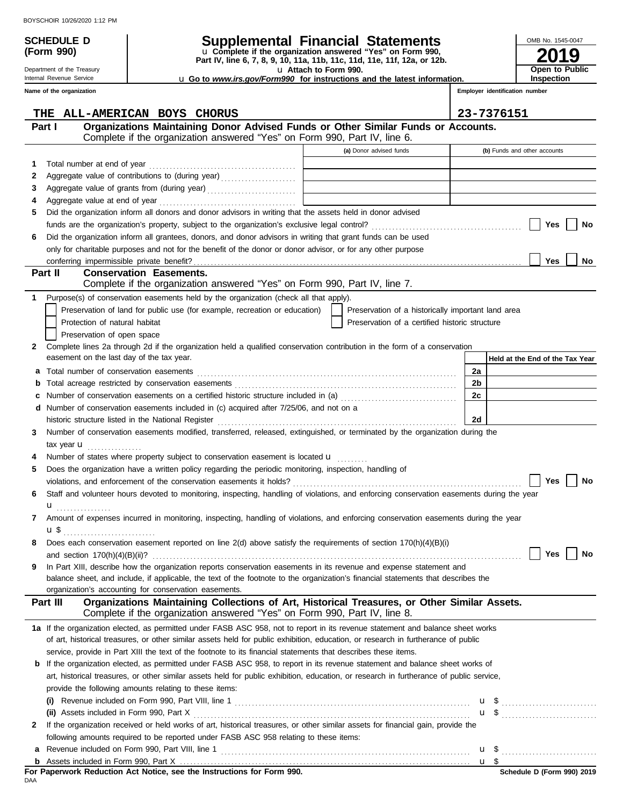**(Form 990)**

Department of the Treasury Internal Revenue Service **Name of the organization**

# **SCHEDULE D Supplemental Financial Statements**

**Part IV, line 6, 7, 8, 9, 10, 11a, 11b, 11c, 11d, 11e, 11f, 12a, or 12b.** u **Complete if the organization answered "Yes" on Form 990,**

u **Attach to Form 990.** 

**2019 Open to Public Inspection**

OMB No. 1545-0047

u **Go to** *www.irs.gov/Form990* **for instructions and the latest information.**

**Employer identification number**

|    | ALL-AMERICAN BOYS CHORUS<br>THE                                                                                                                                                       |                                                    | 23-7376151                      |
|----|---------------------------------------------------------------------------------------------------------------------------------------------------------------------------------------|----------------------------------------------------|---------------------------------|
|    | Organizations Maintaining Donor Advised Funds or Other Similar Funds or Accounts.<br>Part I                                                                                           |                                                    |                                 |
|    | Complete if the organization answered "Yes" on Form 990, Part IV, line 6.                                                                                                             |                                                    |                                 |
|    |                                                                                                                                                                                       | (a) Donor advised funds                            | (b) Funds and other accounts    |
| 1  |                                                                                                                                                                                       |                                                    |                                 |
| 2  | Aggregate value of contributions to (during year) [11] [11] Aggregate value of contributions to (during year)                                                                         |                                                    |                                 |
| 3  | Aggregate value of grants from (during year)                                                                                                                                          |                                                    |                                 |
| 4  |                                                                                                                                                                                       |                                                    |                                 |
| 5  | Did the organization inform all donors and donor advisors in writing that the assets held in donor advised                                                                            |                                                    |                                 |
|    |                                                                                                                                                                                       |                                                    | Yes<br>No                       |
| 6  | Did the organization inform all grantees, donors, and donor advisors in writing that grant funds can be used                                                                          |                                                    |                                 |
|    | only for charitable purposes and not for the benefit of the donor or donor advisor, or for any other purpose                                                                          |                                                    |                                 |
|    |                                                                                                                                                                                       |                                                    | Yes<br>No                       |
|    | Part II<br><b>Conservation Easements.</b>                                                                                                                                             |                                                    |                                 |
|    | Complete if the organization answered "Yes" on Form 990, Part IV, line 7.                                                                                                             |                                                    |                                 |
| 1  | Purpose(s) of conservation easements held by the organization (check all that apply).                                                                                                 |                                                    |                                 |
|    | Preservation of land for public use (for example, recreation or education)                                                                                                            | Preservation of a historically important land area |                                 |
|    | Protection of natural habitat                                                                                                                                                         | Preservation of a certified historic structure     |                                 |
|    | Preservation of open space                                                                                                                                                            |                                                    |                                 |
| 2  | Complete lines 2a through 2d if the organization held a qualified conservation contribution in the form of a conservation                                                             |                                                    |                                 |
|    | easement on the last day of the tax year.                                                                                                                                             |                                                    | Held at the End of the Tax Year |
| a  |                                                                                                                                                                                       |                                                    | 2a                              |
| b  |                                                                                                                                                                                       |                                                    | 2b                              |
| c  | Number of conservation easements on a certified historic structure included in (a) [11] [21] Number of conservation easements on a certified historic structure included in (a)       |                                                    | 2c                              |
|    | d Number of conservation easements included in (c) acquired after 7/25/06, and not on a                                                                                               |                                                    |                                 |
|    |                                                                                                                                                                                       |                                                    | 2d                              |
| 3. | Number of conservation easements modified, transferred, released, extinguished, or terminated by the organization during the                                                          |                                                    |                                 |
|    | tax year $\mathbf u$                                                                                                                                                                  |                                                    |                                 |
|    | Number of states where property subject to conservation easement is located $\mathbf{u}$                                                                                              |                                                    |                                 |
| 5  | Does the organization have a written policy regarding the periodic monitoring, inspection, handling of                                                                                |                                                    |                                 |
|    |                                                                                                                                                                                       |                                                    | Yes<br>No                       |
| 6  | Staff and volunteer hours devoted to monitoring, inspecting, handling of violations, and enforcing conservation easements during the year                                             |                                                    |                                 |
|    | ${\bf u}$                                                                                                                                                                             |                                                    |                                 |
| 7  | Amount of expenses incurred in monitoring, inspecting, handling of violations, and enforcing conservation easements during the year                                                   |                                                    |                                 |
|    | <b>u</b> \$                                                                                                                                                                           |                                                    |                                 |
| 8  | Does each conservation easement reported on line $2(d)$ above satisfy the requirements of section 170(h)(4)(B)(i)                                                                     |                                                    |                                 |
|    |                                                                                                                                                                                       |                                                    | Yes<br>No                       |
| 9  | In Part XIII, describe how the organization reports conservation easements in its revenue and expense statement and                                                                   |                                                    |                                 |
|    | balance sheet, and include, if applicable, the text of the footnote to the organization's financial statements that describes the                                                     |                                                    |                                 |
|    | organization's accounting for conservation easements.                                                                                                                                 |                                                    |                                 |
|    | Organizations Maintaining Collections of Art, Historical Treasures, or Other Similar Assets.<br>Part III<br>Complete if the organization answered "Yes" on Form 990, Part IV, line 8. |                                                    |                                 |
|    |                                                                                                                                                                                       |                                                    |                                 |
|    | 1a If the organization elected, as permitted under FASB ASC 958, not to report in its revenue statement and balance sheet works                                                       |                                                    |                                 |
|    | of art, historical treasures, or other similar assets held for public exhibition, education, or research in furtherance of public                                                     |                                                    |                                 |
|    | service, provide in Part XIII the text of the footnote to its financial statements that describes these items.                                                                        |                                                    |                                 |
|    | <b>b</b> If the organization elected, as permitted under FASB ASC 958, to report in its revenue statement and balance sheet works of                                                  |                                                    |                                 |
|    | art, historical treasures, or other similar assets held for public exhibition, education, or research in furtherance of public service,                                               |                                                    |                                 |
|    | provide the following amounts relating to these items:                                                                                                                                |                                                    |                                 |
|    |                                                                                                                                                                                       |                                                    |                                 |
|    |                                                                                                                                                                                       |                                                    |                                 |
| 2  | If the organization received or held works of art, historical treasures, or other similar assets for financial gain, provide the                                                      |                                                    |                                 |
|    | following amounts required to be reported under FASB ASC 958 relating to these items:                                                                                                 |                                                    |                                 |
| a  |                                                                                                                                                                                       |                                                    |                                 |
|    |                                                                                                                                                                                       |                                                    |                                 |

|     | For Paperwork Reduction Act Notice, see the Instructions for Form 990. |
|-----|------------------------------------------------------------------------|
| DAA |                                                                        |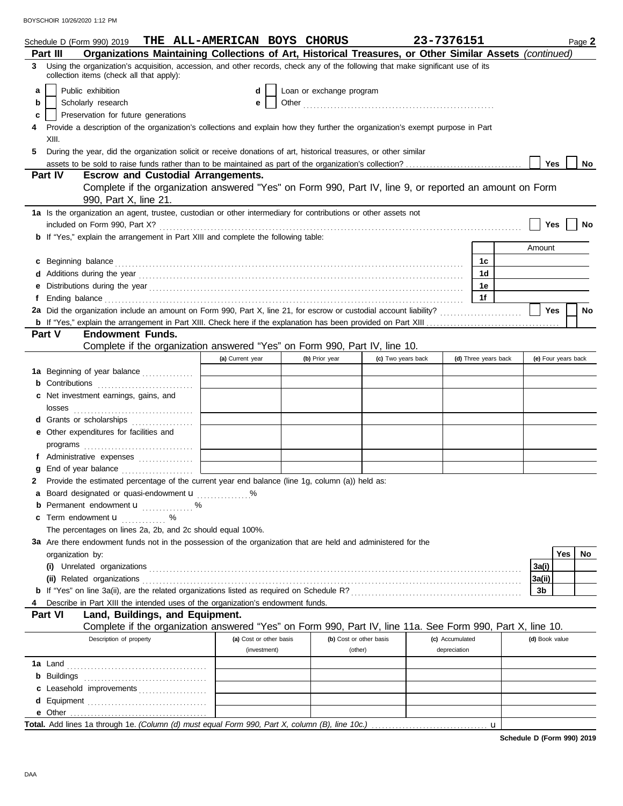|   | Schedule D (Form 990) 2019                                                                                                                                                                                                          | THE ALL-AMERICAN BOYS CHORUS            |                          |                         | 23-7376151                      |                      |                     | Page 2 |
|---|-------------------------------------------------------------------------------------------------------------------------------------------------------------------------------------------------------------------------------------|-----------------------------------------|--------------------------|-------------------------|---------------------------------|----------------------|---------------------|--------|
|   | Organizations Maintaining Collections of Art, Historical Treasures, or Other Similar Assets (continued)<br>Part III                                                                                                                 |                                         |                          |                         |                                 |                      |                     |        |
| 3 | Using the organization's acquisition, accession, and other records, check any of the following that make significant use of its<br>collection items (check all that apply):                                                         |                                         |                          |                         |                                 |                      |                     |        |
| a | Public exhibition                                                                                                                                                                                                                   | d                                       | Loan or exchange program |                         |                                 |                      |                     |        |
| b | Scholarly research                                                                                                                                                                                                                  | е                                       |                          |                         |                                 |                      |                     |        |
| c | Preservation for future generations                                                                                                                                                                                                 |                                         |                          |                         |                                 |                      |                     |        |
|   | Provide a description of the organization's collections and explain how they further the organization's exempt purpose in Part<br>XIII.                                                                                             |                                         |                          |                         |                                 |                      |                     |        |
| 5 | During the year, did the organization solicit or receive donations of art, historical treasures, or other similar                                                                                                                   |                                         |                          |                         |                                 |                      |                     |        |
|   |                                                                                                                                                                                                                                     |                                         |                          |                         |                                 |                      | Yes                 | No     |
|   | Part IV<br><b>Escrow and Custodial Arrangements.</b>                                                                                                                                                                                |                                         |                          |                         |                                 |                      |                     |        |
|   | Complete if the organization answered "Yes" on Form 990, Part IV, line 9, or reported an amount on Form<br>990, Part X, line 21.                                                                                                    |                                         |                          |                         |                                 |                      |                     |        |
|   | 1a Is the organization an agent, trustee, custodian or other intermediary for contributions or other assets not                                                                                                                     |                                         |                          |                         |                                 |                      |                     |        |
|   |                                                                                                                                                                                                                                     |                                         |                          |                         |                                 |                      | Yes                 | No     |
|   | <b>b</b> If "Yes," explain the arrangement in Part XIII and complete the following table:                                                                                                                                           |                                         |                          |                         |                                 |                      | Amount              |        |
|   |                                                                                                                                                                                                                                     |                                         |                          |                         |                                 |                      |                     |        |
| c | Beginning balance encourance and all the contract of the contract of the contract of the contract of the contract of the contract of the contract of the contract of the contract of the contract of the contract of the contr      |                                         |                          |                         |                                 | 1c<br>1d             |                     |        |
|   |                                                                                                                                                                                                                                     |                                         |                          |                         |                                 | 1е                   |                     |        |
|   |                                                                                                                                                                                                                                     |                                         |                          |                         |                                 | 1f                   |                     |        |
|   | Ending balance <b>constructs</b> and the construction of the construction of the construction of the construction of the construction of the construction of the construction of the construction of the construction of the constr |                                         |                          |                         |                                 |                      | <b>Yes</b>          | No     |
|   |                                                                                                                                                                                                                                     |                                         |                          |                         |                                 |                      |                     |        |
|   | <b>Endowment Funds.</b><br>Part V                                                                                                                                                                                                   |                                         |                          |                         |                                 |                      |                     |        |
|   | Complete if the organization answered "Yes" on Form 990, Part IV, line 10.                                                                                                                                                          |                                         |                          |                         |                                 |                      |                     |        |
|   |                                                                                                                                                                                                                                     | (a) Current year                        | (b) Prior year           | (c) Two years back      |                                 | (d) Three years back | (e) Four years back |        |
|   | 1a Beginning of year balance                                                                                                                                                                                                        |                                         |                          |                         |                                 |                      |                     |        |
|   |                                                                                                                                                                                                                                     |                                         |                          |                         |                                 |                      |                     |        |
|   | Net investment earnings, gains, and                                                                                                                                                                                                 |                                         |                          |                         |                                 |                      |                     |        |
|   | losses                                                                                                                                                                                                                              |                                         |                          |                         |                                 |                      |                     |        |
| d | Grants or scholarships                                                                                                                                                                                                              |                                         |                          |                         |                                 |                      |                     |        |
| е | Other expenditures for facilities and                                                                                                                                                                                               |                                         |                          |                         |                                 |                      |                     |        |
|   |                                                                                                                                                                                                                                     |                                         |                          |                         |                                 |                      |                     |        |
|   |                                                                                                                                                                                                                                     |                                         |                          |                         |                                 |                      |                     |        |
|   |                                                                                                                                                                                                                                     |                                         |                          |                         |                                 |                      |                     |        |
|   | Provide the estimated percentage of the current year end balance (line 1g, column (a)) held as:                                                                                                                                     |                                         |                          |                         |                                 |                      |                     |        |
| а | Board designated or quasi-endowment u                                                                                                                                                                                               |                                         |                          |                         |                                 |                      |                     |        |
|   | <b>b</b> Permanent endowment <b>u</b> %                                                                                                                                                                                             |                                         |                          |                         |                                 |                      |                     |        |
| c | Term endowment <b>u</b> %                                                                                                                                                                                                           |                                         |                          |                         |                                 |                      |                     |        |
|   | The percentages on lines 2a, 2b, and 2c should equal 100%.                                                                                                                                                                          |                                         |                          |                         |                                 |                      |                     |        |
|   | 3a Are there endowment funds not in the possession of the organization that are held and administered for the                                                                                                                       |                                         |                          |                         |                                 |                      |                     |        |
|   | organization by:                                                                                                                                                                                                                    |                                         |                          |                         |                                 |                      | Yes                 | No     |
|   |                                                                                                                                                                                                                                     |                                         |                          |                         |                                 |                      | 3a(i)               |        |
|   |                                                                                                                                                                                                                                     |                                         |                          |                         |                                 |                      | 3a(ii)              |        |
|   |                                                                                                                                                                                                                                     |                                         |                          |                         |                                 |                      | 3 <sub>b</sub>      |        |
|   | Describe in Part XIII the intended uses of the organization's endowment funds.                                                                                                                                                      |                                         |                          |                         |                                 |                      |                     |        |
|   | Land, Buildings, and Equipment.<br>Part VI                                                                                                                                                                                          |                                         |                          |                         |                                 |                      |                     |        |
|   | Complete if the organization answered "Yes" on Form 990, Part IV, line 11a. See Form 990, Part X, line 10.                                                                                                                          |                                         |                          |                         |                                 |                      |                     |        |
|   | Description of property                                                                                                                                                                                                             | (a) Cost or other basis<br>(investment) | (other)                  | (b) Cost or other basis | (c) Accumulated<br>depreciation |                      | (d) Book value      |        |
|   |                                                                                                                                                                                                                                     |                                         |                          |                         |                                 |                      |                     |        |
|   | <b>1a</b> Land                                                                                                                                                                                                                      |                                         |                          |                         |                                 |                      |                     |        |
|   | <b>b</b> Buildings                                                                                                                                                                                                                  |                                         |                          |                         |                                 |                      |                     |        |
|   | c Leasehold improvements                                                                                                                                                                                                            |                                         |                          |                         |                                 |                      |                     |        |
|   |                                                                                                                                                                                                                                     |                                         |                          |                         |                                 |                      |                     |        |
|   | Total. Add lines 1a through 1e. (Column (d) must equal Form 990, Part X, column (B), line 10c.)                                                                                                                                     |                                         |                          |                         |                                 |                      |                     |        |
|   |                                                                                                                                                                                                                                     |                                         |                          |                         |                                 | u                    |                     |        |

**Schedule D (Form 990) 2019**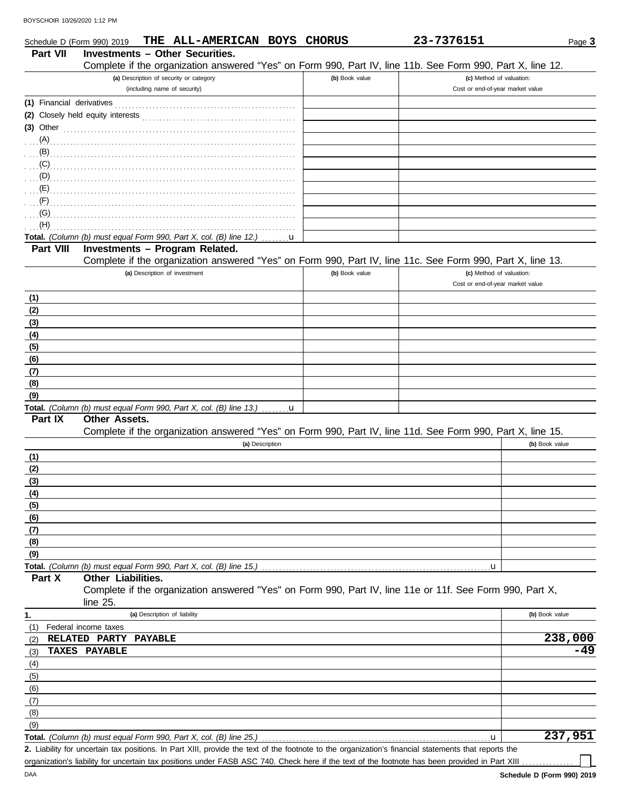| Schedule D (Form 990) 2019 |                                                                                                              |                                         | THE ALL-AMERICAN BOYS CHORUS |                 |                | 23-7376151                                                                                                                                           |                                  | Page 3                |
|----------------------------|--------------------------------------------------------------------------------------------------------------|-----------------------------------------|------------------------------|-----------------|----------------|------------------------------------------------------------------------------------------------------------------------------------------------------|----------------------------------|-----------------------|
| <b>Part VII</b>            | <b>Investments - Other Securities.</b>                                                                       |                                         |                              |                 |                |                                                                                                                                                      |                                  |                       |
|                            |                                                                                                              |                                         |                              |                 |                | Complete if the organization answered "Yes" on Form 990, Part IV, line 11b. See Form 990, Part X, line 12.                                           |                                  |                       |
|                            |                                                                                                              | (a) Description of security or category |                              |                 | (b) Book value |                                                                                                                                                      | (c) Method of valuation:         |                       |
|                            |                                                                                                              | (including name of security)            |                              |                 |                |                                                                                                                                                      | Cost or end-of-year market value |                       |
|                            |                                                                                                              |                                         |                              |                 |                |                                                                                                                                                      |                                  |                       |
|                            |                                                                                                              |                                         |                              |                 |                |                                                                                                                                                      |                                  |                       |
|                            | (3) Other $\ldots$ $\ldots$ $\ldots$ $\ldots$ $\ldots$ $\ldots$ $\ldots$ $\ldots$ $\ldots$ $\ldots$ $\ldots$ |                                         |                              |                 |                |                                                                                                                                                      |                                  |                       |
|                            |                                                                                                              |                                         |                              |                 |                |                                                                                                                                                      |                                  |                       |
| (B)                        |                                                                                                              |                                         |                              |                 |                |                                                                                                                                                      |                                  |                       |
| (C)                        |                                                                                                              |                                         |                              |                 |                |                                                                                                                                                      |                                  |                       |
| $\bigcirc$ (D)             |                                                                                                              |                                         |                              |                 |                |                                                                                                                                                      |                                  |                       |
| (E)                        |                                                                                                              |                                         |                              |                 |                |                                                                                                                                                      |                                  |                       |
| (F)                        |                                                                                                              |                                         |                              |                 |                |                                                                                                                                                      |                                  |                       |
| $\ldots$ (G)               |                                                                                                              |                                         |                              |                 |                |                                                                                                                                                      |                                  |                       |
| (H)                        | Total. (Column (b) must equal Form 990, Part X, col. (B) line 12.)                                           |                                         |                              |                 |                |                                                                                                                                                      |                                  |                       |
| Part VIII                  | Investments - Program Related.                                                                               |                                         |                              | $\dots$ u       |                |                                                                                                                                                      |                                  |                       |
|                            |                                                                                                              |                                         |                              |                 |                | Complete if the organization answered "Yes" on Form 990, Part IV, line 11c. See Form 990, Part X, line 13.                                           |                                  |                       |
|                            |                                                                                                              | (a) Description of investment           |                              |                 | (b) Book value |                                                                                                                                                      | (c) Method of valuation:         |                       |
|                            |                                                                                                              |                                         |                              |                 |                |                                                                                                                                                      | Cost or end-of-year market value |                       |
| (1)                        |                                                                                                              |                                         |                              |                 |                |                                                                                                                                                      |                                  |                       |
| (2)                        |                                                                                                              |                                         |                              |                 |                |                                                                                                                                                      |                                  |                       |
| (3)                        |                                                                                                              |                                         |                              |                 |                |                                                                                                                                                      |                                  |                       |
| (4)                        |                                                                                                              |                                         |                              |                 |                |                                                                                                                                                      |                                  |                       |
| (5)                        |                                                                                                              |                                         |                              |                 |                |                                                                                                                                                      |                                  |                       |
| (6)                        |                                                                                                              |                                         |                              |                 |                |                                                                                                                                                      |                                  |                       |
| (7)                        |                                                                                                              |                                         |                              |                 |                |                                                                                                                                                      |                                  |                       |
| (8)                        |                                                                                                              |                                         |                              |                 |                |                                                                                                                                                      |                                  |                       |
| (9)                        |                                                                                                              |                                         |                              |                 |                |                                                                                                                                                      |                                  |                       |
|                            | Total. (Column (b) must equal Form 990, Part X, col. (B) line 13.)                                           |                                         |                              | u               |                |                                                                                                                                                      |                                  |                       |
| Part IX                    | <b>Other Assets.</b>                                                                                         |                                         |                              |                 |                |                                                                                                                                                      |                                  |                       |
|                            |                                                                                                              |                                         |                              |                 |                | Complete if the organization answered "Yes" on Form 990, Part IV, line 11d. See Form 990, Part X, line 15.                                           |                                  |                       |
|                            |                                                                                                              |                                         |                              | (a) Description |                |                                                                                                                                                      | (b) Book value                   |                       |
| (1)                        |                                                                                                              |                                         |                              |                 |                |                                                                                                                                                      |                                  |                       |
| (2)                        |                                                                                                              |                                         |                              |                 |                |                                                                                                                                                      |                                  |                       |
| (3)                        |                                                                                                              |                                         |                              |                 |                |                                                                                                                                                      |                                  |                       |
| (4)                        |                                                                                                              |                                         |                              |                 |                |                                                                                                                                                      |                                  |                       |
| (5)                        |                                                                                                              |                                         |                              |                 |                |                                                                                                                                                      |                                  |                       |
| (6)                        |                                                                                                              |                                         |                              |                 |                |                                                                                                                                                      |                                  |                       |
| (7)                        |                                                                                                              |                                         |                              |                 |                |                                                                                                                                                      |                                  |                       |
| (8)                        |                                                                                                              |                                         |                              |                 |                |                                                                                                                                                      |                                  |                       |
| (9)                        | Total. (Column (b) must equal Form 990, Part X, col. (B) line 15.)                                           |                                         |                              |                 |                | լս                                                                                                                                                   |                                  |                       |
| Part X                     | Other Liabilities.                                                                                           |                                         |                              |                 |                |                                                                                                                                                      |                                  |                       |
|                            |                                                                                                              |                                         |                              |                 |                | Complete if the organization answered "Yes" on Form 990, Part IV, line 11e or 11f. See Form 990, Part X,                                             |                                  |                       |
|                            | line $25$ .                                                                                                  |                                         |                              |                 |                |                                                                                                                                                      |                                  |                       |
| 1.                         |                                                                                                              | (a) Description of liability            |                              |                 |                |                                                                                                                                                      | (b) Book value                   |                       |
| (1)                        | Federal income taxes                                                                                         |                                         |                              |                 |                |                                                                                                                                                      |                                  |                       |
| (2)                        | RELATED PARTY PAYABLE                                                                                        |                                         |                              |                 |                |                                                                                                                                                      |                                  | $\overline{238}$ ,000 |
| (3)                        | TAXES PAYABLE                                                                                                |                                         |                              |                 |                |                                                                                                                                                      |                                  | -49                   |
| (4)                        |                                                                                                              |                                         |                              |                 |                |                                                                                                                                                      |                                  |                       |
| (5)                        |                                                                                                              |                                         |                              |                 |                |                                                                                                                                                      |                                  |                       |
| (6)                        |                                                                                                              |                                         |                              |                 |                |                                                                                                                                                      |                                  |                       |
| (7)                        |                                                                                                              |                                         |                              |                 |                |                                                                                                                                                      |                                  |                       |
| (8)                        |                                                                                                              |                                         |                              |                 |                |                                                                                                                                                      |                                  |                       |
| (9)                        |                                                                                                              |                                         |                              |                 |                |                                                                                                                                                      |                                  |                       |
|                            | Total. (Column (b) must equal Form 990, Part X, col. (B) line 25.)                                           |                                         |                              |                 |                | u                                                                                                                                                    |                                  | 237,951               |
|                            |                                                                                                              |                                         |                              |                 |                | 2. Liability for uncertain tax positions. In Part XIII, provide the text of the footnote to the organization's financial statements that reports the |                                  |                       |

organization's liability for uncertain tax positions under FASB ASC 740. Check here if the text of the footnote has been provided in Part XIII ........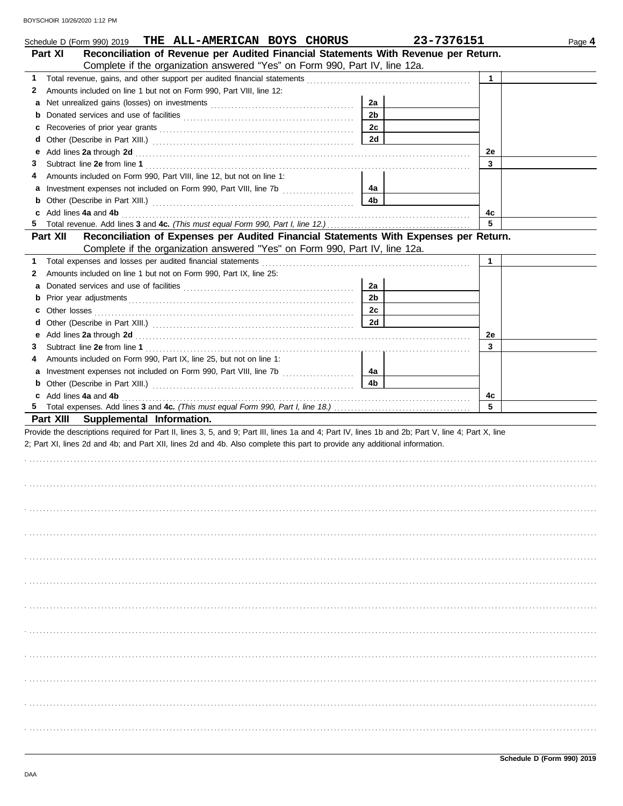|           | THE ALL-AMERICAN BOYS CHORUS<br>Schedule D (Form 990) 2019                                                                                                                                                                    |                | 23-7376151   | Page 4 |
|-----------|-------------------------------------------------------------------------------------------------------------------------------------------------------------------------------------------------------------------------------|----------------|--------------|--------|
| Part XI   | Reconciliation of Revenue per Audited Financial Statements With Revenue per Return.                                                                                                                                           |                |              |        |
|           | Complete if the organization answered "Yes" on Form 990, Part IV, line 12a.                                                                                                                                                   |                |              |        |
| 1.        |                                                                                                                                                                                                                               |                | $\mathbf{1}$ |        |
| 2         | Amounts included on line 1 but not on Form 990, Part VIII, line 12:                                                                                                                                                           |                |              |        |
| a         |                                                                                                                                                                                                                               | 2a             |              |        |
| b         |                                                                                                                                                                                                                               | 2 <sub>b</sub> |              |        |
| c         |                                                                                                                                                                                                                               | 2c             |              |        |
| d         |                                                                                                                                                                                                                               | 2d             |              |        |
| е         | Add lines 2a through 2d [11] Add [12] Add [12] Add lines 2a through 2d [12] Add lines 2a through 2d [12] Add [12] Add [12] Add [12] Add [12] Add [12] Add [12] Add [12] Add [12] Add [12] Add [12] Add [12] Add [12] Add [12] |                | 2e           |        |
| 3         |                                                                                                                                                                                                                               |                | 3            |        |
| 4         | Amounts included on Form 990, Part VIII, line 12, but not on line 1:                                                                                                                                                          |                |              |        |
| a         |                                                                                                                                                                                                                               | 4a             |              |        |
| b         |                                                                                                                                                                                                                               | 4b             |              |        |
|           |                                                                                                                                                                                                                               |                | 4c<br>5      |        |
| Part XII  | Reconciliation of Expenses per Audited Financial Statements With Expenses per Return.                                                                                                                                         |                |              |        |
|           | Complete if the organization answered "Yes" on Form 990, Part IV, line 12a.                                                                                                                                                   |                |              |        |
| 1         |                                                                                                                                                                                                                               |                | $\mathbf{1}$ |        |
| 2         | Amounts included on line 1 but not on Form 990, Part IX, line 25:                                                                                                                                                             |                |              |        |
| a         |                                                                                                                                                                                                                               | 2a             |              |        |
| b         |                                                                                                                                                                                                                               | 2b             |              |        |
| c         |                                                                                                                                                                                                                               | 2c             |              |        |
| d         |                                                                                                                                                                                                                               | <b>2d</b>      |              |        |
| е         | Add lines 2a through 2d [11] Add [12] Add [12] Add lines 2a through 2d [12] Add lines 2a through 2d [12] Add [12] Add [12] Add [12] Add [12] Add [12] Add [12] Add [12] Add [12] Add [12] Add [12] Add [12] Add [12] Add [12] |                | 2e           |        |
| 3         |                                                                                                                                                                                                                               |                | 3            |        |
| 4         | Amounts included on Form 990, Part IX, line 25, but not on line 1:                                                                                                                                                            |                |              |        |
| a         |                                                                                                                                                                                                                               | 4a             |              |        |
| b         |                                                                                                                                                                                                                               | 4b             |              |        |
|           | c Add lines 4a and 4b                                                                                                                                                                                                         |                | 4c           |        |
|           |                                                                                                                                                                                                                               |                | 5            |        |
| Part XIII | Supplemental Information.                                                                                                                                                                                                     |                |              |        |
|           | Provide the descriptions required for Part II, lines 3, 5, and 9; Part III, lines 1a and 4; Part IV, lines 1b and 2b; Part V, line 4; Part X, line                                                                            |                |              |        |
|           | 2; Part XI, lines 2d and 4b; and Part XII, lines 2d and 4b. Also complete this part to provide any additional information.                                                                                                    |                |              |        |
|           |                                                                                                                                                                                                                               |                |              |        |
|           |                                                                                                                                                                                                                               |                |              |        |
|           |                                                                                                                                                                                                                               |                |              |        |
|           |                                                                                                                                                                                                                               |                |              |        |
|           |                                                                                                                                                                                                                               |                |              |        |
|           |                                                                                                                                                                                                                               |                |              |        |
|           |                                                                                                                                                                                                                               |                |              |        |
|           |                                                                                                                                                                                                                               |                |              |        |
|           |                                                                                                                                                                                                                               |                |              |        |
|           |                                                                                                                                                                                                                               |                |              |        |
|           |                                                                                                                                                                                                                               |                |              |        |
|           |                                                                                                                                                                                                                               |                |              |        |
|           |                                                                                                                                                                                                                               |                |              |        |
|           |                                                                                                                                                                                                                               |                |              |        |
|           |                                                                                                                                                                                                                               |                |              |        |
|           |                                                                                                                                                                                                                               |                |              |        |
|           |                                                                                                                                                                                                                               |                |              |        |
|           |                                                                                                                                                                                                                               |                |              |        |
|           |                                                                                                                                                                                                                               |                |              |        |
|           |                                                                                                                                                                                                                               |                |              |        |
|           |                                                                                                                                                                                                                               |                |              |        |
|           |                                                                                                                                                                                                                               |                |              |        |
|           |                                                                                                                                                                                                                               |                |              |        |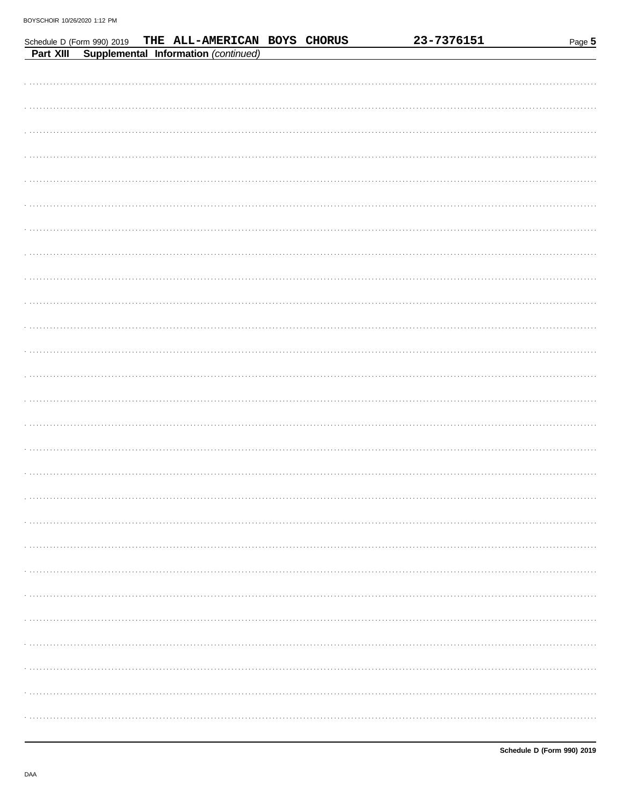|           | Schedule D (Form 990) 2019 | THE ALL-AMERICAN BOYS CHORUS         |  | 23-7376151 | Page 5 |
|-----------|----------------------------|--------------------------------------|--|------------|--------|
| Part XIII |                            | Supplemental Information (continued) |  |            |        |
|           |                            |                                      |  |            |        |
|           |                            |                                      |  |            |        |
|           |                            |                                      |  |            |        |
|           |                            |                                      |  |            |        |
|           |                            |                                      |  |            |        |
|           |                            |                                      |  |            |        |
|           |                            |                                      |  |            |        |
|           |                            |                                      |  |            |        |
|           |                            |                                      |  |            |        |
|           |                            |                                      |  |            |        |
|           |                            |                                      |  |            |        |
|           |                            |                                      |  |            |        |
|           |                            |                                      |  |            |        |
|           |                            |                                      |  |            |        |
|           |                            |                                      |  |            |        |
|           |                            |                                      |  |            |        |
|           |                            |                                      |  |            |        |
|           |                            |                                      |  |            |        |
|           |                            |                                      |  |            |        |
|           |                            |                                      |  |            |        |
|           |                            |                                      |  |            |        |
|           |                            |                                      |  |            |        |
|           |                            |                                      |  |            |        |
|           |                            |                                      |  |            |        |
|           |                            |                                      |  |            |        |
|           |                            |                                      |  |            |        |
|           |                            |                                      |  |            |        |
|           |                            |                                      |  |            |        |
|           |                            |                                      |  |            |        |
|           |                            |                                      |  |            |        |
|           |                            |                                      |  |            |        |
|           |                            |                                      |  |            |        |
|           |                            |                                      |  |            |        |
|           |                            |                                      |  |            |        |
|           |                            |                                      |  |            |        |
|           |                            |                                      |  |            |        |
|           |                            |                                      |  |            |        |
|           |                            |                                      |  |            |        |
|           |                            |                                      |  |            |        |
|           |                            |                                      |  |            |        |
|           |                            |                                      |  |            |        |
|           |                            |                                      |  |            |        |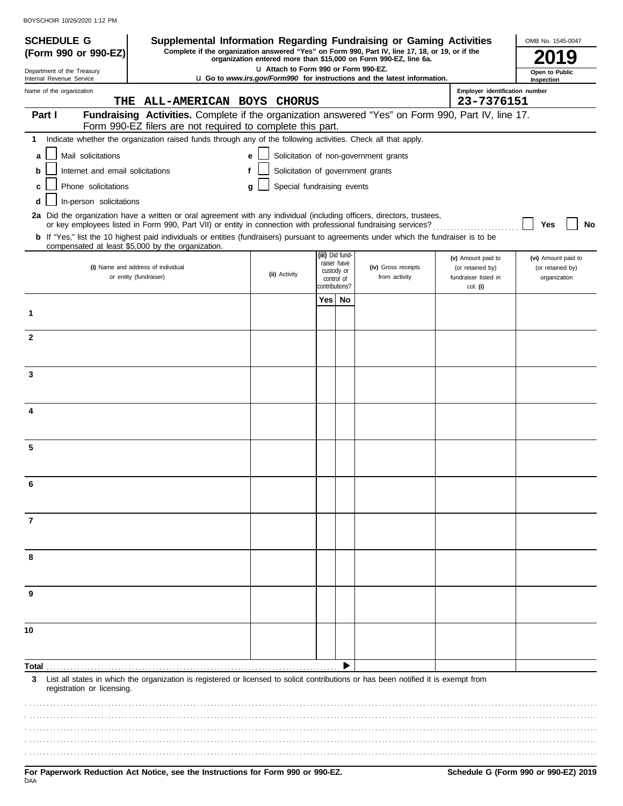| <b>SCHEDULE G</b>                                                               | Supplemental Information Regarding Fundraising or Gaming Activities                                                                                                                                                                      |   |                                       |                                                            |    |                                                                                                                                                                     |                                                                | OMB No. 1545-0047                                       |
|---------------------------------------------------------------------------------|------------------------------------------------------------------------------------------------------------------------------------------------------------------------------------------------------------------------------------------|---|---------------------------------------|------------------------------------------------------------|----|---------------------------------------------------------------------------------------------------------------------------------------------------------------------|----------------------------------------------------------------|---------------------------------------------------------|
| (Form 990 or 990-EZ)                                                            |                                                                                                                                                                                                                                          |   |                                       |                                                            |    | Complete if the organization answered "Yes" on Form 990, Part IV, line 17, 18, or 19, or if the<br>organization entered more than \$15,000 on Form 990-EZ, line 6a. |                                                                | 19                                                      |
| Department of the Treasury<br>Internal Revenue Service                          |                                                                                                                                                                                                                                          |   | LI Attach to Form 990 or Form 990-EZ. |                                                            |    | <b>u</b> Go to <i>www.irs.gov/Form990</i> for instructions and the latest information.                                                                              |                                                                | Open to Public<br>Inspection                            |
| Name of the organization<br>THE                                                 | ALL-AMERICAN BOYS CHORUS                                                                                                                                                                                                                 |   |                                       |                                                            |    |                                                                                                                                                                     | Employer identification number<br>23-7376151                   |                                                         |
| Part I                                                                          | Fundraising Activities. Complete if the organization answered "Yes" on Form 990, Part IV, line 17.                                                                                                                                       |   |                                       |                                                            |    |                                                                                                                                                                     |                                                                |                                                         |
|                                                                                 | Form 990-EZ filers are not required to complete this part.                                                                                                                                                                               |   |                                       |                                                            |    |                                                                                                                                                                     |                                                                |                                                         |
| 1.                                                                              | Indicate whether the organization raised funds through any of the following activities. Check all that apply.                                                                                                                            |   |                                       |                                                            |    |                                                                                                                                                                     |                                                                |                                                         |
| Mail solicitations<br>a                                                         | Solicitation of non-government grants<br>е                                                                                                                                                                                               |   |                                       |                                                            |    |                                                                                                                                                                     |                                                                |                                                         |
| Solicitation of government grants<br>Internet and email solicitations<br>f<br>b |                                                                                                                                                                                                                                          |   |                                       |                                                            |    |                                                                                                                                                                     |                                                                |                                                         |
| Phone solicitations<br>c                                                        |                                                                                                                                                                                                                                          | g | Special fundraising events            |                                                            |    |                                                                                                                                                                     |                                                                |                                                         |
| In-person solicitations<br>d                                                    |                                                                                                                                                                                                                                          |   |                                       |                                                            |    |                                                                                                                                                                     |                                                                |                                                         |
|                                                                                 | 2a Did the organization have a written or oral agreement with any individual (including officers, directors, trustees,<br>or key employees listed in Form 990, Part VII) or entity in connection with professional fundraising services? |   |                                       |                                                            |    |                                                                                                                                                                     |                                                                | Yes<br>No                                               |
|                                                                                 | b If "Yes," list the 10 highest paid individuals or entities (fundraisers) pursuant to agreements under which the fundraiser is to be<br>compensated at least \$5,000 by the organization.                                               |   |                                       |                                                            |    |                                                                                                                                                                     |                                                                |                                                         |
|                                                                                 | (i) Name and address of individual<br>or entity (fundraiser)                                                                                                                                                                             |   | (ii) Activity                         | (iii) Did fund-<br>raiser have<br>custody or<br>control of |    | (iv) Gross receipts<br>from activity                                                                                                                                | (v) Amount paid to<br>(or retained by)<br>fundraiser listed in | (vi) Amount paid to<br>(or retained by)<br>organization |
|                                                                                 |                                                                                                                                                                                                                                          |   |                                       | contributions?                                             |    |                                                                                                                                                                     | col. (i)                                                       |                                                         |
| 1                                                                               |                                                                                                                                                                                                                                          |   |                                       | Yes <sub>1</sub>                                           | No |                                                                                                                                                                     |                                                                |                                                         |
| $\overline{2}$                                                                  |                                                                                                                                                                                                                                          |   |                                       |                                                            |    |                                                                                                                                                                     |                                                                |                                                         |
|                                                                                 |                                                                                                                                                                                                                                          |   |                                       |                                                            |    |                                                                                                                                                                     |                                                                |                                                         |
| 3                                                                               |                                                                                                                                                                                                                                          |   |                                       |                                                            |    |                                                                                                                                                                     |                                                                |                                                         |
| 4                                                                               |                                                                                                                                                                                                                                          |   |                                       |                                                            |    |                                                                                                                                                                     |                                                                |                                                         |
| 5                                                                               |                                                                                                                                                                                                                                          |   |                                       |                                                            |    |                                                                                                                                                                     |                                                                |                                                         |
|                                                                                 |                                                                                                                                                                                                                                          |   |                                       |                                                            |    |                                                                                                                                                                     |                                                                |                                                         |
| 7                                                                               |                                                                                                                                                                                                                                          |   |                                       |                                                            |    |                                                                                                                                                                     |                                                                |                                                         |
| 8                                                                               |                                                                                                                                                                                                                                          |   |                                       |                                                            |    |                                                                                                                                                                     |                                                                |                                                         |
|                                                                                 |                                                                                                                                                                                                                                          |   |                                       |                                                            |    |                                                                                                                                                                     |                                                                |                                                         |
| 9                                                                               |                                                                                                                                                                                                                                          |   |                                       |                                                            |    |                                                                                                                                                                     |                                                                |                                                         |
| 10                                                                              |                                                                                                                                                                                                                                          |   |                                       |                                                            |    |                                                                                                                                                                     |                                                                |                                                         |
|                                                                                 |                                                                                                                                                                                                                                          |   |                                       |                                                            |    |                                                                                                                                                                     |                                                                |                                                         |
| Total<br>3<br>registration or licensing.                                        | List all states in which the organization is registered or licensed to solicit contributions or has been notified it is exempt from                                                                                                      |   |                                       |                                                            |    |                                                                                                                                                                     |                                                                |                                                         |
|                                                                                 |                                                                                                                                                                                                                                          |   |                                       |                                                            |    |                                                                                                                                                                     |                                                                |                                                         |
|                                                                                 |                                                                                                                                                                                                                                          |   |                                       |                                                            |    |                                                                                                                                                                     |                                                                |                                                         |
|                                                                                 |                                                                                                                                                                                                                                          |   |                                       |                                                            |    |                                                                                                                                                                     |                                                                |                                                         |
|                                                                                 |                                                                                                                                                                                                                                          |   |                                       |                                                            |    |                                                                                                                                                                     |                                                                |                                                         |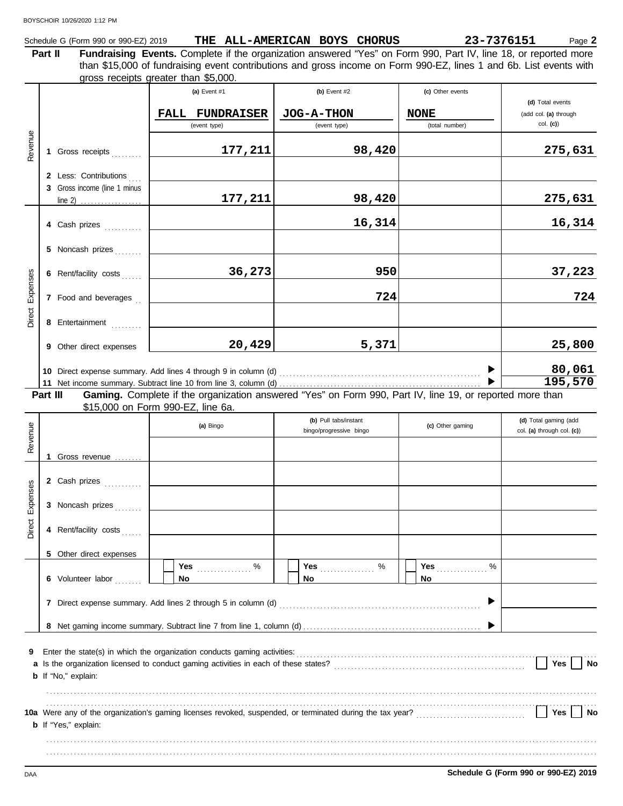|  | Schedule G (Form 990 or 990-EZ) 2019 | THE | : ALL-AMERICAN BOYS |  | <b>CHORUS</b> | 23-7376151 | <sup>o</sup> age ∠ |
|--|--------------------------------------|-----|---------------------|--|---------------|------------|--------------------|
|--|--------------------------------------|-----|---------------------|--|---------------|------------|--------------------|

**Part II Fundraising Events.** Complete if the organization answered "Yes" on Form 990, Part IV, line 18, or reported more gross receipts greater than \$5,000. than \$15,000 of fundraising event contributions and gross income on Form 990-EZ, lines 1 and 6b. List events with

|                 |          |                                                       | (a) Event $#1$<br><b>FALL</b><br><b>FUNDRAISER</b><br>(event type)       | (b) Event $#2$<br>JOG-A-THON<br>(event type)                                                             | (c) Other events<br><b>NONE</b><br>(total number) | (d) Total events<br>(add col. (a) through<br>$col.$ (c)) |
|-----------------|----------|-------------------------------------------------------|--------------------------------------------------------------------------|----------------------------------------------------------------------------------------------------------|---------------------------------------------------|----------------------------------------------------------|
| Revenue         |          | 1 Gross receipts                                      | 177,211                                                                  | 98,420                                                                                                   |                                                   | 275,631                                                  |
|                 |          | 2 Less: Contributions<br>3 Gross income (line 1 minus | 177,211                                                                  | 98,420                                                                                                   |                                                   | 275,631                                                  |
|                 |          | 4 Cash prizes                                         |                                                                          | 16,314                                                                                                   |                                                   | 16,314                                                   |
|                 |          | 5 Noncash prizes<br>6 Rent/facility costs             | 36,273                                                                   | 950                                                                                                      |                                                   | 37,223                                                   |
| Direct Expenses |          | 7 Food and beverages                                  |                                                                          | 724                                                                                                      |                                                   | 724                                                      |
|                 |          | 8 Entertainment<br>9 Other direct expenses            | 20,429                                                                   | 5,371                                                                                                    |                                                   | 25,800                                                   |
|                 |          |                                                       |                                                                          |                                                                                                          |                                                   | 80,061<br>195,570                                        |
|                 | Part III |                                                       | \$15,000 on Form 990-EZ, line 6a.                                        | Gaming. Complete if the organization answered "Yes" on Form 990, Part IV, line 19, or reported more than |                                                   |                                                          |
| Revenue         |          |                                                       | (a) Bingo                                                                | (b) Pull tabs/instant<br>bingo/progressive bingo                                                         | (c) Other gaming                                  | (d) Total gaming (add<br>col. (a) through col. (c))      |
|                 |          | 1 Gross revenue                                       |                                                                          |                                                                                                          |                                                   |                                                          |
| Expenses        |          | 2 Cash prizes<br>3 Noncash prizes                     |                                                                          |                                                                                                          |                                                   |                                                          |
| Direct          |          | 4 Rent/facility costs                                 |                                                                          |                                                                                                          |                                                   |                                                          |
|                 |          | 5 Other direct expenses<br>6 Volunteer labor          | Yes<br>%<br>.<br>No                                                      | Yes <b>Market</b><br>%<br>No.                                                                            | Yes<br>%<br>No                                    |                                                          |
|                 |          |                                                       | 7 Direct expense summary. Add lines 2 through 5 in column (d)            |                                                                                                          |                                                   |                                                          |
|                 |          |                                                       |                                                                          |                                                                                                          |                                                   |                                                          |
| 9               |          | <b>b</b> If "No," explain:                            | Enter the state(s) in which the organization conducts gaming activities: |                                                                                                          |                                                   | Yes<br>No                                                |
|                 |          | <b>b</b> If "Yes," explain:                           |                                                                          |                                                                                                          |                                                   | Yes<br>No                                                |
|                 |          |                                                       |                                                                          |                                                                                                          |                                                   |                                                          |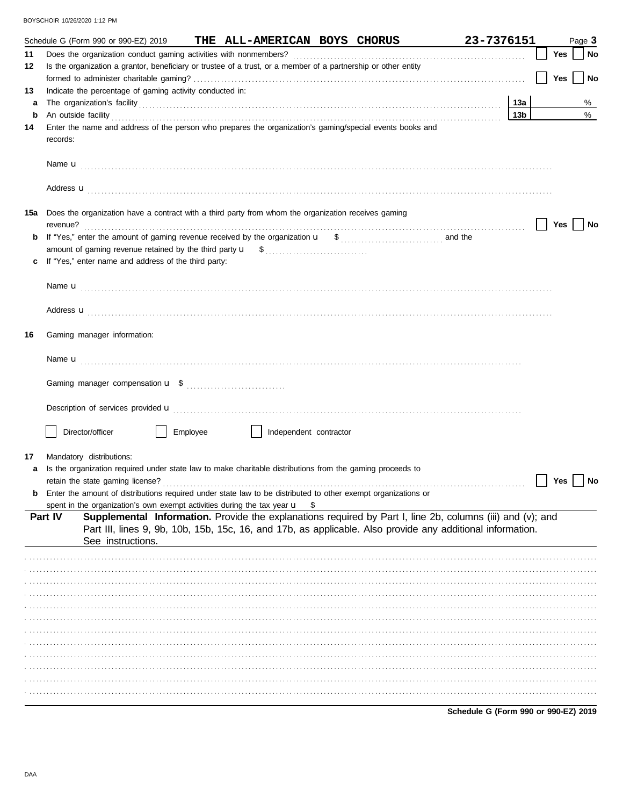|     |          | Schedule G (Form 990 or 990-EZ) 2019                                                                                                                                                                                                 |          | THE ALL-AMERICAN BOYS CHORUS |                                                                                                                                                                                                                          | 23-7376151                           |                 |            | Page 3    |
|-----|----------|--------------------------------------------------------------------------------------------------------------------------------------------------------------------------------------------------------------------------------------|----------|------------------------------|--------------------------------------------------------------------------------------------------------------------------------------------------------------------------------------------------------------------------|--------------------------------------|-----------------|------------|-----------|
| 11  |          |                                                                                                                                                                                                                                      |          |                              |                                                                                                                                                                                                                          |                                      |                 | Yes        | <b>No</b> |
| 12  |          | Is the organization a grantor, beneficiary or trustee of a trust, or a member of a partnership or other entity                                                                                                                       |          |                              |                                                                                                                                                                                                                          |                                      |                 |            |           |
|     |          |                                                                                                                                                                                                                                      |          |                              |                                                                                                                                                                                                                          |                                      |                 | <b>Yes</b> | <b>No</b> |
| 13  |          | Indicate the percentage of gaming activity conducted in:                                                                                                                                                                             |          |                              |                                                                                                                                                                                                                          |                                      |                 |            |           |
| а   |          |                                                                                                                                                                                                                                      |          |                              |                                                                                                                                                                                                                          |                                      | 13a             |            | %         |
| b   |          | An outside facility <b>contained a set of the contract of the contract of the contract of the contract of the contract of the contract of the contract of the contract of the contract of the contract of the contract of the co</b> |          |                              |                                                                                                                                                                                                                          |                                      | 13 <sub>b</sub> |            | %         |
| 14  |          | Enter the name and address of the person who prepares the organization's gaming/special events books and                                                                                                                             |          |                              |                                                                                                                                                                                                                          |                                      |                 |            |           |
|     | records: |                                                                                                                                                                                                                                      |          |                              |                                                                                                                                                                                                                          |                                      |                 |            |           |
|     |          |                                                                                                                                                                                                                                      |          |                              |                                                                                                                                                                                                                          |                                      |                 |            |           |
|     |          | Address <b>u</b>                                                                                                                                                                                                                     |          |                              |                                                                                                                                                                                                                          |                                      |                 |            |           |
| 15a |          | Does the organization have a contract with a third party from whom the organization receives gaming                                                                                                                                  |          |                              |                                                                                                                                                                                                                          |                                      |                 | Yes        | No        |
|     |          |                                                                                                                                                                                                                                      |          |                              |                                                                                                                                                                                                                          |                                      |                 |            |           |
|     |          |                                                                                                                                                                                                                                      |          |                              |                                                                                                                                                                                                                          |                                      |                 |            |           |
|     |          | If "Yes," enter name and address of the third party:                                                                                                                                                                                 |          |                              |                                                                                                                                                                                                                          |                                      |                 |            |           |
|     |          |                                                                                                                                                                                                                                      |          |                              |                                                                                                                                                                                                                          |                                      |                 |            |           |
|     |          |                                                                                                                                                                                                                                      |          |                              |                                                                                                                                                                                                                          |                                      |                 |            |           |
|     |          | Address <b>u</b>                                                                                                                                                                                                                     |          |                              |                                                                                                                                                                                                                          |                                      |                 |            |           |
| 16  |          | Gaming manager information:                                                                                                                                                                                                          |          |                              |                                                                                                                                                                                                                          |                                      |                 |            |           |
|     |          |                                                                                                                                                                                                                                      |          |                              |                                                                                                                                                                                                                          |                                      |                 |            |           |
|     |          |                                                                                                                                                                                                                                      |          |                              |                                                                                                                                                                                                                          |                                      |                 |            |           |
|     |          | Description of services provided <b>u</b> electron control and a series of the series of the services provided <b>u</b>                                                                                                              |          |                              |                                                                                                                                                                                                                          |                                      |                 |            |           |
|     |          | Director/officer                                                                                                                                                                                                                     | Employee | Independent contractor       |                                                                                                                                                                                                                          |                                      |                 |            |           |
| 17  |          | Mandatory distributions:                                                                                                                                                                                                             |          |                              |                                                                                                                                                                                                                          |                                      |                 |            |           |
| а   |          | Is the organization required under state law to make charitable distributions from the gaming proceeds to                                                                                                                            |          |                              |                                                                                                                                                                                                                          |                                      |                 |            |           |
|     |          | retain the state gaming license?                                                                                                                                                                                                     |          |                              |                                                                                                                                                                                                                          |                                      |                 | Yes        | No        |
|     |          | Enter the amount of distributions required under state law to be distributed to other exempt organizations or                                                                                                                        |          |                              |                                                                                                                                                                                                                          |                                      |                 |            |           |
|     |          | spent in the organization's own exempt activities during the tax year $\mathbf{u}$ \$                                                                                                                                                |          |                              |                                                                                                                                                                                                                          |                                      |                 |            |           |
|     | Part IV  | See instructions.                                                                                                                                                                                                                    |          |                              | Supplemental Information. Provide the explanations required by Part I, line 2b, columns (iii) and (v); and<br>Part III, lines 9, 9b, 10b, 15b, 15c, 16, and 17b, as applicable. Also provide any additional information. |                                      |                 |            |           |
|     |          |                                                                                                                                                                                                                                      |          |                              |                                                                                                                                                                                                                          |                                      |                 |            |           |
|     |          |                                                                                                                                                                                                                                      |          |                              |                                                                                                                                                                                                                          |                                      |                 |            |           |
|     |          |                                                                                                                                                                                                                                      |          |                              |                                                                                                                                                                                                                          |                                      |                 |            |           |
|     |          |                                                                                                                                                                                                                                      |          |                              |                                                                                                                                                                                                                          |                                      |                 |            |           |
|     |          |                                                                                                                                                                                                                                      |          |                              |                                                                                                                                                                                                                          |                                      |                 |            |           |
|     |          |                                                                                                                                                                                                                                      |          |                              |                                                                                                                                                                                                                          |                                      |                 |            |           |
|     |          |                                                                                                                                                                                                                                      |          |                              |                                                                                                                                                                                                                          |                                      |                 |            |           |
|     |          |                                                                                                                                                                                                                                      |          |                              |                                                                                                                                                                                                                          |                                      |                 |            |           |
|     |          |                                                                                                                                                                                                                                      |          |                              |                                                                                                                                                                                                                          |                                      |                 |            |           |
|     |          |                                                                                                                                                                                                                                      |          |                              |                                                                                                                                                                                                                          |                                      |                 |            |           |
|     |          |                                                                                                                                                                                                                                      |          |                              |                                                                                                                                                                                                                          |                                      |                 |            |           |
|     |          |                                                                                                                                                                                                                                      |          |                              |                                                                                                                                                                                                                          |                                      |                 |            |           |
|     |          |                                                                                                                                                                                                                                      |          |                              |                                                                                                                                                                                                                          | Schodule G (Form 000 or 000 EZ) 2010 |                 |            |           |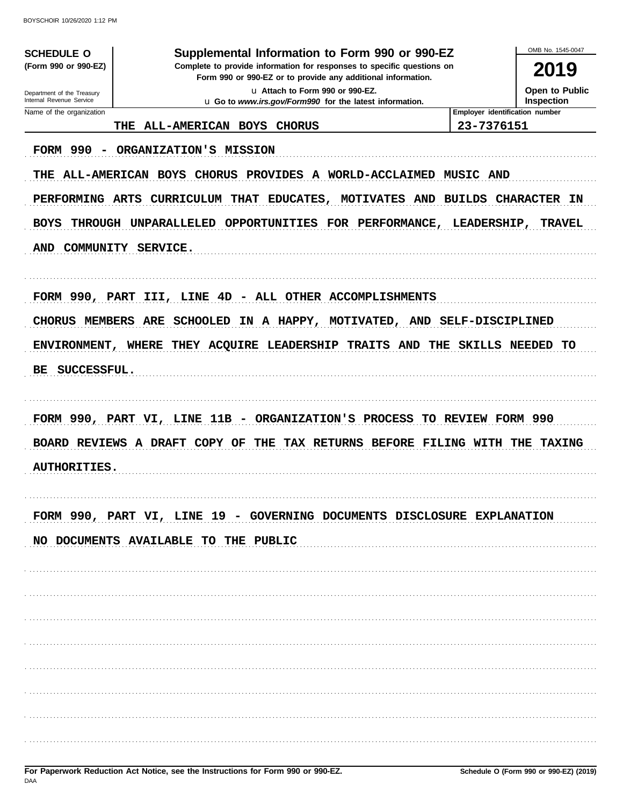| <b>SCHEDULE O</b>                                                                                                                                    | Supplemental Information to Form 990 or 990-EZ                                                                                                                        | OMB No. 1545-0047                                                                            |  |  |  |  |
|------------------------------------------------------------------------------------------------------------------------------------------------------|-----------------------------------------------------------------------------------------------------------------------------------------------------------------------|----------------------------------------------------------------------------------------------|--|--|--|--|
| (Form 990 or 990-EZ)                                                                                                                                 | Complete to provide information for responses to specific questions on<br>Form 990 or 990-EZ or to provide any additional information.                                | 2019                                                                                         |  |  |  |  |
| u Attach to Form 990 or 990-EZ.<br>Department of the Treasury<br>Internal Revenue Service<br>u Go to www.irs.gov/Form990 for the latest information. |                                                                                                                                                                       |                                                                                              |  |  |  |  |
| Name of the organization                                                                                                                             |                                                                                                                                                                       | Inspection<br>Employer identification number                                                 |  |  |  |  |
| THE                                                                                                                                                  | ALL-AMERICAN BOYS CHORUS                                                                                                                                              | 23-7376151                                                                                   |  |  |  |  |
| <b>FORM 990</b><br>PERFORMING ARTS<br><b>BOYS</b><br>AND COMMUNITY SERVICE.                                                                          | ORGANIZATION'S MISSION<br>THE ALL-AMERICAN BOYS CHORUS PROVIDES A WORLD-ACCLAIMED<br>CURRICULUM THAT EDUCATES,<br>THROUGH UNPARALLELED OPPORTUNITIES FOR PERFORMANCE, | <b>MUSIC AND</b><br>MOTIVATES AND BUILDS CHARACTER IN<br><b>LEADERSHIP,</b><br><b>TRAVEL</b> |  |  |  |  |
|                                                                                                                                                      | FORM 990, PART III, LINE 4D - ALL OTHER ACCOMPLISHMENTS<br>CHORUS MEMBERS ARE SCHOOLED IN A HAPPY, MOTIVATED,                                                         | AND SELF-DISCIPLINED                                                                         |  |  |  |  |
|                                                                                                                                                      |                                                                                                                                                                       |                                                                                              |  |  |  |  |
|                                                                                                                                                      |                                                                                                                                                                       |                                                                                              |  |  |  |  |
|                                                                                                                                                      | ENVIRONMENT, WHERE THEY ACQUIRE LEADERSHIP TRAITS AND THE SKILLS NEEDED TO                                                                                            |                                                                                              |  |  |  |  |
| BE SUCCESSFUL.                                                                                                                                       |                                                                                                                                                                       |                                                                                              |  |  |  |  |
| <b>AUTHORITIES.</b>                                                                                                                                  | FORM 990, PART VI, LINE 11B - ORGANIZATION'S PROCESS TO REVIEW FORM 990<br>BOARD REVIEWS A DRAFT COPY OF THE TAX RETURNS BEFORE FILING WITH THE                       | <b>TAXING</b>                                                                                |  |  |  |  |
|                                                                                                                                                      | FORM 990, PART VI, LINE 19 - GOVERNING DOCUMENTS DISCLOSURE EXPLANATION<br>NO DOCUMENTS AVAILABLE TO THE PUBLIC                                                       |                                                                                              |  |  |  |  |
|                                                                                                                                                      |                                                                                                                                                                       |                                                                                              |  |  |  |  |
|                                                                                                                                                      |                                                                                                                                                                       |                                                                                              |  |  |  |  |
|                                                                                                                                                      |                                                                                                                                                                       |                                                                                              |  |  |  |  |
|                                                                                                                                                      |                                                                                                                                                                       |                                                                                              |  |  |  |  |

For Paperwork Reduction Act Notice, see the Instructions for Form 990 or 990-EZ. DAA